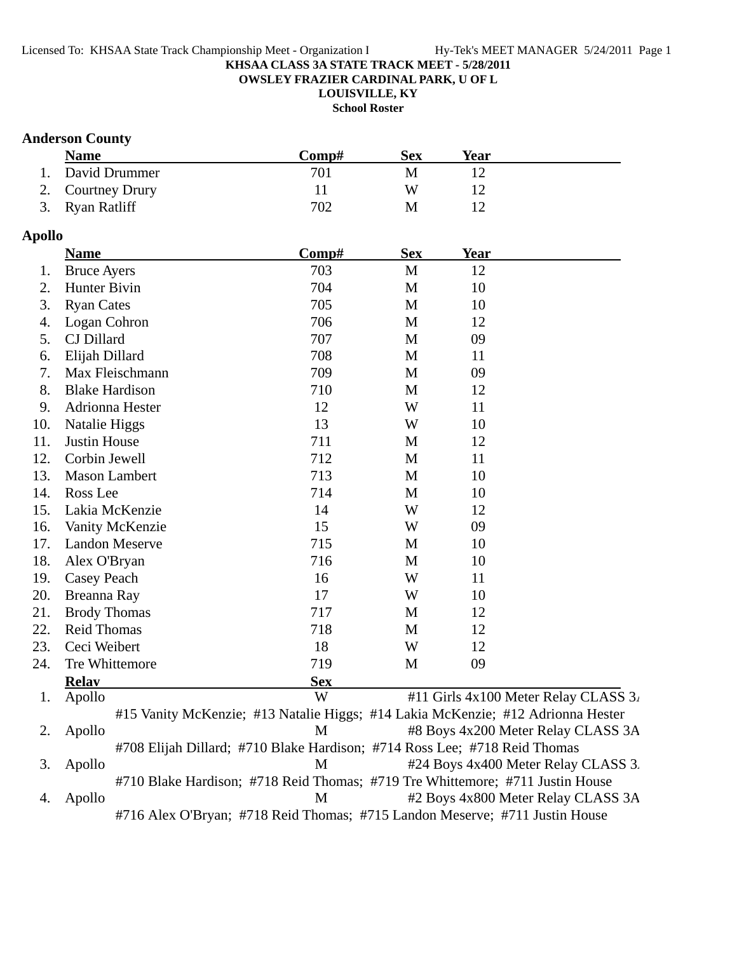**OWSLEY FRAZIER CARDINAL PARK, U OF L**

**LOUISVILLE, KY School Roster**

## **Anderson County**

| <b>Name</b>       | Comp# | Sex | Year |  |
|-------------------|-------|-----|------|--|
| 1. David Drummer  | 701   |     |      |  |
| 2. Courtney Drury |       | W   |      |  |
| 3. Ryan Ratliff   | 702   |     |      |  |

### **Apollo**

|     | <b>Name</b>                                                                     | Comp#      | <b>Sex</b>   | <b>Year</b> |                                      |
|-----|---------------------------------------------------------------------------------|------------|--------------|-------------|--------------------------------------|
| 1.  | <b>Bruce Ayers</b>                                                              | 703        | $\mathbf{M}$ | 12          |                                      |
| 2.  | Hunter Bivin                                                                    | 704        | M            | 10          |                                      |
| 3.  | <b>Ryan Cates</b>                                                               | 705        | M            | 10          |                                      |
| 4.  | Logan Cohron                                                                    | 706        | M            | 12          |                                      |
| 5.  | CJ Dillard                                                                      | 707        | M            | 09          |                                      |
| 6.  | Elijah Dillard                                                                  | 708        | M            | 11          |                                      |
| 7.  | Max Fleischmann                                                                 | 709        | M            | 09          |                                      |
| 8.  | <b>Blake Hardison</b>                                                           | 710        | M            | 12          |                                      |
| 9.  | Adrionna Hester                                                                 | 12         | W            | 11          |                                      |
| 10. | Natalie Higgs                                                                   | 13         | W            | 10          |                                      |
| 11. | <b>Justin House</b>                                                             | 711        | M            | 12          |                                      |
| 12. | Corbin Jewell                                                                   | 712        | M            | 11          |                                      |
| 13. | <b>Mason Lambert</b>                                                            | 713        | M            | 10          |                                      |
| 14. | Ross Lee                                                                        | 714        | M            | 10          |                                      |
| 15. | Lakia McKenzie                                                                  | 14         | W            | 12          |                                      |
| 16. | Vanity McKenzie                                                                 | 15         | W            | 09          |                                      |
| 17. | <b>Landon Meserve</b>                                                           | 715        | M            | 10          |                                      |
| 18. | Alex O'Bryan                                                                    | 716        | M            | 10          |                                      |
| 19. | Casey Peach                                                                     | 16         | W            | 11          |                                      |
| 20. | Breanna Ray                                                                     | 17         | W            | 10          |                                      |
| 21. | <b>Brody Thomas</b>                                                             | 717        | M            | 12          |                                      |
| 22. | <b>Reid Thomas</b>                                                              | 718        | M            | 12          |                                      |
| 23. | Ceci Weibert                                                                    | 18         | W            | 12          |                                      |
| 24. | Tre Whittemore                                                                  | 719        | M            | 09          |                                      |
|     | <b>Relay</b>                                                                    | <b>Sex</b> |              |             |                                      |
| 1.  | Apollo                                                                          | W          |              |             | #11 Girls 4x100 Meter Relay CLASS 3. |
|     | #15 Vanity McKenzie; #13 Natalie Higgs; #14 Lakia McKenzie; #12 Adrionna Hester |            |              |             |                                      |
| 2.  | Apollo                                                                          | M          |              |             | #8 Boys 4x200 Meter Relay CLASS 3A   |
|     | #708 Elijah Dillard; #710 Blake Hardison; #714 Ross Lee; #718 Reid Thomas       |            |              |             |                                      |
| 3.  | Apollo                                                                          | M          |              |             | #24 Boys 4x400 Meter Relay CLASS 3.  |

#710 Blake Hardison; #718 Reid Thomas; #719 Tre Whittemore; #711 Justin House 4. Apollo M #2 Boys 4x800 Meter Relay CLASS 3A

#716 Alex O'Bryan; #718 Reid Thomas; #715 Landon Meserve; #711 Justin House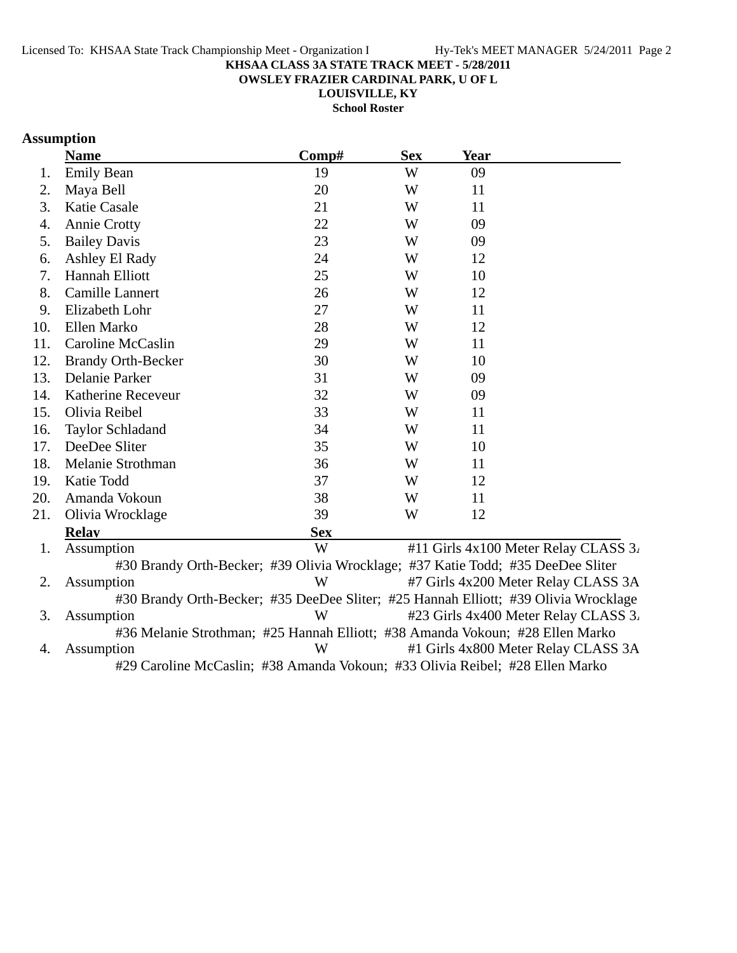**OWSLEY FRAZIER CARDINAL PARK, U OF L**

**LOUISVILLE, KY**

**School Roster**

# **Assumption**

|     | <b>Name</b>               | Comp#      | <b>Sex</b> | <b>Year</b>                                                                         |
|-----|---------------------------|------------|------------|-------------------------------------------------------------------------------------|
| 1.  | <b>Emily Bean</b>         | 19         | W          | 09                                                                                  |
| 2.  | Maya Bell                 | 20         | W          | 11                                                                                  |
| 3.  | <b>Katie Casale</b>       | 21         | W          | 11                                                                                  |
| 4.  | <b>Annie Crotty</b>       | 22         | W          | 09                                                                                  |
| 5.  | <b>Bailey Davis</b>       | 23         | W          | 09                                                                                  |
| 6.  | Ashley El Rady            | 24         | W          | 12                                                                                  |
| 7.  | Hannah Elliott            | 25         | W          | 10                                                                                  |
| 8.  | Camille Lannert           | 26         | W          | 12                                                                                  |
| 9.  | Elizabeth Lohr            | 27         | W          | 11                                                                                  |
| 10. | Ellen Marko               | 28         | W          | 12                                                                                  |
| 11. | Caroline McCaslin         | 29         | W          | 11                                                                                  |
| 12. | <b>Brandy Orth-Becker</b> | 30         | W          | 10                                                                                  |
| 13. | Delanie Parker            | 31         | W          | 09                                                                                  |
| 14. | Katherine Receveur        | 32         | W          | 09                                                                                  |
| 15. | Olivia Reibel             | 33         | W          | 11                                                                                  |
| 16. | <b>Taylor Schladand</b>   | 34         | W          | 11                                                                                  |
| 17. | DeeDee Sliter             | 35         | W          | 10                                                                                  |
| 18. | Melanie Strothman         | 36         | W          | 11                                                                                  |
| 19. | Katie Todd                | 37         | W          | 12                                                                                  |
| 20. | Amanda Vokoun             | 38         | W          | 11                                                                                  |
| 21. | Olivia Wrocklage          | 39         | W          | 12                                                                                  |
|     | <b>Relay</b>              | <b>Sex</b> |            |                                                                                     |
| 1.  | Assumption                | W          |            | #11 Girls 4x100 Meter Relay CLASS 3.                                                |
|     |                           |            |            | #30 Brandy Orth-Becker; #39 Olivia Wrocklage; #37 Katie Todd; #35 DeeDee Sliter     |
| 2.  | Assumption                | W          |            | #7 Girls 4x200 Meter Relay CLASS 3A                                                 |
|     |                           |            |            | #30 Brandy Orth-Becker; #35 DeeDee Sliter; #25 Hannah Elliott; #39 Olivia Wrocklage |
| 3.  | Assumption                | W          |            | #23 Girls 4x400 Meter Relay CLASS 3.                                                |
|     |                           |            |            | #36 Melanie Strothman; #25 Hannah Elliott; #38 Amanda Vokoun; #28 Ellen Marko       |
| 4.  | Assumption                | W          |            | #1 Girls 4x800 Meter Relay CLASS 3A                                                 |
|     |                           |            | $\sqrt{2}$ | $21.7.7$ $1.7.7$ $1.80$ $1.7.7$                                                     |

#29 Caroline McCaslin; #38 Amanda Vokoun; #33 Olivia Reibel; #28 Ellen Marko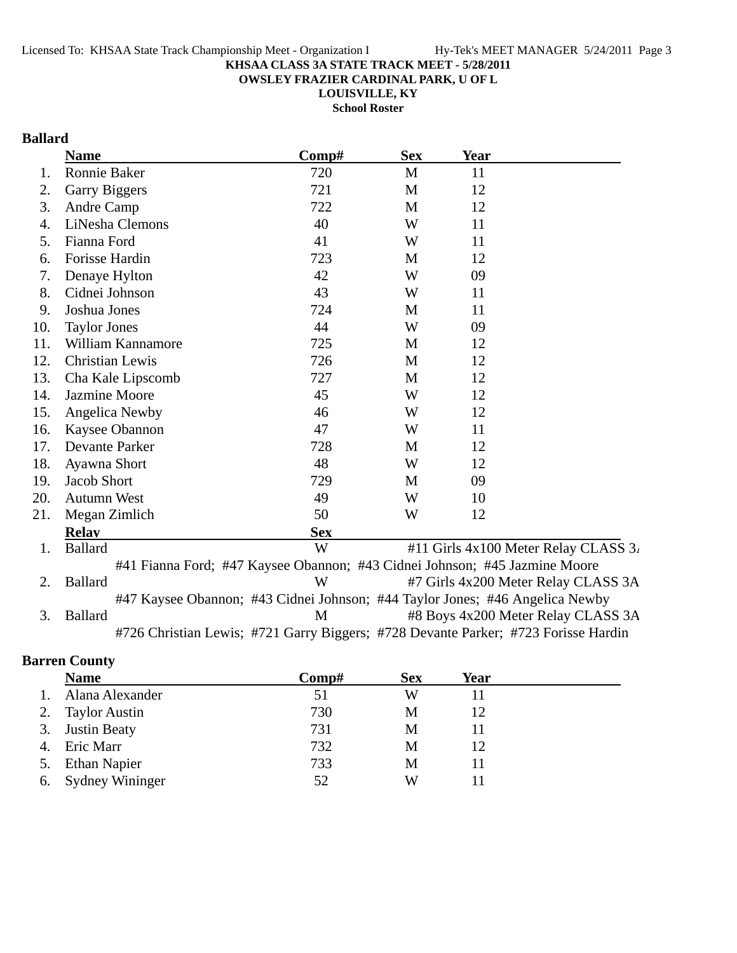**OWSLEY FRAZIER CARDINAL PARK, U OF L**

**LOUISVILLE, KY**

**School Roster**

# **Ballard**

|     | <b>Name</b>                                                                        | Comp#      | <b>Sex</b> | Year |                                      |
|-----|------------------------------------------------------------------------------------|------------|------------|------|--------------------------------------|
| 1.  | Ronnie Baker                                                                       | 720        | M          | 11   |                                      |
| 2.  | Garry Biggers                                                                      | 721        | M          | 12   |                                      |
| 3.  | Andre Camp                                                                         | 722        | M          | 12   |                                      |
| 4.  | LiNesha Clemons                                                                    | 40         | W          | 11   |                                      |
| 5.  | Fianna Ford                                                                        | 41         | W          | 11   |                                      |
| 6.  | Forisse Hardin                                                                     | 723        | M          | 12   |                                      |
| 7.  | Denaye Hylton                                                                      | 42         | W          | 09   |                                      |
| 8.  | Cidnei Johnson                                                                     | 43         | W          | 11   |                                      |
| 9.  | Joshua Jones                                                                       | 724        | M          | 11   |                                      |
| 10. | <b>Taylor Jones</b>                                                                | 44         | W          | 09   |                                      |
| 11. | William Kannamore                                                                  | 725        | M          | 12   |                                      |
| 12. | Christian Lewis                                                                    | 726        | M          | 12   |                                      |
| 13. | Cha Kale Lipscomb                                                                  | 727        | M          | 12   |                                      |
| 14. | <b>Jazmine Moore</b>                                                               | 45         | W          | 12   |                                      |
| 15. | Angelica Newby                                                                     | 46         | W          | 12   |                                      |
| 16. | Kaysee Obannon                                                                     | 47         | W          | 11   |                                      |
| 17. | Devante Parker                                                                     | 728        | M          | 12   |                                      |
| 18. | Ayawna Short                                                                       | 48         | W          | 12   |                                      |
| 19. | <b>Jacob Short</b>                                                                 | 729        | M          | 09   |                                      |
| 20. | <b>Autumn West</b>                                                                 | 49         | W          | 10   |                                      |
| 21. | Megan Zimlich                                                                      | 50         | W          | 12   |                                      |
|     | <b>Relav</b>                                                                       | <b>Sex</b> |            |      |                                      |
| 1.  | <b>Ballard</b>                                                                     | W          |            |      | #11 Girls 4x100 Meter Relay CLASS 3. |
|     | #41 Fianna Ford; #47 Kaysee Obannon; #43 Cidnei Johnson; #45 Jazmine Moore         |            |            |      |                                      |
| 2.  | <b>Ballard</b>                                                                     | W          |            |      | #7 Girls 4x200 Meter Relay CLASS 3A  |
|     | #47 Kaysee Obannon; #43 Cidnei Johnson; #44 Taylor Jones; #46 Angelica Newby       |            |            |      |                                      |
| 3.  | <b>Ballard</b>                                                                     | M          |            |      | #8 Boys 4x200 Meter Relay CLASS 3A   |
|     | #726 Christian Lewis; #721 Garry Biggers; #728 Devante Parker; #723 Forisse Hardin |            |            |      |                                      |

# **Barren County**

|    | <b>Name</b>          | Comp# | <b>Sex</b> | Year |  |
|----|----------------------|-------|------------|------|--|
|    | Alana Alexander      | 51    | W          |      |  |
|    | <b>Taylor Austin</b> | 730   | М          | 12   |  |
| 3. | <b>Justin Beaty</b>  | 731   | М          |      |  |
|    | Eric Marr            | 732   | М          | 12   |  |
|    | <b>Ethan Napier</b>  | 733   | М          |      |  |
|    | 6. Sydney Wininger   | 52    | W          |      |  |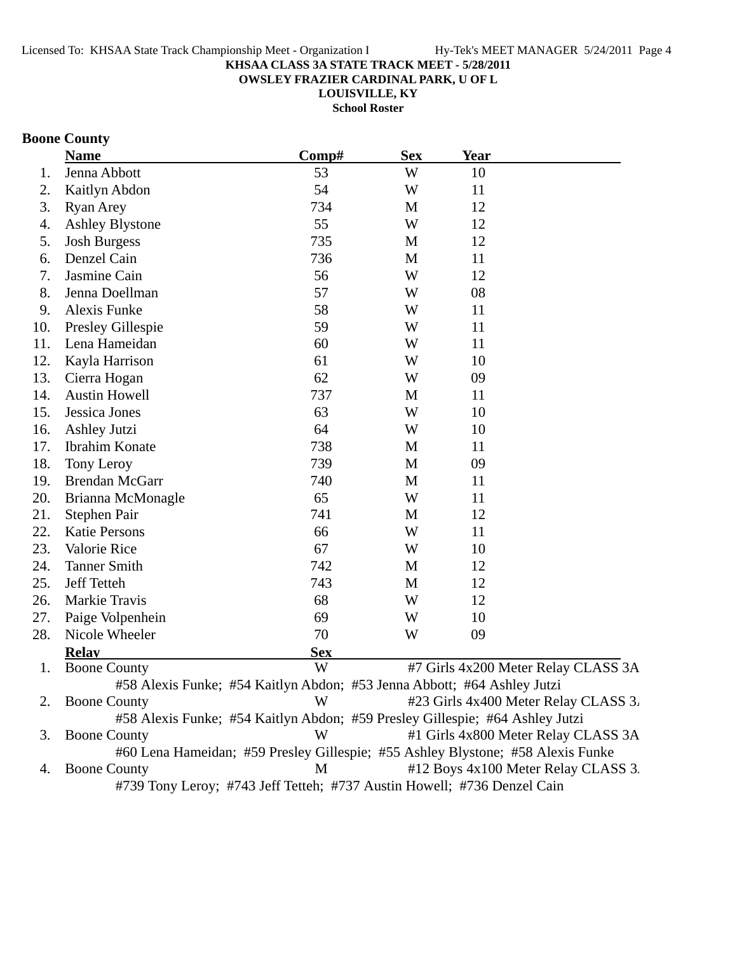**OWSLEY FRAZIER CARDINAL PARK, U OF L**

**LOUISVILLE, KY School Roster**

# **Boone County**

|     | <b>Name</b>                                                             | Comp#      | <b>Sex</b> | <b>Year</b>                                                                     |
|-----|-------------------------------------------------------------------------|------------|------------|---------------------------------------------------------------------------------|
| 1.  | Jenna Abbott                                                            | 53         | W          | 10                                                                              |
| 2.  | Kaitlyn Abdon                                                           | 54         | W          | 11                                                                              |
| 3.  | <b>Ryan Arey</b>                                                        | 734        | M          | 12                                                                              |
| 4.  | <b>Ashley Blystone</b>                                                  | 55         | W          | 12                                                                              |
| 5.  | <b>Josh Burgess</b>                                                     | 735        | M          | 12                                                                              |
| 6.  | Denzel Cain                                                             | 736        | M          | 11                                                                              |
| 7.  | Jasmine Cain                                                            | 56         | W          | 12                                                                              |
| 8.  | Jenna Doellman                                                          | 57         | W          | 08                                                                              |
| 9.  | Alexis Funke                                                            | 58         | W          | 11                                                                              |
| 10. | Presley Gillespie                                                       | 59         | W          | 11                                                                              |
| 11. | Lena Hameidan                                                           | 60         | W          | 11                                                                              |
| 12. | Kayla Harrison                                                          | 61         | W          | 10                                                                              |
| 13. | Cierra Hogan                                                            | 62         | W          | 09                                                                              |
| 14. | <b>Austin Howell</b>                                                    | 737        | M          | 11                                                                              |
| 15. | Jessica Jones                                                           | 63         | W          | 10                                                                              |
| 16. | <b>Ashley Jutzi</b>                                                     | 64         | W          | 10                                                                              |
| 17. | <b>Ibrahim Konate</b>                                                   | 738        | M          | 11                                                                              |
| 18. | Tony Leroy                                                              | 739        | M          | 09                                                                              |
| 19. | <b>Brendan McGarr</b>                                                   | 740        | M          | 11                                                                              |
| 20. | Brianna McMonagle                                                       | 65         | W          | 11                                                                              |
| 21. | Stephen Pair                                                            | 741        | M          | 12                                                                              |
| 22. | <b>Katie Persons</b>                                                    | 66         | W          | 11                                                                              |
| 23. | Valorie Rice                                                            | 67         | W          | 10                                                                              |
| 24. | <b>Tanner Smith</b>                                                     | 742        | M          | 12                                                                              |
| 25. | <b>Jeff Tetteh</b>                                                      | 743        | M          | 12                                                                              |
| 26. | Markie Travis                                                           | 68         | W          | 12                                                                              |
| 27. | Paige Volpenhein                                                        | 69         | W          | 10                                                                              |
| 28. | Nicole Wheeler                                                          | 70         | W          | 09                                                                              |
|     | <b>Relav</b>                                                            | <b>Sex</b> |            |                                                                                 |
| 1.  | <b>Boone County</b>                                                     | W          |            | #7 Girls 4x200 Meter Relay CLASS 3A                                             |
|     | #58 Alexis Funke; #54 Kaitlyn Abdon; #53 Jenna Abbott; #64 Ashley Jutzi |            |            |                                                                                 |
| 2.  | <b>Boone County</b>                                                     | W          |            | #23 Girls 4x400 Meter Relay CLASS 3.                                            |
|     |                                                                         |            |            | #58 Alexis Funke; #54 Kaitlyn Abdon; #59 Presley Gillespie; #64 Ashley Jutzi    |
| 3.  | <b>Boone County</b>                                                     | W          |            | #1 Girls 4x800 Meter Relay CLASS 3A                                             |
|     |                                                                         |            |            | #60 Lena Hameidan; #59 Presley Gillespie; #55 Ashley Blystone; #58 Alexis Funke |
| 4.  | <b>Boone County</b>                                                     | M          |            | #12 Boys 4x100 Meter Relay CLASS 3.                                             |
|     | #739 Tony Leroy; #743 Jeff Tetteh; #737 Austin Howell; #736 Denzel Cain |            |            |                                                                                 |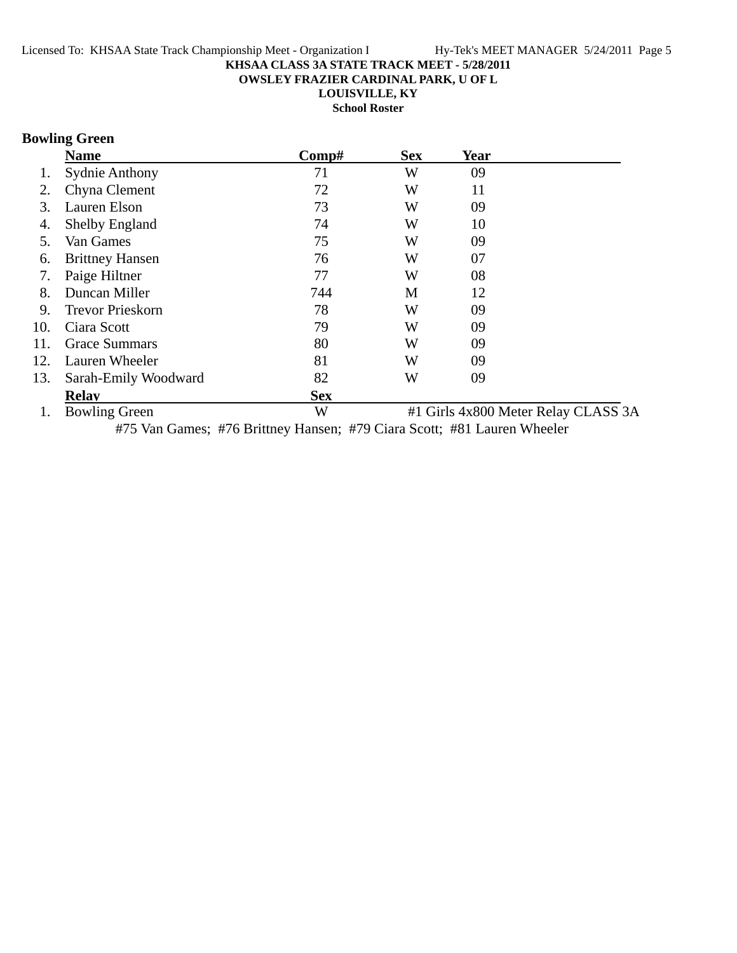**OWSLEY FRAZIER CARDINAL PARK, U OF L**

**LOUISVILLE, KY**

**School Roster**

# **Bowling Green**

|     | <b>Name</b>             | Comp#      | <b>Sex</b> | Year |                                     |
|-----|-------------------------|------------|------------|------|-------------------------------------|
| Ī.  | <b>Sydnie Anthony</b>   | 71         | W          | 09   |                                     |
| 2.  | Chyna Clement           | 72         | W          | 11   |                                     |
| 3.  | Lauren Elson            | 73         | W          | 09   |                                     |
| 4.  | <b>Shelby England</b>   | 74         | W          | 10   |                                     |
| 5.  | Van Games               | 75         | W          | 09   |                                     |
| 6.  | <b>Brittney Hansen</b>  | 76         | W          | 07   |                                     |
| 7.  | Paige Hiltner           | 77         | W          | 08   |                                     |
| 8.  | Duncan Miller           | 744        | M          | 12   |                                     |
| 9.  | <b>Trevor Prieskorn</b> | 78         | W          | 09   |                                     |
| 10. | Ciara Scott             | 79         | W          | 09   |                                     |
| 11. | <b>Grace Summars</b>    | 80         | W          | 09   |                                     |
| 12. | Lauren Wheeler          | 81         | W          | 09   |                                     |
| 13. | Sarah-Emily Woodward    | 82         | W          | 09   |                                     |
|     | <b>Relav</b>            | <b>Sex</b> |            |      |                                     |
|     | <b>Bowling Green</b>    | W          |            |      | #1 Girls 4x800 Meter Relay CLASS 3A |

#75 Van Games; #76 Brittney Hansen; #79 Ciara Scott; #81 Lauren Wheeler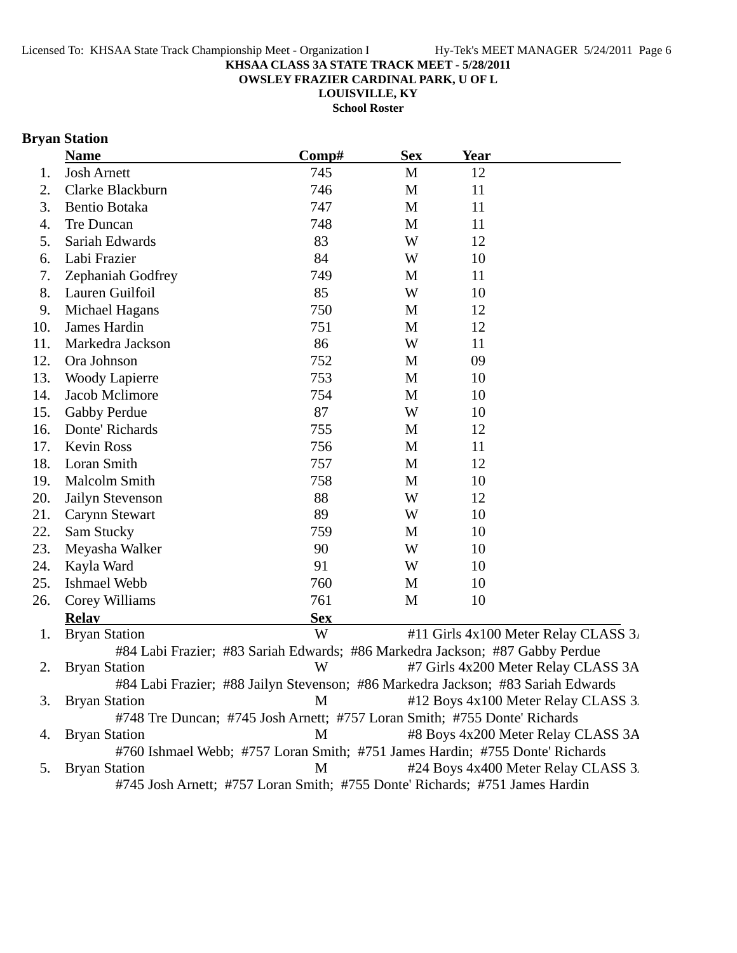**OWSLEY FRAZIER CARDINAL PARK, U OF L**

**LOUISVILLE, KY**

**School Roster**

# **Bryan Station**

|     | <b>Name</b>                                                                 | Comp#      | <b>Sex</b> | <b>Year</b>                                                                      |
|-----|-----------------------------------------------------------------------------|------------|------------|----------------------------------------------------------------------------------|
| 1.  | <b>Josh Arnett</b>                                                          | 745        | M          | 12                                                                               |
| 2.  | Clarke Blackburn                                                            | 746        | M          | 11                                                                               |
| 3.  | Bentio Botaka                                                               | 747        | M          | 11                                                                               |
| 4.  | Tre Duncan                                                                  | 748        | M          | 11                                                                               |
| 5.  | Sariah Edwards                                                              | 83         | W          | 12                                                                               |
| 6.  | Labi Frazier                                                                | 84         | W          | 10                                                                               |
| 7.  | Zephaniah Godfrey                                                           | 749        | M          | 11                                                                               |
| 8.  | Lauren Guilfoil                                                             | 85         | W          | 10                                                                               |
| 9.  | Michael Hagans                                                              | 750        | M          | 12                                                                               |
| 10. | <b>James Hardin</b>                                                         | 751        | M          | 12                                                                               |
| 11. | Markedra Jackson                                                            | 86         | W          | 11                                                                               |
| 12. | Ora Johnson                                                                 | 752        | M          | 09                                                                               |
| 13. | <b>Woody Lapierre</b>                                                       | 753        | M          | 10                                                                               |
| 14. | Jacob Mclimore                                                              | 754        | M          | 10                                                                               |
| 15. | Gabby Perdue                                                                | 87         | W          | 10                                                                               |
| 16. | Donte' Richards                                                             | 755        | M          | 12                                                                               |
| 17. | <b>Kevin Ross</b>                                                           | 756        | M          | 11                                                                               |
| 18. | Loran Smith                                                                 | 757        | M          | 12                                                                               |
| 19. | Malcolm Smith                                                               | 758        | M          | 10                                                                               |
| 20. | Jailyn Stevenson                                                            | 88         | W          | 12                                                                               |
| 21. | Carynn Stewart                                                              | 89         | W          | 10                                                                               |
| 22. | Sam Stucky                                                                  | 759        | M          | 10                                                                               |
| 23. | Meyasha Walker                                                              | 90         | W          | 10                                                                               |
| 24. | Kayla Ward                                                                  | 91         | W          | 10                                                                               |
| 25. | <b>Ishmael Webb</b>                                                         | 760        | M          | 10                                                                               |
| 26. | Corey Williams                                                              | 761        | M          | 10                                                                               |
|     | <b>Relay</b>                                                                | <b>Sex</b> |            |                                                                                  |
| 1.  | <b>Bryan Station</b>                                                        | W          |            | #11 Girls 4x100 Meter Relay CLASS 3.                                             |
|     |                                                                             |            |            | #84 Labi Frazier; #83 Sariah Edwards; #86 Markedra Jackson; #87 Gabby Perdue     |
| 2.  | <b>Bryan Station</b>                                                        | W          |            | #7 Girls 4x200 Meter Relay CLASS 3A                                              |
|     |                                                                             |            |            | #84 Labi Frazier; #88 Jailyn Stevenson; #86 Markedra Jackson; #83 Sariah Edwards |
| 3.  | <b>Bryan Station</b>                                                        | M          |            | #12 Boys 4x100 Meter Relay CLASS 3.                                              |
|     | #748 Tre Duncan; #745 Josh Arnett; #757 Loran Smith; #755 Donte' Richards   |            |            |                                                                                  |
| 4.  | <b>Bryan Station</b>                                                        | M          |            | #8 Boys 4x200 Meter Relay CLASS 3A                                               |
|     |                                                                             |            |            | #760 Ishmael Webb; #757 Loran Smith; #751 James Hardin; #755 Donte' Richards     |
| 5.  | <b>Bryan Station</b>                                                        | M          |            | #24 Boys 4x400 Meter Relay CLASS 3.                                              |
|     | #745 Josh Arnett; #757 Loran Smith; #755 Donte' Richards; #751 James Hardin |            |            |                                                                                  |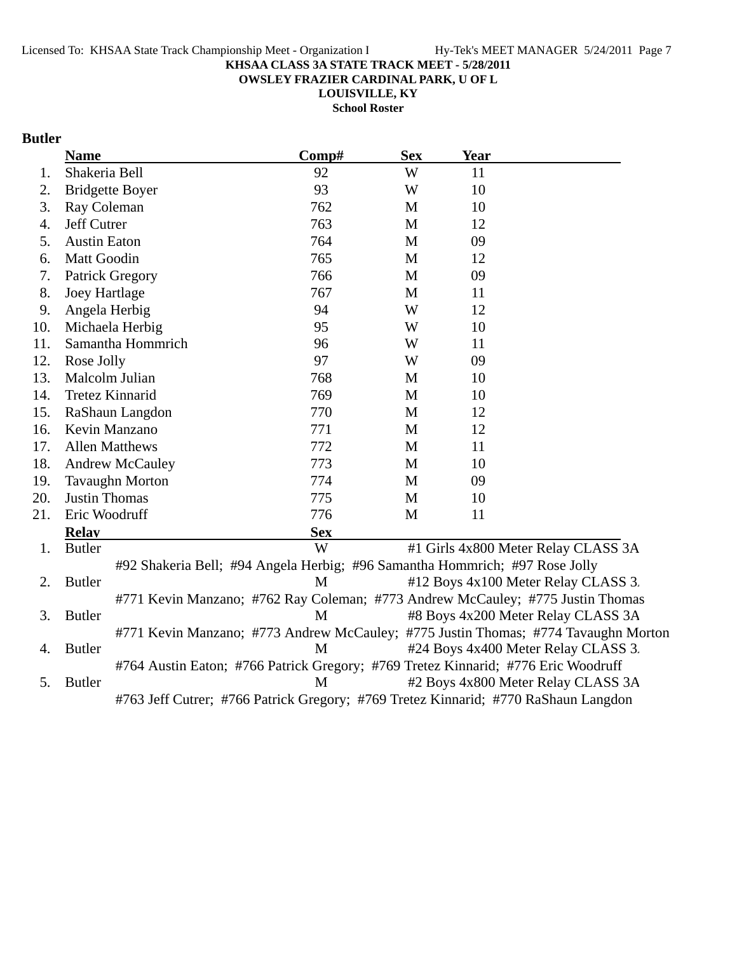**OWSLEY FRAZIER CARDINAL PARK, U OF L**

**LOUISVILLE, KY**

**School Roster**

## **Butler**

|     | <b>Name</b>            | Comp#                                                                              | <b>Sex</b> | <b>Year</b> |                                                                                    |
|-----|------------------------|------------------------------------------------------------------------------------|------------|-------------|------------------------------------------------------------------------------------|
| 1.  | Shakeria Bell          | 92                                                                                 | W          | 11          |                                                                                    |
| 2.  | <b>Bridgette Boyer</b> | 93                                                                                 | W          | 10          |                                                                                    |
| 3.  | Ray Coleman            | 762                                                                                | M          | 10          |                                                                                    |
| 4.  | Jeff Cutrer            | 763                                                                                | M          | 12          |                                                                                    |
| 5.  | <b>Austin Eaton</b>    | 764                                                                                | M          | 09          |                                                                                    |
| 6.  | Matt Goodin            | 765                                                                                | M          | 12          |                                                                                    |
| 7.  | <b>Patrick Gregory</b> | 766                                                                                | M          | 09          |                                                                                    |
| 8.  | <b>Joey Hartlage</b>   | 767                                                                                | M          | 11          |                                                                                    |
| 9.  | Angela Herbig          | 94                                                                                 | W          | 12          |                                                                                    |
| 10. | Michaela Herbig        | 95                                                                                 | W          | 10          |                                                                                    |
| 11. | Samantha Hommrich      | 96                                                                                 | W          | 11          |                                                                                    |
| 12. | Rose Jolly             | 97                                                                                 | W          | 09          |                                                                                    |
| 13. | Malcolm Julian         | 768                                                                                | M          | 10          |                                                                                    |
| 14. | <b>Tretez Kinnarid</b> | 769                                                                                | M          | 10          |                                                                                    |
| 15. | RaShaun Langdon        | 770                                                                                | M          | 12          |                                                                                    |
| 16. | Kevin Manzano          | 771                                                                                | M          | 12          |                                                                                    |
| 17. | <b>Allen Matthews</b>  | 772                                                                                | M          | 11          |                                                                                    |
| 18. | <b>Andrew McCauley</b> | 773                                                                                | M          | 10          |                                                                                    |
| 19. | <b>Tavaughn Morton</b> | 774                                                                                | M          | 09          |                                                                                    |
| 20. | <b>Justin Thomas</b>   | 775                                                                                | M          | 10          |                                                                                    |
| 21. | Eric Woodruff          | 776                                                                                | M          | 11          |                                                                                    |
|     | <b>Relav</b>           | <b>Sex</b>                                                                         |            |             |                                                                                    |
| 1.  | <b>Butler</b>          | W                                                                                  |            |             | #1 Girls 4x800 Meter Relay CLASS 3A                                                |
|     |                        | #92 Shakeria Bell; #94 Angela Herbig; #96 Samantha Hommrich; #97 Rose Jolly        |            |             |                                                                                    |
| 2.  | <b>Butler</b>          | M                                                                                  |            |             | #12 Boys 4x100 Meter Relay CLASS 3.                                                |
|     |                        | #771 Kevin Manzano; #762 Ray Coleman; #773 Andrew McCauley; #775 Justin Thomas     |            |             |                                                                                    |
| 3.  | <b>Butler</b>          | M                                                                                  |            |             | #8 Boys 4x200 Meter Relay CLASS 3A                                                 |
|     |                        |                                                                                    |            |             | #771 Kevin Manzano; #773 Andrew McCauley; #775 Justin Thomas; #774 Tavaughn Morton |
| 4.  | <b>Butler</b>          | M                                                                                  |            |             | #24 Boys 4x400 Meter Relay CLASS 3.                                                |
|     |                        | #764 Austin Eaton; #766 Patrick Gregory; #769 Tretez Kinnarid; #776 Eric Woodruff  |            |             |                                                                                    |
| 5.  | <b>Butler</b>          | M                                                                                  |            |             | #2 Boys 4x800 Meter Relay CLASS 3A                                                 |
|     |                        | #763 Jeff Cutrer; #766 Patrick Gregory; #769 Tretez Kinnarid; #770 RaShaun Langdon |            |             |                                                                                    |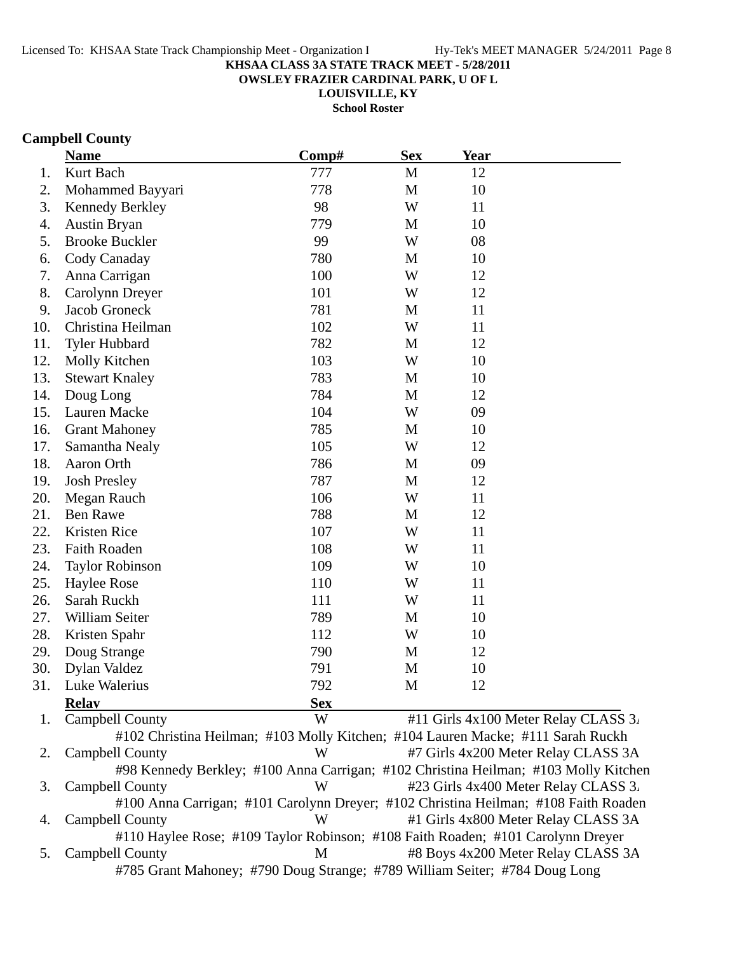**OWSLEY FRAZIER CARDINAL PARK, U OF L**

**LOUISVILLE, KY**

**School Roster**

## **Campbell County**

|     | <b>Name</b>            | Comp#      | <b>Sex</b>   | <b>Year</b>                          |
|-----|------------------------|------------|--------------|--------------------------------------|
| 1.  | Kurt Bach              | 777        | $\mathbf{M}$ | 12                                   |
| 2.  | Mohammed Bayyari       | 778        | $\mathbf{M}$ | 10                                   |
| 3.  | Kennedy Berkley        | 98         | W            | 11                                   |
| 4.  | Austin Bryan           | 779        | M            | 10                                   |
| 5.  | <b>Brooke Buckler</b>  | 99         | W            | 08                                   |
| 6.  | Cody Canaday           | 780        | $\mathbf M$  | 10                                   |
| 7.  | Anna Carrigan          | 100        | W            | 12                                   |
| 8.  | Carolynn Dreyer        | 101        | W            | 12                                   |
| 9.  | Jacob Groneck          | 781        | M            | 11                                   |
| 10. | Christina Heilman      | 102        | W            | 11                                   |
| 11. | <b>Tyler Hubbard</b>   | 782        | $\mathbf M$  | 12                                   |
| 12. | Molly Kitchen          | 103        | W            | 10                                   |
| 13. | <b>Stewart Knaley</b>  | 783        | M            | 10                                   |
| 14. | Doug Long              | 784        | M            | 12                                   |
| 15. | Lauren Macke           | 104        | W            | 09                                   |
| 16. | <b>Grant Mahoney</b>   | 785        | $\mathbf M$  | 10                                   |
| 17. | Samantha Nealy         | 105        | W            | 12                                   |
| 18. | Aaron Orth             | 786        | M            | 09                                   |
| 19. | <b>Josh Presley</b>    | 787        | M            | 12                                   |
| 20. | Megan Rauch            | 106        | W            | 11                                   |
| 21. | <b>Ben Rawe</b>        | 788        | M            | 12                                   |
| 22. | Kristen Rice           | 107        | W            | 11                                   |
| 23. | Faith Roaden           | 108        | W            | 11                                   |
| 24. | <b>Taylor Robinson</b> | 109        | W            | 10                                   |
| 25. | Haylee Rose            | 110        | W            | 11                                   |
| 26. | Sarah Ruckh            | 111        | W            | 11                                   |
| 27. | William Seiter         | 789        | M            | 10                                   |
| 28. | Kristen Spahr          | 112        | W            | 10                                   |
| 29. | Doug Strange           | 790        | $\mathbf M$  | 12                                   |
| 30. | Dylan Valdez           | 791        | M            | 10                                   |
| 31. | Luke Walerius          | 792        | $\mathbf M$  | 12                                   |
|     | <b>Relav</b>           | <b>Sex</b> |              |                                      |
| 1.  | Campbell County        | W          |              | #11 Girls 4x100 Meter Relay CLASS 3. |

#102 Christina Heilman; #103 Molly Kitchen; #104 Lauren Macke; #111 Sarah Ruckh 2. Campbell County W #7 Girls 4x200 Meter Relay CLASS 3A #98 Kennedy Berkley; #100 Anna Carrigan; #102 Christina Heilman; #103 Molly Kitchen 3. Campbell County W #23 Girls 4x400 Meter Relay CLASS 3. #100 Anna Carrigan; #101 Carolynn Dreyer; #102 Christina Heilman; #108 Faith Roaden 4. Campbell County W #1 Girls 4x800 Meter Relay CLASS 3A #110 Haylee Rose; #109 Taylor Robinson; #108 Faith Roaden; #101 Carolynn Dreyer 5. Campbell County M #8 Boys 4x200 Meter Relay CLASS 3A #785 Grant Mahoney; #790 Doug Strange; #789 William Seiter; #784 Doug Long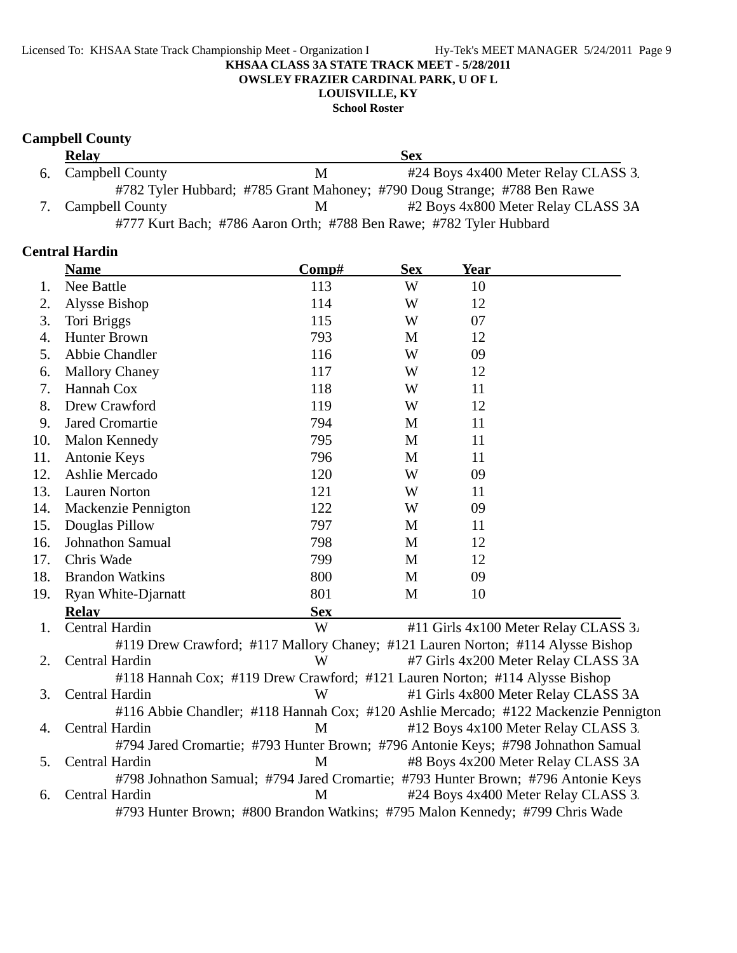**School Roster**

## **Campbell County**

| <b>Relay</b>                                                       |   | Sex                                                                      |  |  |  |
|--------------------------------------------------------------------|---|--------------------------------------------------------------------------|--|--|--|
| 6. Campbell County                                                 | M | #24 Boys 4x400 Meter Relay CLASS 3.                                      |  |  |  |
|                                                                    |   | #782 Tyler Hubbard; #785 Grant Mahoney; #790 Doug Strange; #788 Ben Rawe |  |  |  |
| 7. Campbell County                                                 | M | #2 Boys 4x800 Meter Relay CLASS 3A                                       |  |  |  |
| #777 Kurt Bach; #786 Aaron Orth; #788 Ben Rawe; #782 Tyler Hubbard |   |                                                                          |  |  |  |

## **Central Hardin**

|     | <b>Name</b>                | Comp#                                                                             | <b>Sex</b> | <b>Year</b> |                                                                                     |
|-----|----------------------------|-----------------------------------------------------------------------------------|------------|-------------|-------------------------------------------------------------------------------------|
| 1.  | Nee Battle                 | 113                                                                               | W          | 10          |                                                                                     |
| 2.  | Alysse Bishop              | 114                                                                               | W          | 12          |                                                                                     |
| 3.  | Tori Briggs                | 115                                                                               | W          | 07          |                                                                                     |
| 4.  | <b>Hunter Brown</b>        | 793                                                                               | M          | 12          |                                                                                     |
| 5.  | Abbie Chandler             | 116                                                                               | W          | 09          |                                                                                     |
| 6.  | <b>Mallory Chaney</b>      | 117                                                                               | W          | 12          |                                                                                     |
| 7.  | Hannah Cox                 | 118                                                                               | W          | 11          |                                                                                     |
| 8.  | Drew Crawford              | 119                                                                               | W          | 12          |                                                                                     |
| 9.  | Jared Cromartie            | 794                                                                               | M          | 11          |                                                                                     |
| 10. | <b>Malon Kennedy</b>       | 795                                                                               | M          | 11          |                                                                                     |
| 11. | Antonie Keys               | 796                                                                               | M          | 11          |                                                                                     |
| 12. | Ashlie Mercado             | 120                                                                               | W          | 09          |                                                                                     |
| 13. | <b>Lauren Norton</b>       | 121                                                                               | W          | 11          |                                                                                     |
| 14. | Mackenzie Pennigton        | 122                                                                               | W          | 09          |                                                                                     |
| 15. | Douglas Pillow             | 797                                                                               | M          | 11          |                                                                                     |
| 16. | Johnathon Samual           | 798                                                                               | M          | 12          |                                                                                     |
| 17. | Chris Wade                 | 799                                                                               | M          | 12          |                                                                                     |
| 18. | <b>Brandon Watkins</b>     | 800                                                                               | M          | 09          |                                                                                     |
| 19. | <b>Ryan White-Djarnatt</b> | 801                                                                               | M          | 10          |                                                                                     |
|     | <b>Relay</b>               | <b>Sex</b>                                                                        |            |             |                                                                                     |
| 1.  | Central Hardin             | W                                                                                 |            |             | #11 Girls 4x100 Meter Relay CLASS 3.                                                |
|     |                            | #119 Drew Crawford; #117 Mallory Chaney; #121 Lauren Norton; #114 Alysse Bishop   |            |             |                                                                                     |
| 2.  | Central Hardin             | W                                                                                 |            |             | #7 Girls 4x200 Meter Relay CLASS 3A                                                 |
|     |                            | #118 Hannah Cox; #119 Drew Crawford; #121 Lauren Norton; #114 Alysse Bishop       |            |             |                                                                                     |
| 3.  | Central Hardin             | W                                                                                 |            |             | #1 Girls 4x800 Meter Relay CLASS 3A                                                 |
|     |                            |                                                                                   |            |             | #116 Abbie Chandler; #118 Hannah Cox; #120 Ashlie Mercado; #122 Mackenzie Pennigton |
| 4.  | Central Hardin             | M                                                                                 |            |             | #12 Boys 4x100 Meter Relay CLASS 3.                                                 |
|     |                            | #794 Jared Cromartie; #793 Hunter Brown; #796 Antonie Keys; #798 Johnathon Samual |            |             |                                                                                     |
| 5.  | Central Hardin             | M                                                                                 |            |             | #8 Boys 4x200 Meter Relay CLASS 3A                                                  |
|     |                            | #798 Johnathon Samual; #794 Jared Cromartie; #793 Hunter Brown; #796 Antonie Keys |            |             |                                                                                     |
| 6.  | Central Hardin             | M                                                                                 |            |             | #24 Boys 4x400 Meter Relay CLASS 3.                                                 |
|     |                            | #793 Hunter Brown; #800 Brandon Watkins; #795 Malon Kennedy; #799 Chris Wade      |            |             |                                                                                     |
|     |                            |                                                                                   |            |             |                                                                                     |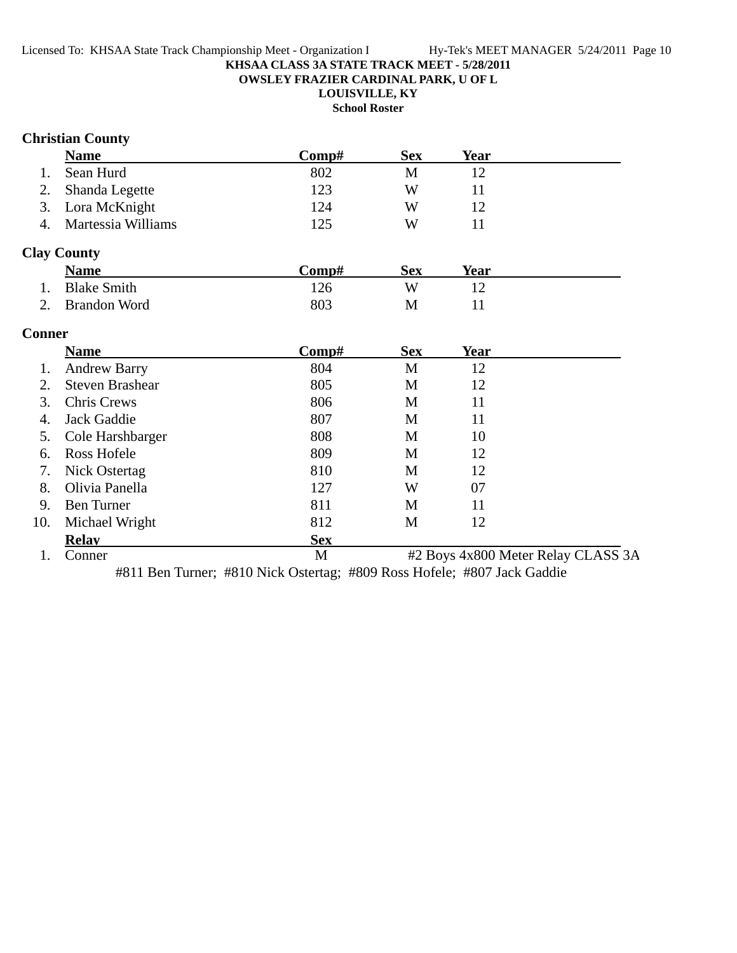**OWSLEY FRAZIER CARDINAL PARK, U OF L**

# **LOUISVILLE, KY**

**School Roster**

# **Christian County**

|    | <b>Name</b>           | Comp# | <b>Sex</b> | Year |  |
|----|-----------------------|-------|------------|------|--|
| 1. | Sean Hurd             | 802   | M          |      |  |
|    | 2. Shanda Legette     | 123   | W          |      |  |
|    | 3. Lora McKnight      | 124   | W          | 12   |  |
|    | 4. Martessia Williams | 125   | W          |      |  |

# **Clay County**

|    | <b>Name</b>        | C <b>omp#</b> | Sex | Year |
|----|--------------------|---------------|-----|------|
| 1. | <b>Blake Smith</b> | 126           |     |      |
|    | 2. Brandon Word    | 803           |     |      |

# **Conner**

|     | <b>Name</b>            | Comp#      | <b>Sex</b> | Year |                                    |
|-----|------------------------|------------|------------|------|------------------------------------|
|     | <b>Andrew Barry</b>    | 804        | M          | 12   |                                    |
| 2.  | <b>Steven Brashear</b> | 805        | M          | 12   |                                    |
| 3.  | <b>Chris Crews</b>     | 806        | M          | 11   |                                    |
| 4.  | Jack Gaddie            | 807        | M          | 11   |                                    |
| 5.  | Cole Harshbarger       | 808        | M          | 10   |                                    |
| 6.  | <b>Ross Hofele</b>     | 809        | M          | 12   |                                    |
| 7.  | Nick Ostertag          | 810        | M          | 12   |                                    |
| 8.  | Olivia Panella         | 127        | W          | 07   |                                    |
| 9.  | <b>Ben Turner</b>      | 811        | M          | 11   |                                    |
| 10. | Michael Wright         | 812        | M          | 12   |                                    |
|     | <b>Relav</b>           | <b>Sex</b> |            |      |                                    |
|     | Conner                 | M          |            |      | #2 Boys 4x800 Meter Relay CLASS 3A |

#811 Ben Turner; #810 Nick Ostertag; #809 Ross Hofele; #807 Jack Gaddie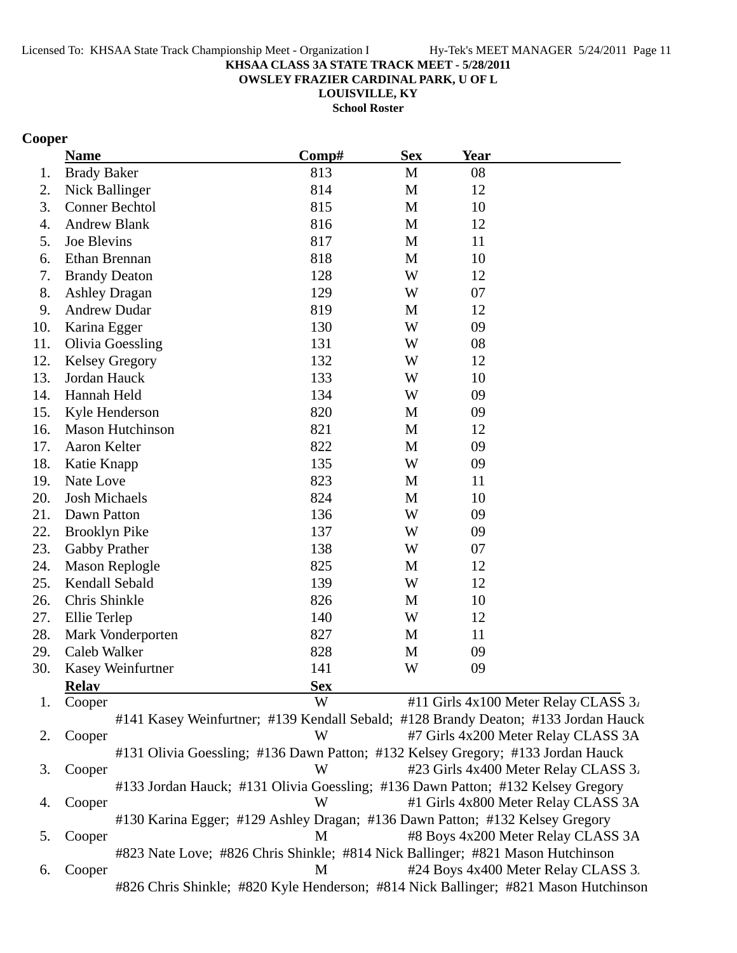**OWSLEY FRAZIER CARDINAL PARK, U OF L**

**LOUISVILLE, KY**

**School Roster**

## **Cooper**

|     | <b>Name</b>             | Comp#                                                                              | <b>Sex</b> | <b>Year</b> |                                      |
|-----|-------------------------|------------------------------------------------------------------------------------|------------|-------------|--------------------------------------|
| 1.  | <b>Brady Baker</b>      | 813                                                                                | M          | 08          |                                      |
| 2.  | Nick Ballinger          | 814                                                                                | M          | 12          |                                      |
| 3.  | <b>Conner Bechtol</b>   | 815                                                                                | M          | 10          |                                      |
| 4.  | <b>Andrew Blank</b>     | 816                                                                                | M          | 12          |                                      |
| 5.  | Joe Blevins             | 817                                                                                | M          | 11          |                                      |
| 6.  | Ethan Brennan           | 818                                                                                | M          | 10          |                                      |
| 7.  | <b>Brandy Deaton</b>    | 128                                                                                | W          | 12          |                                      |
| 8.  | <b>Ashley Dragan</b>    | 129                                                                                | W          | 07          |                                      |
| 9.  | <b>Andrew Dudar</b>     | 819                                                                                | M          | 12          |                                      |
| 10. | Karina Egger            | 130                                                                                | W          | 09          |                                      |
| 11. | <b>Olivia Goessling</b> | 131                                                                                | W          | 08          |                                      |
| 12. | <b>Kelsey Gregory</b>   | 132                                                                                | W          | 12          |                                      |
| 13. | Jordan Hauck            | 133                                                                                | W          | 10          |                                      |
| 14. | Hannah Held             | 134                                                                                | W          | 09          |                                      |
| 15. | Kyle Henderson          | 820                                                                                | M          | 09          |                                      |
| 16. | <b>Mason Hutchinson</b> | 821                                                                                | M          | 12          |                                      |
| 17. | Aaron Kelter            | 822                                                                                | M          | 09          |                                      |
| 18. | Katie Knapp             | 135                                                                                | W          | 09          |                                      |
| 19. | Nate Love               | 823                                                                                | M          | 11          |                                      |
| 20. | <b>Josh Michaels</b>    | 824                                                                                | M          | 10          |                                      |
| 21. | Dawn Patton             | 136                                                                                | W          | 09          |                                      |
| 22. | <b>Brooklyn Pike</b>    | 137                                                                                | W          | 09          |                                      |
| 23. | Gabby Prather           | 138                                                                                | W          | 07          |                                      |
| 24. | <b>Mason Replogle</b>   | 825                                                                                | M          | 12          |                                      |
| 25. | Kendall Sebald          | 139                                                                                | W          | 12          |                                      |
| 26. | Chris Shinkle           | 826                                                                                | M          | 10          |                                      |
| 27. | Ellie Terlep            | 140                                                                                | W          | 12          |                                      |
| 28. | Mark Vonderporten       | 827                                                                                | M          | 11          |                                      |
| 29. | Caleb Walker            | 828                                                                                | M          | 09          |                                      |
| 30. | Kasey Weinfurtner       | 141                                                                                | W          | 09          |                                      |
|     | <b>Relay</b>            | <b>Sex</b>                                                                         |            |             |                                      |
| 1.  | Cooper                  | W                                                                                  |            |             | #11 Girls 4x100 Meter Relay CLASS 3. |
|     |                         | #141 Kasey Weinfurtner; #139 Kendall Sebald; #128 Brandy Deaton; #133 Jordan Hauck |            |             |                                      |
| 2.  | Cooper                  | W                                                                                  |            |             | #7 Girls 4x200 Meter Relay CLASS 3A  |
|     |                         | #131 Olivia Goessling; #136 Dawn Patton; #132 Kelsey Gregory; #133 Jordan Hauck    |            |             |                                      |
| 3.  | Cooper                  | W                                                                                  |            |             | #23 Girls 4x400 Meter Relay CLASS 3. |

#133 Jordan Hauck; #131 Olivia Goessling; #136 Dawn Patton; #132 Kelsey Gregory 4. Cooper W #1 Girls 4x800 Meter Relay CLASS 3A #130 Karina Egger; #129 Ashley Dragan; #136 Dawn Patton; #132 Kelsey Gregory 5. Cooper M #8 Boys 4x200 Meter Relay CLASS 3A

#823 Nate Love; #826 Chris Shinkle; #814 Nick Ballinger; #821 Mason Hutchinson 6. Cooper M #24 Boys 4x400 Meter Relay CLASS 3. #826 Chris Shinkle; #820 Kyle Henderson; #814 Nick Ballinger; #821 Mason Hutchinson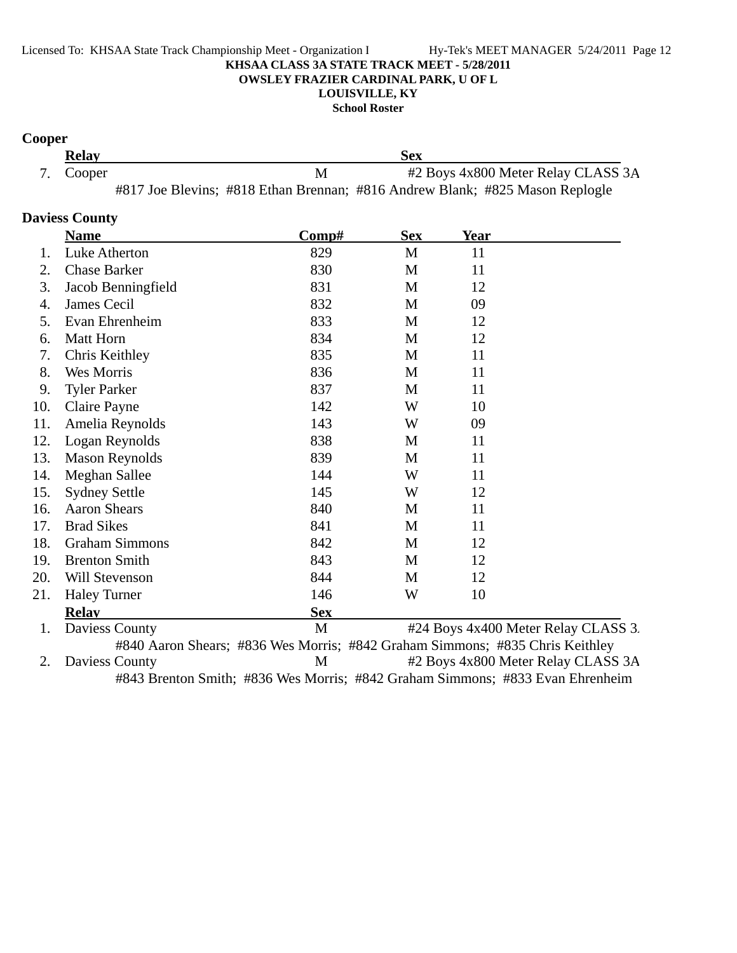**School Roster**

## **Cooper**

| <b>Relay</b> | Sex                                                                          |  |  |
|--------------|------------------------------------------------------------------------------|--|--|
| 7. Cooper    | #2 Boys 4x800 Meter Relay CLASS 3A                                           |  |  |
|              | #817 Joe Blevins; #818 Ethan Brennan; #816 Andrew Blank; #825 Mason Replogle |  |  |

## **Daviess County**

|     | <b>Name</b>           | $\bf Comp\#$                                                                 | <b>Sex</b> | Year |                                     |
|-----|-----------------------|------------------------------------------------------------------------------|------------|------|-------------------------------------|
| 1.  | Luke Atherton         | 829                                                                          | M          | 11   |                                     |
| 2.  | <b>Chase Barker</b>   | 830                                                                          | M          | 11   |                                     |
| 3.  | Jacob Benningfield    | 831                                                                          | M          | 12   |                                     |
| 4.  | James Cecil           | 832                                                                          | M          | 09   |                                     |
| 5.  | Evan Ehrenheim        | 833                                                                          | M          | 12   |                                     |
| 6.  | <b>Matt Horn</b>      | 834                                                                          | M          | 12   |                                     |
| 7.  | Chris Keithley        | 835                                                                          | M          | 11   |                                     |
| 8.  | Wes Morris            | 836                                                                          | M          | 11   |                                     |
| 9.  | <b>Tyler Parker</b>   | 837                                                                          | M          | 11   |                                     |
| 10. | Claire Payne          | 142                                                                          | W          | 10   |                                     |
| 11. | Amelia Reynolds       | 143                                                                          | W          | 09   |                                     |
| 12. | Logan Reynolds        | 838                                                                          | M          | 11   |                                     |
| 13. | <b>Mason Reynolds</b> | 839                                                                          | M          | 11   |                                     |
| 14. | Meghan Sallee         | 144                                                                          | W          | 11   |                                     |
| 15. | <b>Sydney Settle</b>  | 145                                                                          | W          | 12   |                                     |
| 16. | <b>Aaron Shears</b>   | 840                                                                          | M          | 11   |                                     |
| 17. | <b>Brad Sikes</b>     | 841                                                                          | M          | 11   |                                     |
| 18. | <b>Graham Simmons</b> | 842                                                                          | M          | 12   |                                     |
| 19. | <b>Brenton Smith</b>  | 843                                                                          | M          | 12   |                                     |
| 20. | Will Stevenson        | 844                                                                          | M          | 12   |                                     |
| 21. | <b>Haley Turner</b>   | 146                                                                          | W          | 10   |                                     |
|     | <b>Relay</b>          | <b>Sex</b>                                                                   |            |      |                                     |
| 1.  | Daviess County        | M                                                                            |            |      | #24 Boys 4x400 Meter Relay CLASS 3. |
|     |                       | #840 Agron Shears: #836 Wes Morris: #842 Grabam Simmons: #835 Chris Keithley |            |      |                                     |

#840 Aaron Shears; #836 Wes Morris; #842 Graham Simmons; #835 Chris Keithley 2. Daviess County M #2 Boys 4x800 Meter Relay CLASS 3A #843 Brenton Smith; #836 Wes Morris; #842 Graham Simmons; #833 Evan Ehrenheim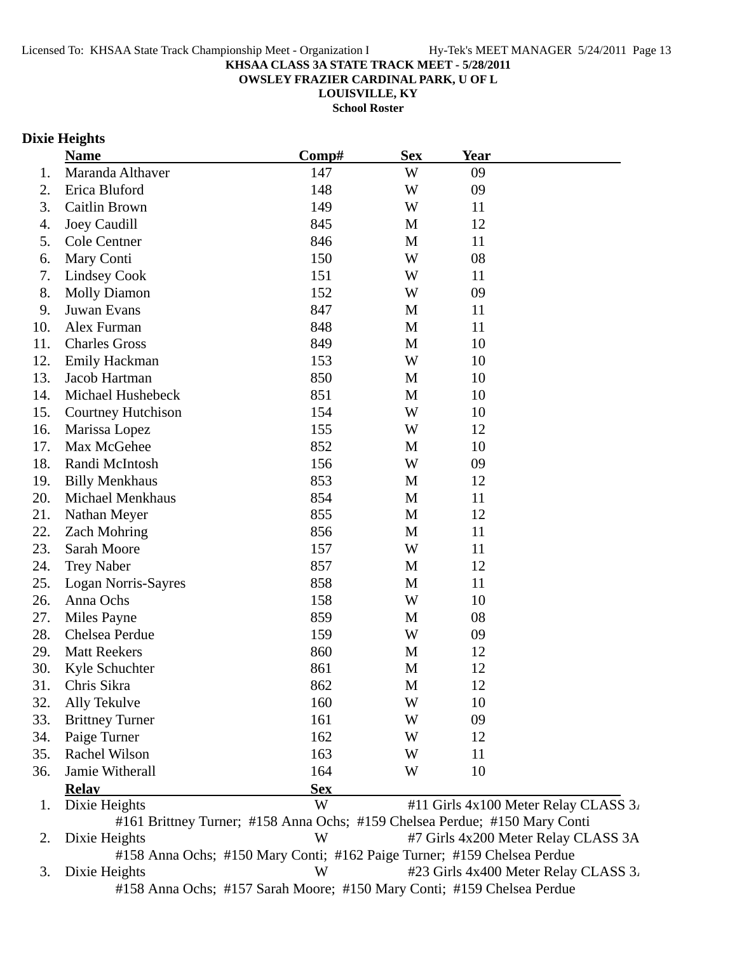**OWSLEY FRAZIER CARDINAL PARK, U OF L**

**LOUISVILLE, KY**

**School Roster**

# **Dixie Heights**

|     | <b>Name</b>               | Comp#                                                                      | <b>Sex</b>  | <b>Year</b> |                                      |
|-----|---------------------------|----------------------------------------------------------------------------|-------------|-------------|--------------------------------------|
| 1.  | Maranda Althaver          | 147                                                                        | W           | 09          |                                      |
| 2.  | Erica Bluford             | 148                                                                        | W           | 09          |                                      |
| 3.  | Caitlin Brown             | 149                                                                        | W           | 11          |                                      |
| 4.  | <b>Joey Caudill</b>       | 845                                                                        | M           | 12          |                                      |
| 5.  | Cole Centner              | 846                                                                        | M           | 11          |                                      |
| 6.  | Mary Conti                | 150                                                                        | W           | 08          |                                      |
| 7.  | <b>Lindsey Cook</b>       | 151                                                                        | W           | 11          |                                      |
| 8.  | <b>Molly Diamon</b>       | 152                                                                        | W           | 09          |                                      |
| 9.  | Juwan Evans               | 847                                                                        | M           | 11          |                                      |
| 10. | Alex Furman               | 848                                                                        | M           | 11          |                                      |
| 11. | <b>Charles Gross</b>      | 849                                                                        | M           | 10          |                                      |
| 12. | <b>Emily Hackman</b>      | 153                                                                        | W           | 10          |                                      |
| 13. | Jacob Hartman             | 850                                                                        | M           | 10          |                                      |
| 14. | Michael Hushebeck         | 851                                                                        | M           | 10          |                                      |
| 15. | <b>Courtney Hutchison</b> | 154                                                                        | W           | 10          |                                      |
| 16. | Marissa Lopez             | 155                                                                        | W           | 12          |                                      |
| 17. | Max McGehee               | 852                                                                        | M           | 10          |                                      |
| 18. | Randi McIntosh            | 156                                                                        | W           | 09          |                                      |
| 19. | <b>Billy Menkhaus</b>     | 853                                                                        | M           | 12          |                                      |
| 20. | <b>Michael Menkhaus</b>   | 854                                                                        | M           | 11          |                                      |
| 21. | Nathan Meyer              | 855                                                                        | M           | 12          |                                      |
| 22. | <b>Zach Mohring</b>       | 856                                                                        | M           | 11          |                                      |
| 23. | Sarah Moore               | 157                                                                        | W           | 11          |                                      |
| 24. | <b>Trey Naber</b>         | 857                                                                        | M           | 12          |                                      |
| 25. | Logan Norris-Sayres       | 858                                                                        | M           | 11          |                                      |
| 26. | Anna Ochs                 | 158                                                                        | W           | 10          |                                      |
| 27. | Miles Payne               | 859                                                                        | $\mathbf M$ | 08          |                                      |
| 28. | Chelsea Perdue            | 159                                                                        | W           | 09          |                                      |
| 29. | <b>Matt Reekers</b>       | 860                                                                        | M           | 12          |                                      |
| 30. | Kyle Schuchter            | 861                                                                        | M           | 12          |                                      |
| 31. | Chris Sikra               | 862                                                                        | М           | 12          |                                      |
| 32. | Ally Tekulve              | 160                                                                        | W           | 10          |                                      |
| 33. | <b>Brittney Turner</b>    | 161                                                                        | W           | 09          |                                      |
| 34. | Paige Turner              | 162                                                                        | W           | 12          |                                      |
| 35. | Rachel Wilson             | 163                                                                        | W           | 11          |                                      |
| 36. | Jamie Witherall           | 164                                                                        | W           | 10          |                                      |
|     | <b>Relav</b>              | <b>Sex</b>                                                                 |             |             |                                      |
| 1.  | Dixie Heights             | W                                                                          |             |             | #11 Girls 4x100 Meter Relay CLASS 3. |
|     |                           | #161 Brittney Turner; #158 Anna Ochs; #159 Chelsea Perdue; #150 Mary Conti |             |             |                                      |
| 2.  | Dixie Heights             | W                                                                          |             |             | #7 Girls 4x200 Meter Relay CLASS 3A  |
|     |                           | #158 Anna Ochs; #150 Mary Conti; #162 Paige Turner; #159 Chelsea Perdue    |             |             |                                      |
| 3.  | Dixie Heights             | W                                                                          |             |             | #23 Girls 4x400 Meter Relay CLASS 3. |
|     |                           | #158 Anna Ochs; #157 Sarah Moore; #150 Mary Conti; #159 Chelsea Perdue     |             |             |                                      |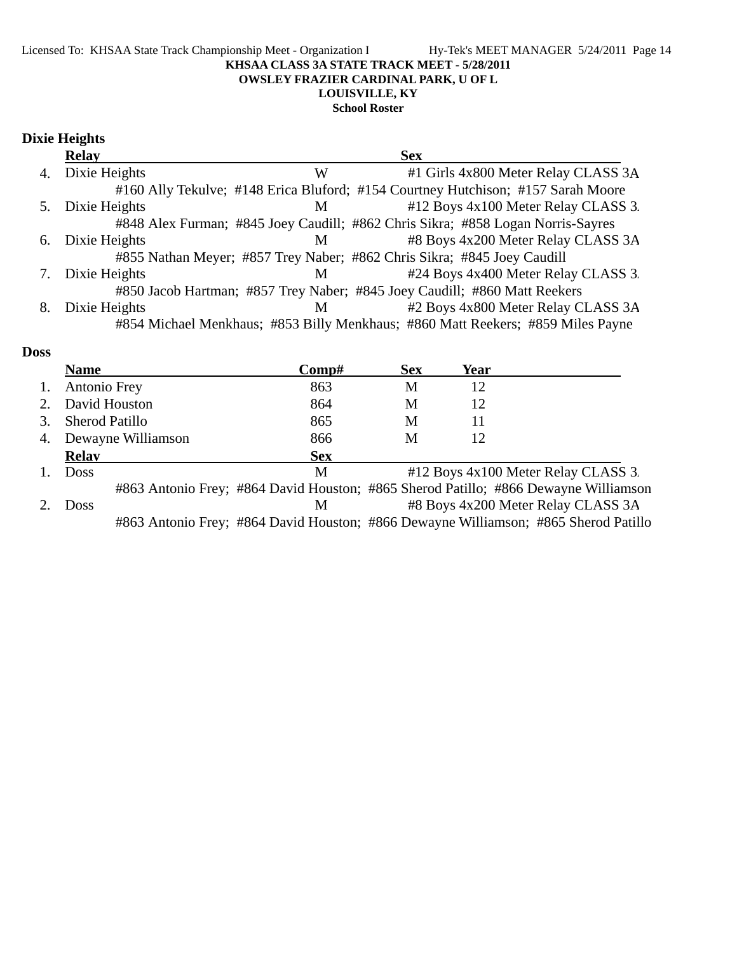#### Licensed To: KHSAA State Track Championship Meet - Organization I Hy-Tek's MEET MANAGER 5/24/2011 Page 14 **KHSAA CLASS 3A STATE TRACK MEET - 5/28/2011 OWSLEY FRAZIER CARDINAL PARK, U OF L LOUISVILLE, KY School Roster**

# **Dixie Heights**

|    | <b>Relay</b>  |   | <b>Sex</b>                                                                       |
|----|---------------|---|----------------------------------------------------------------------------------|
| 4. | Dixie Heights | W | #1 Girls 4x800 Meter Relay CLASS 3A                                              |
|    |               |   | #160 Ally Tekulve; #148 Erica Bluford; #154 Courtney Hutchison; #157 Sarah Moore |
| 5. | Dixie Heights | M | #12 Boys 4x100 Meter Relay CLASS 3.                                              |
|    |               |   | #848 Alex Furman; #845 Joey Caudill; #862 Chris Sikra; #858 Logan Norris-Sayres  |
| 6. | Dixie Heights | M | #8 Boys 4x200 Meter Relay CLASS 3A                                               |
|    |               |   | #855 Nathan Meyer; #857 Trey Naber; #862 Chris Sikra; #845 Joey Caudill          |
| 7. | Dixie Heights | M | #24 Boys 4x400 Meter Relay CLASS 3.                                              |
|    |               |   | #850 Jacob Hartman; #857 Trey Naber; #845 Joey Caudill; #860 Matt Reekers        |
| 8. | Dixie Heights | M | #2 Boys 4x800 Meter Relay CLASS 3A                                               |
|    |               |   | #854 Michael Menkhaus; #853 Billy Menkhaus; #860 Matt Reekers; #859 Miles Payne  |

### **Doss**

|    | <b>Name</b>        | Comp#                                                                               | <b>Sex</b> | Year |                                     |
|----|--------------------|-------------------------------------------------------------------------------------|------------|------|-------------------------------------|
| 1. | Antonio Frey       | 863                                                                                 | M          | 12   |                                     |
|    | David Houston      | 864                                                                                 | М          | 12   |                                     |
|    | Sherod Patillo     | 865                                                                                 | М          | 11   |                                     |
| 4. | Dewayne Williamson | 866                                                                                 | M          | 12   |                                     |
|    | <b>Relay</b>       | <b>Sex</b>                                                                          |            |      |                                     |
|    | <b>Doss</b>        | М                                                                                   |            |      | #12 Boys 4x100 Meter Relay CLASS 3. |
|    |                    | #863 Antonio Frey; #864 David Houston; #865 Sherod Patillo; #866 Dewayne Williamson |            |      |                                     |
|    | <b>Doss</b>        | M                                                                                   |            |      | #8 Boys 4x200 Meter Relay CLASS 3A  |
|    |                    | #863 Antonio Frey; #864 David Houston; #866 Dewayne Williamson; #865 Sherod Patillo |            |      |                                     |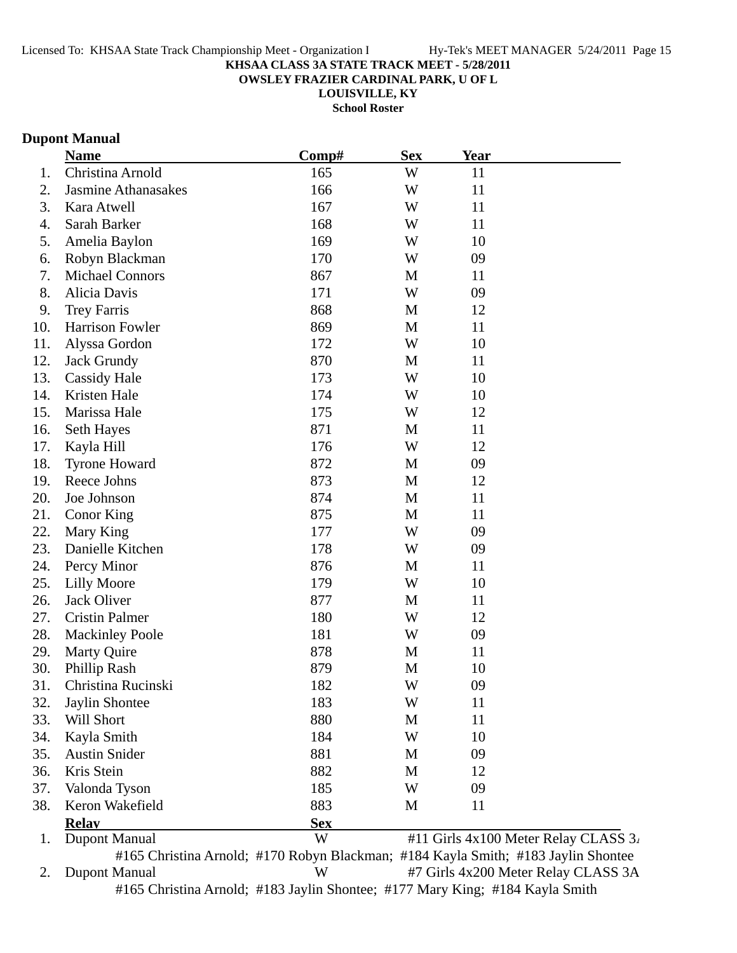**OWSLEY FRAZIER CARDINAL PARK, U OF L**

**LOUISVILLE, KY**

**School Roster**

# **Dupont Manual**

|     | <b>Name</b>            | Comp#      | <b>Sex</b> | <b>Year</b> |                                      |
|-----|------------------------|------------|------------|-------------|--------------------------------------|
| 1.  | Christina Arnold       | 165        | W          | 11          |                                      |
| 2.  | Jasmine Athanasakes    | 166        | W          | 11          |                                      |
| 3.  | Kara Atwell            | 167        | W          | 11          |                                      |
| 4.  | Sarah Barker           | 168        | W          | 11          |                                      |
| 5.  | Amelia Baylon          | 169        | W          | 10          |                                      |
| 6.  | Robyn Blackman         | 170        | W          | 09          |                                      |
| 7.  | <b>Michael Connors</b> | 867        | M          | 11          |                                      |
| 8.  | Alicia Davis           | 171        | W          | 09          |                                      |
| 9.  | <b>Trey Farris</b>     | 868        | M          | 12          |                                      |
| 10. | Harrison Fowler        | 869        | M          | 11          |                                      |
| 11. | Alyssa Gordon          | 172        | W          | 10          |                                      |
| 12. | <b>Jack Grundy</b>     | 870        | M          | 11          |                                      |
| 13. | <b>Cassidy Hale</b>    | 173        | W          | 10          |                                      |
| 14. | Kristen Hale           | 174        | W          | 10          |                                      |
| 15. | Marissa Hale           | 175        | W          | 12          |                                      |
| 16. | Seth Hayes             | 871        | M          | 11          |                                      |
| 17. | Kayla Hill             | 176        | W          | 12          |                                      |
| 18. | <b>Tyrone Howard</b>   | 872        | M          | 09          |                                      |
| 19. | Reece Johns            | 873        | M          | 12          |                                      |
| 20. | Joe Johnson            | 874        | M          | 11          |                                      |
| 21. | Conor King             | 875        | M          | 11          |                                      |
| 22. | Mary King              | 177        | W          | 09          |                                      |
| 23. | Danielle Kitchen       | 178        | W          | 09          |                                      |
| 24. | Percy Minor            | 876        | M          | 11          |                                      |
| 25. | <b>Lilly Moore</b>     | 179        | W          | 10          |                                      |
| 26. | Jack Oliver            | 877        | M          | 11          |                                      |
| 27. | <b>Cristin Palmer</b>  | 180        | W          | 12          |                                      |
| 28. | <b>Mackinley Poole</b> | 181        | W          | 09          |                                      |
| 29. | <b>Marty Quire</b>     | 878        | M          | 11          |                                      |
| 30. | Phillip Rash           | 879        | M          | 10          |                                      |
| 31. | Christina Rucinski     | 182        | W          | 09          |                                      |
| 32. | Jaylin Shontee         | 183        | W          | 11          |                                      |
| 33. | Will Short             | 880        | M          | 11          |                                      |
| 34. | Kayla Smith            | 184        | W          | 10          |                                      |
| 35. | <b>Austin Snider</b>   | 881        | M          | 09          |                                      |
| 36. | Kris Stein             | 882        | M          | 12          |                                      |
| 37. | Valonda Tyson          | 185        | W          | 09          |                                      |
| 38. | Keron Wakefield        | 883        | M          | 11          |                                      |
|     | <b>Relav</b>           | <b>Sex</b> |            |             |                                      |
| 1.  | <b>Dupont Manual</b>   | W          |            |             | #11 Girls 4x100 Meter Relay CLASS 3. |

2. Dupont Manual W #7 Girls 4x200 Meter Relay CLASS 3A #165 Christina Arnold; #183 Jaylin Shontee; #177 Mary King; #184 Kayla Smith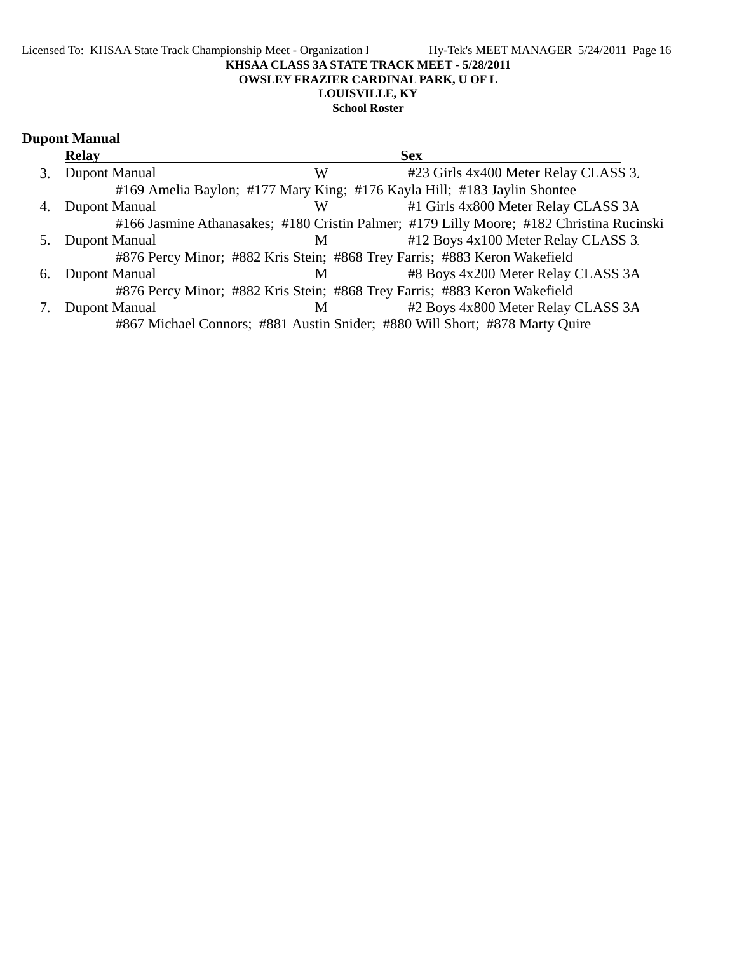### Licensed To: KHSAA State Track Championship Meet - Organization I Hy-Tek's MEET MANAGER 5/24/2011 Page 16 **KHSAA CLASS 3A STATE TRACK MEET - 5/28/2011 OWSLEY FRAZIER CARDINAL PARK, U OF L LOUISVILLE, KY School Roster**

# **Dupont Manual**

|    | <b>Relay</b>         |   | <b>Sex</b>                                                                               |
|----|----------------------|---|------------------------------------------------------------------------------------------|
| 3. | <b>Dupont Manual</b> | W | #23 Girls 4x400 Meter Relay CLASS 3.                                                     |
|    |                      |   | #169 Amelia Baylon; #177 Mary King; #176 Kayla Hill; #183 Jaylin Shontee                 |
|    | Dupont Manual        | W | #1 Girls 4x800 Meter Relay CLASS 3A                                                      |
|    |                      |   | #166 Jasmine Athanasakes; #180 Cristin Palmer; #179 Lilly Moore; #182 Christina Rucinski |
|    | Dupont Manual        | M | #12 Boys 4x100 Meter Relay CLASS 3.                                                      |
|    |                      |   | #876 Percy Minor; #882 Kris Stein; #868 Trey Farris; #883 Keron Wakefield                |
| 6. | Dupont Manual        | M | #8 Boys 4x200 Meter Relay CLASS 3A                                                       |
|    |                      |   | #876 Percy Minor; #882 Kris Stein; #868 Trey Farris; #883 Keron Wakefield                |
|    | <b>Dupont Manual</b> | M | #2 Boys 4x800 Meter Relay CLASS 3A                                                       |
|    |                      |   | #867 Michael Connors; #881 Austin Snider; #880 Will Short; #878 Marty Quire              |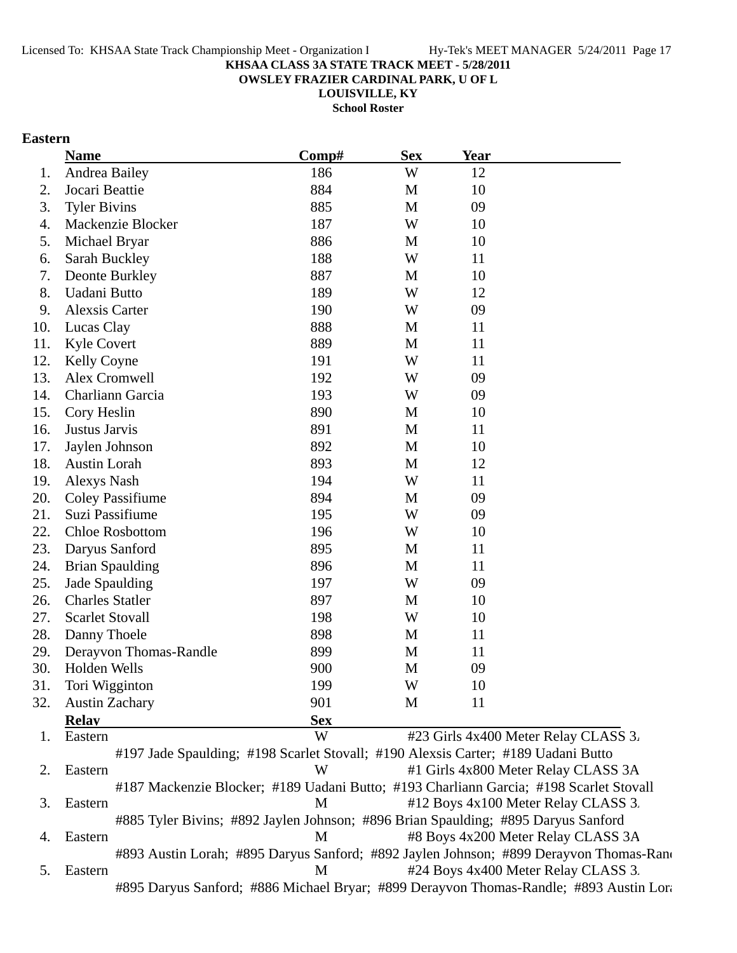**OWSLEY FRAZIER CARDINAL PARK, U OF L**

**LOUISVILLE, KY**

**School Roster**

## **Eastern**

|     | <b>Name</b>                                                                            | Comp#      | <b>Sex</b>  | <b>Year</b> |                                      |
|-----|----------------------------------------------------------------------------------------|------------|-------------|-------------|--------------------------------------|
| 1.  | Andrea Bailey                                                                          | 186        | W           | 12          |                                      |
| 2.  | Jocari Beattie                                                                         | 884        | M           | 10          |                                      |
| 3.  | <b>Tyler Bivins</b>                                                                    | 885        | M           | 09          |                                      |
| 4.  | Mackenzie Blocker                                                                      | 187        | W           | 10          |                                      |
| 5.  | Michael Bryar                                                                          | 886        | M           | 10          |                                      |
| 6.  | Sarah Buckley                                                                          | 188        | W           | 11          |                                      |
| 7.  | Deonte Burkley                                                                         | 887        | M           | 10          |                                      |
| 8.  | Uadani Butto                                                                           | 189        | W           | 12          |                                      |
| 9.  | Alexsis Carter                                                                         | 190        | W           | 09          |                                      |
| 10. | Lucas Clay                                                                             | 888        | M           | 11          |                                      |
| 11. | <b>Kyle Covert</b>                                                                     | 889        | M           | 11          |                                      |
| 12. | <b>Kelly Coyne</b>                                                                     | 191        | W           | 11          |                                      |
| 13. | Alex Cromwell                                                                          | 192        | W           | 09          |                                      |
| 14. | Charliann Garcia                                                                       | 193        | W           | 09          |                                      |
| 15. | Cory Heslin                                                                            | 890        | M           | 10          |                                      |
| 16. | Justus Jarvis                                                                          | 891        | M           | 11          |                                      |
| 17. | Jaylen Johnson                                                                         | 892        | M           | 10          |                                      |
| 18. | Austin Lorah                                                                           | 893        | M           | 12          |                                      |
| 19. | Alexys Nash                                                                            | 194        | W           | 11          |                                      |
| 20. | <b>Coley Passifiume</b>                                                                | 894        | M           | 09          |                                      |
| 21. | Suzi Passifiume                                                                        | 195        | W           | 09          |                                      |
| 22. | <b>Chloe Rosbottom</b>                                                                 | 196        | W           | 10          |                                      |
| 23. | Daryus Sanford                                                                         | 895        | M           | 11          |                                      |
| 24. | <b>Brian Spaulding</b>                                                                 | 896        | M           | 11          |                                      |
| 25. | Jade Spaulding                                                                         | 197        | W           | 09          |                                      |
| 26. | <b>Charles Statler</b>                                                                 | 897        | M           | 10          |                                      |
| 27. | <b>Scarlet Stovall</b>                                                                 | 198        | W           | 10          |                                      |
| 28. | Danny Thoele                                                                           | 898        | M           | 11          |                                      |
| 29. | Derayvon Thomas-Randle                                                                 | 899        | $\mathbf M$ | 11          |                                      |
| 30. | Holden Wells                                                                           | 900        | M           | 09          |                                      |
| 31. | Tori Wigginton                                                                         | 199        | W           | 10          |                                      |
| 32. | <b>Austin Zachary</b>                                                                  | 901        | M           | 11          |                                      |
|     | <b>Relay</b>                                                                           | <b>Sex</b> |             |             |                                      |
| 1.  | Eastern                                                                                | W          |             |             | #23 Girls 4x400 Meter Relay CLASS 3. |
|     | #197 Jade Spaulding; #198 Scarlet Stovall; #190 Alexsis Carter; #189 Uadani Butto      |            |             |             |                                      |
| 2.  | Eastern                                                                                | W          |             |             | #1 Girls 4x800 Meter Relay CLASS 3A  |
|     | #187 Mackenzie Blocker; #189 Uadani Butto; #193 Charliann Garcia; #198 Scarlet Stovall |            |             |             |                                      |
| 3.  | Eastern                                                                                | M          |             |             | #12 Boys 4x100 Meter Relay CLASS 3.  |
|     | #885 Tyler Bivins; #892 Jaylen Johnson; #896 Brian Spaulding; #895 Daryus Sanford      |            |             |             |                                      |
| 4.  | Eastern                                                                                | M          |             |             | #8 Boys 4x200 Meter Relay CLASS 3A   |

#893 Austin Lorah; #895 Daryus Sanford; #892 Jaylen Johnson; #899 Derayvon Thomas-Rand 5. Eastern M  $#24$  Boys 4x400 Meter Relay CLASS 3. #895 Daryus Sanford; #886 Michael Bryar; #899 Derayvon Thomas-Randle; #893 Austin Lora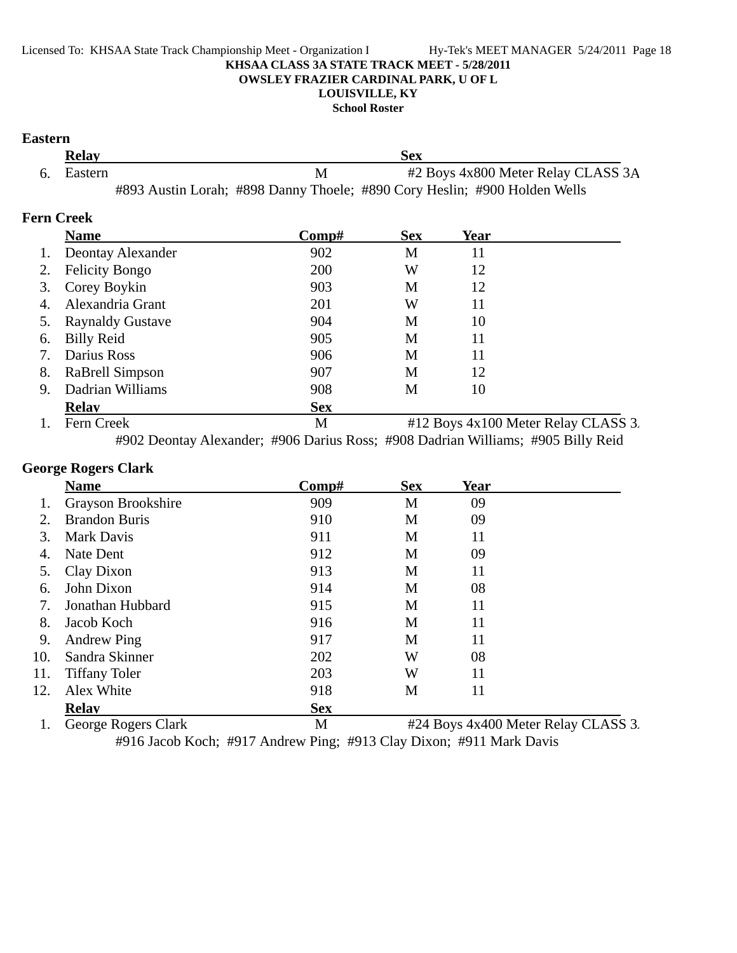#### Licensed To: KHSAA State Track Championship Meet - Organization I Hy-Tek's MEET MANAGER 5/24/2011 Page 18 **KHSAA CLASS 3A STATE TRACK MEET - 5/28/2011 OWSLEY FRAZIER CARDINAL PARK, U OF L LOUISVILLE, KY**

**School Roster**

## **Eastern**

| <b>Relay</b> |   | Sex                                                                       |  |
|--------------|---|---------------------------------------------------------------------------|--|
| 6. Eastern   | M | #2 Boys 4x800 Meter Relay CLASS 3A                                        |  |
|              |   | #893 Austin Lorah; #898 Danny Thoele; #890 Cory Heslin; #900 Holden Wells |  |

## **Fern Creek**

|    | <b>Name</b>             | Comp#      | <b>Sex</b> | Year |                                     |
|----|-------------------------|------------|------------|------|-------------------------------------|
| 1. | Deontay Alexander       | 902        | M          | 11   |                                     |
|    | <b>Felicity Bongo</b>   | 200        | W          | 12   |                                     |
| 3. | Corey Boykin            | 903        | M          | 12   |                                     |
| 4. | Alexandria Grant        | 201        | W          | 11   |                                     |
|    | <b>Raynaldy Gustave</b> | 904        | M          | 10   |                                     |
| 6. | <b>Billy Reid</b>       | 905        | М          | 11   |                                     |
|    | Darius Ross             | 906        | М          | 11   |                                     |
| 8. | RaBrell Simpson         | 907        | М          | 12   |                                     |
| 9. | Dadrian Williams        | 908        | М          | 10   |                                     |
|    | <b>Relav</b>            | <b>Sex</b> |            |      |                                     |
|    | Fern Creek              | M          |            |      | #12 Boys 4x100 Meter Relay CLASS 3. |

#902 Deontay Alexander; #906 Darius Ross; #908 Dadrian Williams; #905 Billy Reid

## **George Rogers Clark**

|     | <b>Name</b>          | Comp#      | <b>Sex</b> | <b>Year</b> |                                                         |
|-----|----------------------|------------|------------|-------------|---------------------------------------------------------|
|     | Grayson Brookshire   | 909        | M          | 09          |                                                         |
| 2.  | <b>Brandon Buris</b> | 910        | M          | 09          |                                                         |
| 3.  | <b>Mark Davis</b>    | 911        | M          | 11          |                                                         |
| 4.  | Nate Dent            | 912        | M          | 09          |                                                         |
| 5.  | Clay Dixon           | 913        | M          | 11          |                                                         |
| 6.  | John Dixon           | 914        | M          | 08          |                                                         |
| 7.  | Jonathan Hubbard     | 915        | M          | 11          |                                                         |
| 8.  | Jacob Koch           | 916        | M          | 11          |                                                         |
| 9.  | <b>Andrew Ping</b>   | 917        | M          | 11          |                                                         |
| 10. | Sandra Skinner       | 202        | W          | 08          |                                                         |
| 11. | <b>Tiffany Toler</b> | 203        | W          | 11          |                                                         |
| 12. | Alex White           | 918        | M          | 11          |                                                         |
|     | <b>Relav</b>         | <b>Sex</b> |            |             |                                                         |
|     | George Rogers Clark  | M          |            |             | $\#$ 24 Roys $A \times A$ 00 Meter Relay CI $\Delta$ SS |

1. George Rogers Clark M #24 Boys 4x400 Meter Relay CLASS 3. #916 Jacob Koch; #917 Andrew Ping; #913 Clay Dixon; #911 Mark Davis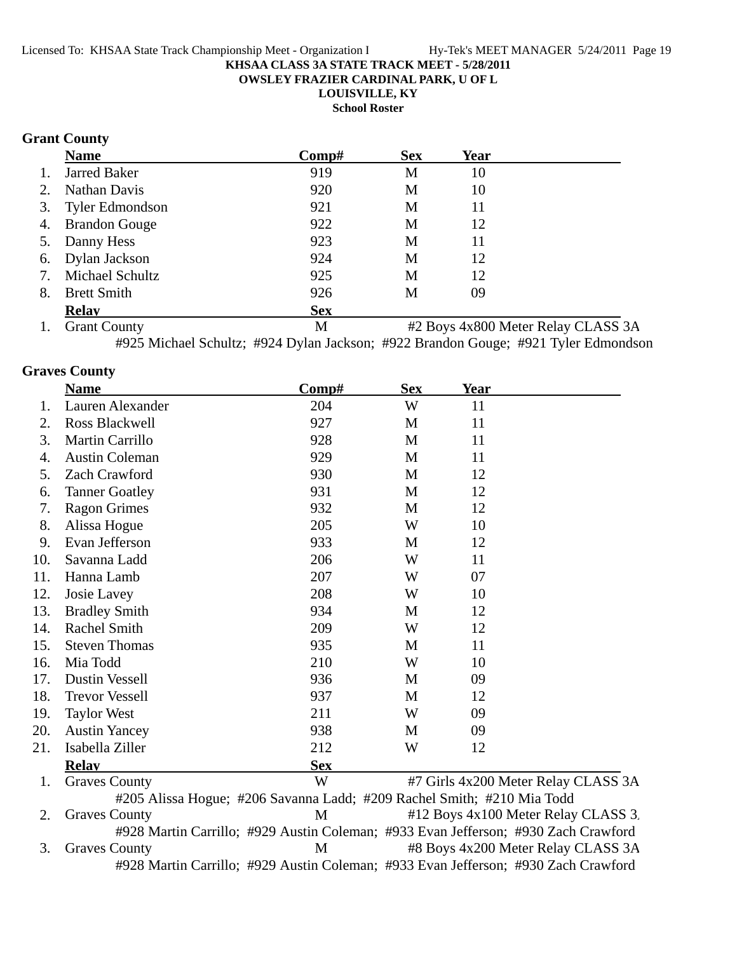**OWSLEY FRAZIER CARDINAL PARK, U OF L**

**LOUISVILLE, KY**

**School Roster**

## **Grant County**

|    | <b>Name</b>         | Comp#      | <b>Sex</b> | Year |  |
|----|---------------------|------------|------------|------|--|
| 1. | <b>Jarred Baker</b> | 919        | M          | 10   |  |
| 2. | Nathan Davis        | 920        | M          | 10   |  |
|    | 3. Tyler Edmondson  | 921        | M          | 11   |  |
|    | 4. Brandon Gouge    | 922        | M          | 12   |  |
|    | 5. Danny Hess       | 923        | M          | 11   |  |
|    | 6. Dylan Jackson    | 924        | M          | 12   |  |
| 7. | Michael Schultz     | 925        | M          | 12   |  |
| 8. | <b>Brett Smith</b>  | 926        | M          | 09   |  |
|    | <b>Relay</b>        | <b>Sex</b> |            |      |  |

1. Grant County M #2 Boys 4x800 Meter Relay CLASS 3A #925 Michael Schultz; #924 Dylan Jackson; #922 Brandon Gouge; #921 Tyler Edmondson

## **Graves County**

|     | <b>Name</b>           | Comp#                                                                  | <b>Sex</b> | <b>Year</b> |                                     |
|-----|-----------------------|------------------------------------------------------------------------|------------|-------------|-------------------------------------|
| 1.  | Lauren Alexander      | 204                                                                    | W          | 11          |                                     |
| 2.  | Ross Blackwell        | 927                                                                    | M          | 11          |                                     |
| 3.  | Martin Carrillo       | 928                                                                    | M          | 11          |                                     |
| 4.  | <b>Austin Coleman</b> | 929                                                                    | M          | 11          |                                     |
| 5.  | Zach Crawford         | 930                                                                    | M          | 12          |                                     |
| 6.  | <b>Tanner Goatley</b> | 931                                                                    | M          | 12          |                                     |
| 7.  | <b>Ragon Grimes</b>   | 932                                                                    | M          | 12          |                                     |
| 8.  | Alissa Hogue          | 205                                                                    | W          | 10          |                                     |
| 9.  | Evan Jefferson        | 933                                                                    | M          | 12          |                                     |
| 10. | Savanna Ladd          | 206                                                                    | W          | 11          |                                     |
| 11. | Hanna Lamb            | 207                                                                    | W          | 07          |                                     |
| 12. | Josie Lavey           | 208                                                                    | W          | 10          |                                     |
| 13. | <b>Bradley Smith</b>  | 934                                                                    | M          | 12          |                                     |
| 14. | Rachel Smith          | 209                                                                    | W          | 12          |                                     |
| 15. | <b>Steven Thomas</b>  | 935                                                                    | M          | 11          |                                     |
| 16. | Mia Todd              | 210                                                                    | W          | 10          |                                     |
| 17. | <b>Dustin Vessell</b> | 936                                                                    | M          | 09          |                                     |
| 18. | <b>Trevor Vessell</b> | 937                                                                    | M          | 12          |                                     |
| 19. | <b>Taylor West</b>    | 211                                                                    | W          | 09          |                                     |
| 20. | <b>Austin Yancey</b>  | 938                                                                    | M          | 09          |                                     |
| 21. | Isabella Ziller       | 212                                                                    | W          | 12          |                                     |
|     | <b>Relay</b>          | <b>Sex</b>                                                             |            |             |                                     |
| 1.  | <b>Graves County</b>  | W                                                                      |            |             | #7 Girls 4x200 Meter Relay CLASS 3A |
|     |                       | #205 Alissa Hogue; #206 Savanna Ladd; #209 Rachel Smith; #210 Mia Todd |            |             |                                     |
|     |                       |                                                                        |            |             |                                     |

2. Graves County M #12 Boys 4x100 Meter Relay CLASS 3. #928 Martin Carrillo; #929 Austin Coleman; #933 Evan Jefferson; #930 Zach Crawford 3. Graves County M #8 Boys 4x200 Meter Relay CLASS 3A #928 Martin Carrillo; #929 Austin Coleman; #933 Evan Jefferson; #930 Zach Crawford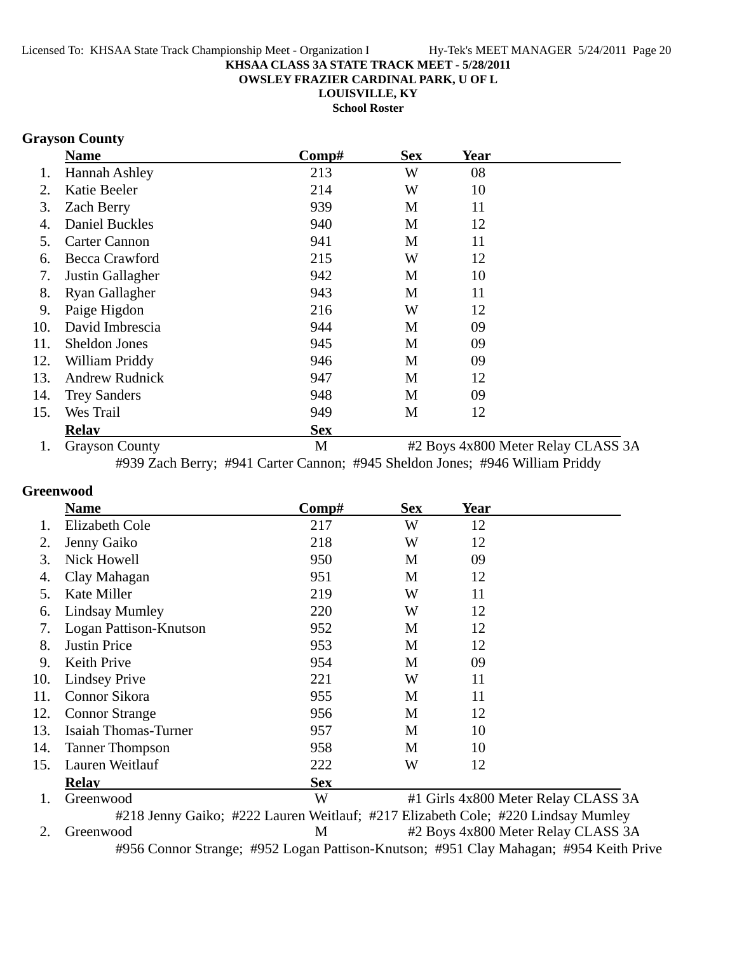**OWSLEY FRAZIER CARDINAL PARK, U OF L**

**LOUISVILLE, KY**

**School Roster**

## **Grayson County**

|     | <b>Name</b>           | Comp#      | <b>Sex</b> | <b>Year</b> |                                    |
|-----|-----------------------|------------|------------|-------------|------------------------------------|
|     | Hannah Ashley         | 213        | W          | 08          |                                    |
| 2.  | Katie Beeler          | 214        | W          | 10          |                                    |
| 3.  | <b>Zach Berry</b>     | 939        | M          | 11          |                                    |
|     | <b>Daniel Buckles</b> | 940        | M          | 12          |                                    |
| 5.  | <b>Carter Cannon</b>  | 941        | M          | 11          |                                    |
| 6.  | Becca Crawford        | 215        | W          | 12          |                                    |
| 7.  | Justin Gallagher      | 942        | M          | 10          |                                    |
| 8.  | Ryan Gallagher        | 943        | M          | 11          |                                    |
| 9.  | Paige Higdon          | 216        | W          | 12          |                                    |
| 10. | David Imbrescia       | 944        | M          | 09          |                                    |
| 11. | Sheldon Jones         | 945        | M          | 09          |                                    |
| 12. | William Priddy        | 946        | M          | 09          |                                    |
| 13. | <b>Andrew Rudnick</b> | 947        | M          | 12          |                                    |
| 14. | <b>Trey Sanders</b>   | 948        | M          | 09          |                                    |
| 15. | Wes Trail             | 949        | M          | 12          |                                    |
|     | <b>Relay</b>          | <b>Sex</b> |            |             |                                    |
|     | <b>Grayson County</b> | M          |            |             | #2 Boys 4x800 Meter Relay CLASS 3A |

#939 Zach Berry; #941 Carter Cannon; #945 Sheldon Jones; #946 William Priddy

## **Greenwood**

|     | <b>Name</b>            | Comp#      | <b>Sex</b> | <b>Year</b>                         |  |
|-----|------------------------|------------|------------|-------------------------------------|--|
|     | Elizabeth Cole         | 217        | W          | 12                                  |  |
| 2.  | Jenny Gaiko            | 218        | W          | 12                                  |  |
| 3.  | Nick Howell            | 950        | M          | 09                                  |  |
| 4.  | Clay Mahagan           | 951        | M          | 12                                  |  |
| 5.  | Kate Miller            | 219        | W          | 11                                  |  |
| 6.  | <b>Lindsay Mumley</b>  | 220        | W          | 12                                  |  |
| 7.  | Logan Pattison-Knutson | 952        | M          | 12                                  |  |
| 8.  | <b>Justin Price</b>    | 953        | M          | 12                                  |  |
| 9.  | Keith Prive            | 954        | M          | 09                                  |  |
| 10. | <b>Lindsey Prive</b>   | 221        | W          | 11                                  |  |
| 11. | Connor Sikora          | 955        | M          | 11                                  |  |
| 12. | <b>Connor Strange</b>  | 956        | M          | 12                                  |  |
| 13. | Isaiah Thomas-Turner   | 957        | M          | 10                                  |  |
| 14. | <b>Tanner Thompson</b> | 958        | M          | 10                                  |  |
| 15. | Lauren Weitlauf        | 222        | W          | 12                                  |  |
|     | <b>Relay</b>           | <b>Sex</b> |            |                                     |  |
| 1.  | Greenwood              | W          |            | #1 Girls 4x800 Meter Relay CLASS 3A |  |

#218 Jenny Gaiko; #222 Lauren Weitlauf; #217 Elizabeth Cole; #220 Lindsay Mumley 2. Greenwood M #2 Boys 4x800 Meter Relay CLASS 3A #956 Connor Strange; #952 Logan Pattison-Knutson; #951 Clay Mahagan; #954 Keith Prive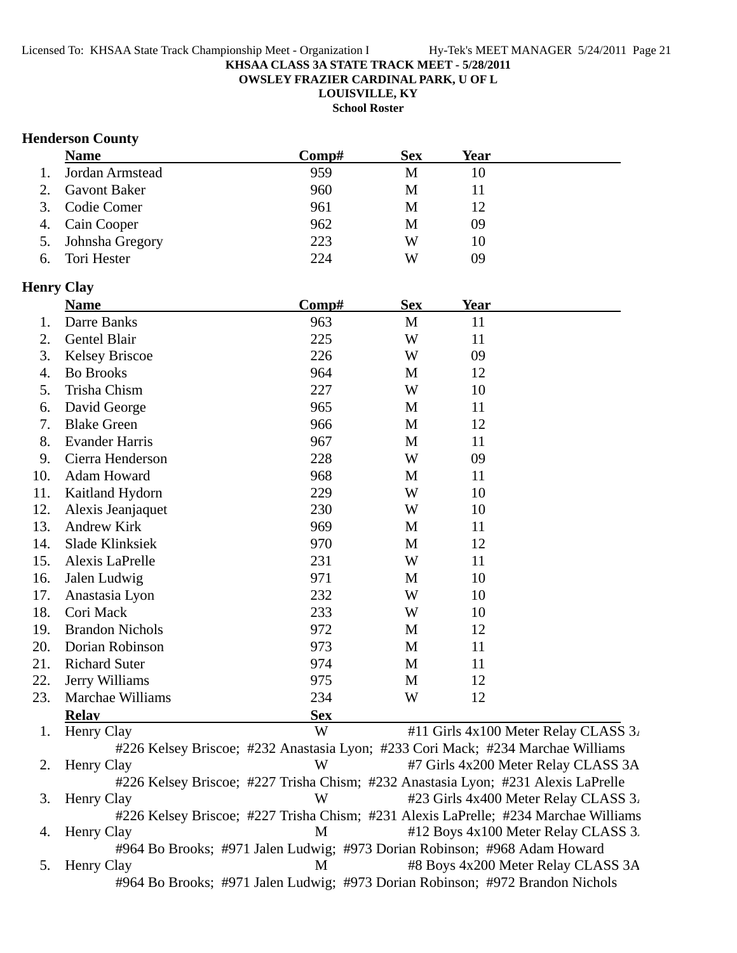**OWSLEY FRAZIER CARDINAL PARK, U OF L**

**LOUISVILLE, KY**

**School Roster**

### **Henderson County**

|    | <b>Name</b>         | Comp# | <b>Sex</b> | Year |  |
|----|---------------------|-------|------------|------|--|
| 1. | Jordan Armstead     | 959   | M          | 10   |  |
| 2. | <b>Gavont Baker</b> | 960   | М          |      |  |
|    | 3. Codie Comer      | 961   | M          | 12   |  |
|    | 4. Cain Cooper      | 962   | М          | 09   |  |
|    | 5. Johnsha Gregory  | 223   | W          | 10   |  |
| 6. | Tori Hester         | 224   | W          | 09   |  |

### **Henry Clay**

|     | <b>Name</b>            | $\bf Comp\#$ | <b>Sex</b>   | <b>Year</b> |  |
|-----|------------------------|--------------|--------------|-------------|--|
| 1.  | Darre Banks            | 963          | $\mathbf{M}$ | 11          |  |
| 2.  | Gentel Blair           | 225          | W            | 11          |  |
| 3.  | <b>Kelsey Briscoe</b>  | 226          | W            | 09          |  |
| 4.  | <b>Bo Brooks</b>       | 964          | M            | 12          |  |
| 5.  | Trisha Chism           | 227          | W            | 10          |  |
| 6.  | David George           | 965          | M            | 11          |  |
| 7.  | <b>Blake Green</b>     | 966          | M            | 12          |  |
| 8.  | <b>Evander Harris</b>  | 967          | M            | 11          |  |
| 9.  | Cierra Henderson       | 228          | W            | 09          |  |
| 10. | Adam Howard            | 968          | M            | 11          |  |
| 11. | Kaitland Hydorn        | 229          | W            | 10          |  |
| 12. | Alexis Jeanjaquet      | 230          | W            | 10          |  |
| 13. | Andrew Kirk            | 969          | M            | 11          |  |
| 14. | Slade Klinksiek        | 970          | M            | 12          |  |
| 15. | Alexis LaPrelle        | 231          | W            | 11          |  |
| 16. | Jalen Ludwig           | 971          | M            | 10          |  |
| 17. | Anastasia Lyon         | 232          | W            | 10          |  |
| 18. | Cori Mack              | 233          | W            | 10          |  |
| 19. | <b>Brandon Nichols</b> | 972          | M            | 12          |  |
| 20. | Dorian Robinson        | 973          | M            | 11          |  |
| 21. | <b>Richard Suter</b>   | 974          | M            | 11          |  |
| 22. | Jerry Williams         | 975          | M            | 12          |  |
| 23. | Marchae Williams       | 234          | W            | 12          |  |
|     | <b>Relay</b>           | <b>Sex</b>   |              |             |  |

1. Henry Clay  $\mathbb{W}$  #11 Girls 4x100 Meter Relay CLASS 3. #226 Kelsey Briscoe; #232 Anastasia Lyon; #233 Cori Mack; #234 Marchae Williams 2. Henry Clay **W** #7 Girls 4x200 Meter Relay CLASS 3A #226 Kelsey Briscoe; #227 Trisha Chism; #232 Anastasia Lyon; #231 Alexis LaPrelle 3. Henry Clay W #23 Girls 4x400 Meter Relay CLASS 3. #226 Kelsey Briscoe; #227 Trisha Chism; #231 Alexis LaPrelle; #234 Marchae Williams 4. Henry Clay **M**  $\#12$  Boys 4x100 Meter Relay CLASS 3. #964 Bo Brooks; #971 Jalen Ludwig; #973 Dorian Robinson; #968 Adam Howard 5. Henry Clay M #8 Boys 4x200 Meter Relay CLASS 3A #964 Bo Brooks; #971 Jalen Ludwig; #973 Dorian Robinson; #972 Brandon Nichols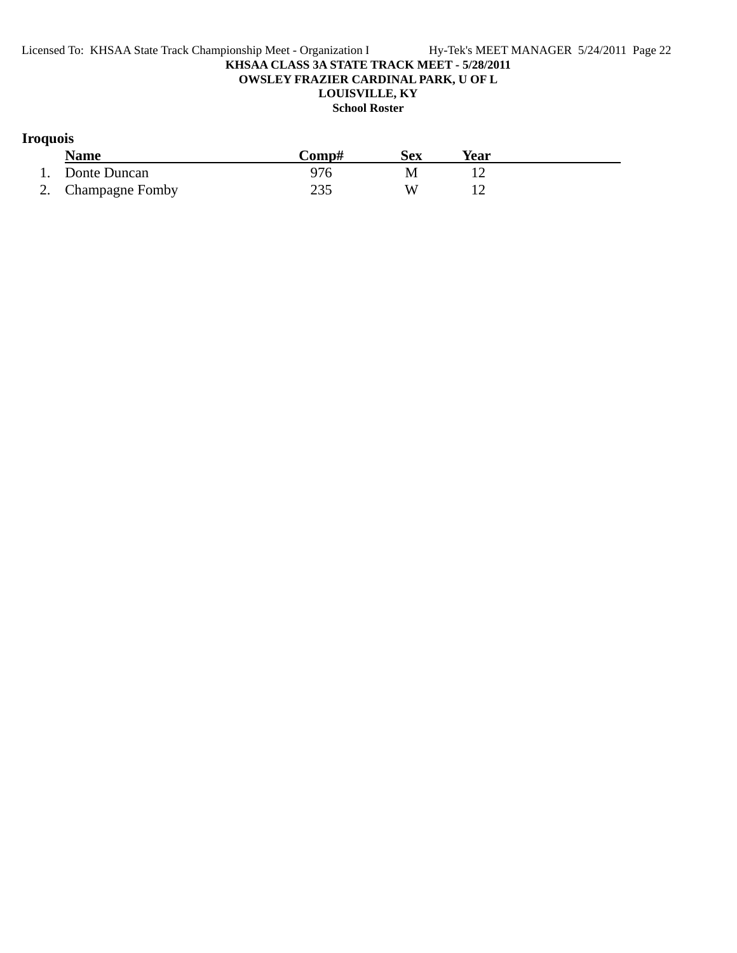# **Iroquois**

| <b>Name</b>        | Comp# | Sex | <b>Year</b> |  |
|--------------------|-------|-----|-------------|--|
| 1. Donte Duncan    |       | M   |             |  |
| 2. Champagne Fomby |       |     |             |  |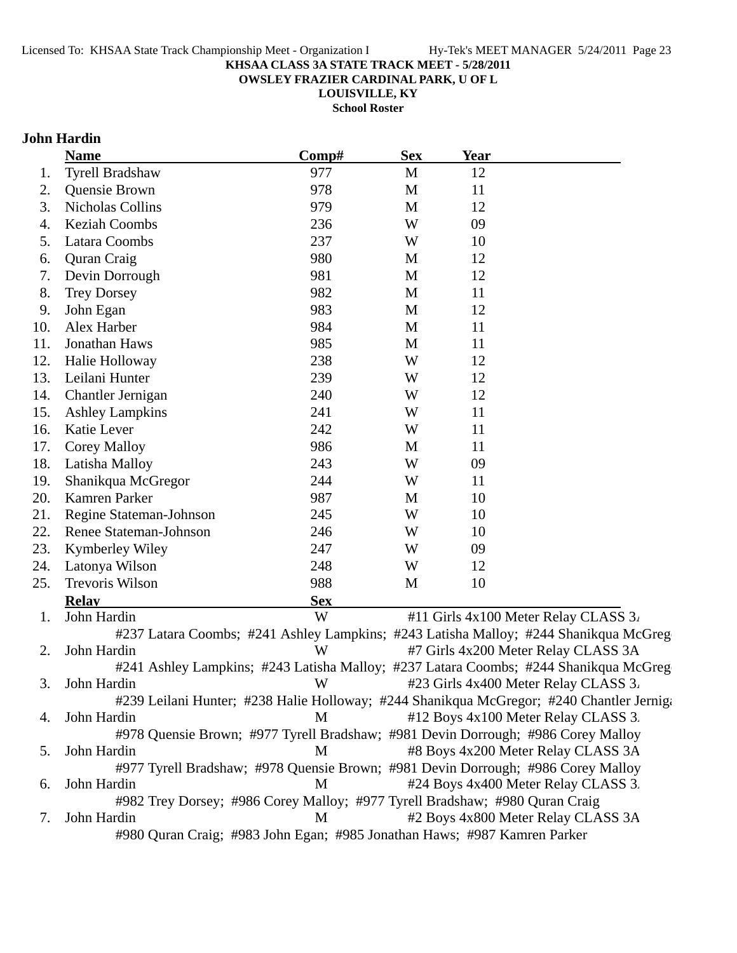**OWSLEY FRAZIER CARDINAL PARK, U OF L**

**LOUISVILLE, KY**

**School Roster**

# **John Hardin**

|     | <b>Name</b>                                                              | Comp#      | <b>Sex</b> | <b>Year</b>                                                                              |
|-----|--------------------------------------------------------------------------|------------|------------|------------------------------------------------------------------------------------------|
| 1.  | <b>Tyrell Bradshaw</b>                                                   | 977        | M          | 12                                                                                       |
| 2.  | Quensie Brown                                                            | 978        | M          | 11                                                                                       |
| 3.  | <b>Nicholas Collins</b>                                                  | 979        | M          | 12                                                                                       |
| 4.  | <b>Keziah Coombs</b>                                                     | 236        | W          | 09                                                                                       |
| 5.  | Latara Coombs                                                            | 237        | W          | 10                                                                                       |
| 6.  | Quran Craig                                                              | 980        | M          | 12                                                                                       |
| 7.  | Devin Dorrough                                                           | 981        | M          | 12                                                                                       |
| 8.  | <b>Trey Dorsey</b>                                                       | 982        | M          | 11                                                                                       |
| 9.  | John Egan                                                                | 983        | M          | 12                                                                                       |
| 10. | Alex Harber                                                              | 984        | M          | 11                                                                                       |
| 11. | Jonathan Haws                                                            | 985        | M          | 11                                                                                       |
| 12. | Halie Holloway                                                           | 238        | W          | 12                                                                                       |
| 13. | Leilani Hunter                                                           | 239        | W          | 12                                                                                       |
| 14. | Chantler Jernigan                                                        | 240        | W          | 12                                                                                       |
| 15. | <b>Ashley Lampkins</b>                                                   | 241        | W          | 11                                                                                       |
| 16. | Katie Lever                                                              | 242        | W          | 11                                                                                       |
| 17. | <b>Corey Malloy</b>                                                      | 986        | M          | 11                                                                                       |
| 18. | Latisha Malloy                                                           | 243        | W          | 09                                                                                       |
| 19. | Shanikqua McGregor                                                       | 244        | W          | 11                                                                                       |
| 20. | Kamren Parker                                                            | 987        | M          | 10                                                                                       |
| 21. | Regine Stateman-Johnson                                                  | 245        | W          | 10                                                                                       |
| 22. | Renee Stateman-Johnson                                                   | 246        | W          | 10                                                                                       |
| 23. | Kymberley Wiley                                                          | 247        | W          | 09                                                                                       |
| 24. | Latonya Wilson                                                           | 248        | W          | 12                                                                                       |
| 25. | Trevoris Wilson                                                          | 988        | M          | 10                                                                                       |
|     | <b>Relav</b>                                                             | <b>Sex</b> |            |                                                                                          |
| 1.  | John Hardin                                                              | W          |            | #11 Girls 4x100 Meter Relay CLASS 3.                                                     |
|     |                                                                          |            |            | #237 Latara Coombs; #241 Ashley Lampkins; #243 Latisha Malloy; #244 Shanikqua McGreg     |
| 2.  | John Hardin                                                              | W          |            | #7 Girls 4x200 Meter Relay CLASS 3A                                                      |
|     |                                                                          |            |            | #241 Ashley Lampkins; #243 Latisha Malloy; #237 Latara Coombs; #244 Shanikqua McGreg     |
| 3.  | John Hardin                                                              | W          |            | #23 Girls 4x400 Meter Relay CLASS 3.                                                     |
|     |                                                                          |            |            | #239 Leilani Hunter; #238 Halie Holloway; #244 Shanikqua McGregor; #240 Chantler Jernig; |
| 4.  | John Hardin                                                              | M          |            | #12 Boys 4x100 Meter Relay CLASS 3.                                                      |
|     |                                                                          |            |            | #978 Quensie Brown; #977 Tyrell Bradshaw; #981 Devin Dorrough; #986 Corey Malloy         |
| 5.  | John Hardin                                                              | M          |            | #8 Boys 4x200 Meter Relay CLASS 3A                                                       |
|     |                                                                          |            |            | #977 Tyrell Bradshaw; #978 Quensie Brown; #981 Devin Dorrough; #986 Corey Malloy         |
| 6.  | John Hardin                                                              | M          |            | #24 Boys 4x400 Meter Relay CLASS 3.                                                      |
|     |                                                                          |            |            | #982 Trey Dorsey; #986 Corey Malloy; #977 Tyrell Bradshaw; #980 Quran Craig              |
| 7.  | John Hardin                                                              | M          |            | #2 Boys 4x800 Meter Relay CLASS 3A                                                       |
|     | #980 Quran Craig; #983 John Egan; #985 Jonathan Haws; #987 Kamren Parker |            |            |                                                                                          |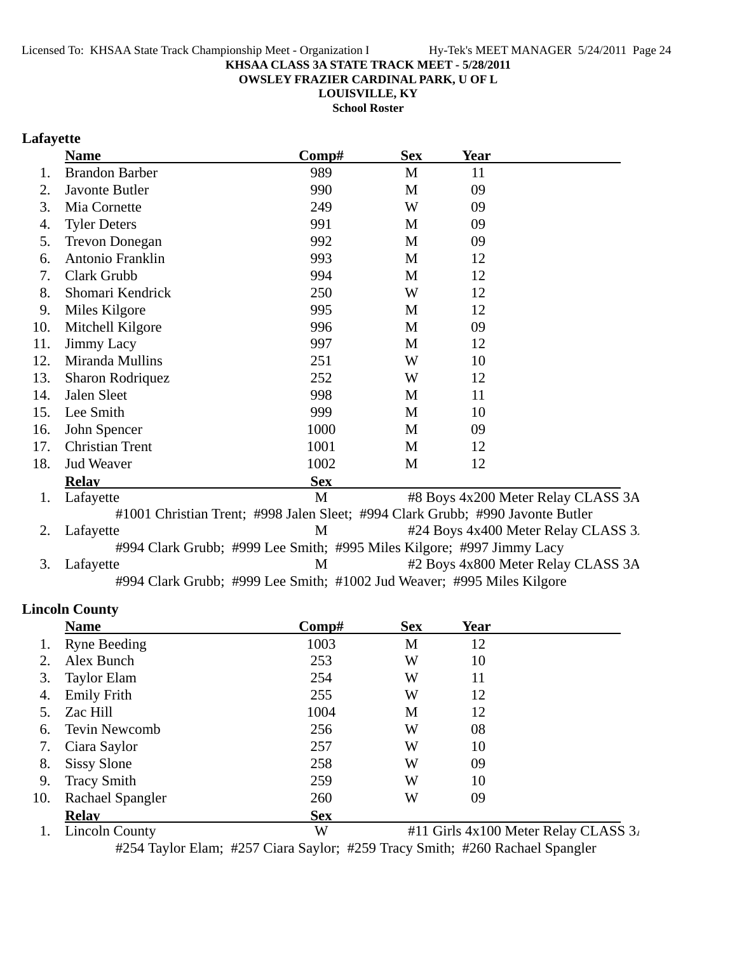**OWSLEY FRAZIER CARDINAL PARK, U OF L**

**LOUISVILLE, KY**

**School Roster**

# **Lafayette**

|     | <b>Name</b>                                                            | Comp#      | <b>Sex</b>  | Year                                                                           |  |
|-----|------------------------------------------------------------------------|------------|-------------|--------------------------------------------------------------------------------|--|
| 1.  | <b>Brandon Barber</b>                                                  | 989        | $\mathbf M$ | 11                                                                             |  |
| 2.  | Javonte Butler                                                         | 990        | M           | 09                                                                             |  |
| 3.  | Mia Cornette                                                           | 249        | W           | 09                                                                             |  |
| 4.  | <b>Tyler Deters</b>                                                    | 991        | M           | 09                                                                             |  |
| 5.  | <b>Trevon Donegan</b>                                                  | 992        | M           | 09                                                                             |  |
| 6.  | Antonio Franklin                                                       | 993        | M           | 12                                                                             |  |
| 7.  | Clark Grubb                                                            | 994        | M           | 12                                                                             |  |
| 8.  | Shomari Kendrick                                                       | 250        | W           | 12                                                                             |  |
| 9.  | Miles Kilgore                                                          | 995        | M           | 12                                                                             |  |
| 10. | Mitchell Kilgore                                                       | 996        | M           | 09                                                                             |  |
| 11. | Jimmy Lacy                                                             | 997        | M           | 12                                                                             |  |
| 12. | Miranda Mullins                                                        | 251        | W           | 10                                                                             |  |
| 13. | <b>Sharon Rodriquez</b>                                                | 252        | W           | 12                                                                             |  |
| 14. | Jalen Sleet                                                            | 998        | M           | 11                                                                             |  |
| 15. | Lee Smith                                                              | 999        | M           | 10                                                                             |  |
| 16. | John Spencer                                                           | 1000       | M           | 09                                                                             |  |
| 17. | <b>Christian Trent</b>                                                 | 1001       | M           | 12                                                                             |  |
| 18. | <b>Jud Weaver</b>                                                      | 1002       | M           | 12                                                                             |  |
|     | <b>Relay</b>                                                           | <b>Sex</b> |             |                                                                                |  |
| 1.  | Lafayette                                                              | M          |             | #8 Boys 4x200 Meter Relay CLASS 3A                                             |  |
|     |                                                                        |            |             | #1001 Christian Trent; #998 Jalen Sleet; #994 Clark Grubb; #990 Javonte Butler |  |
| 2.  | Lafayette                                                              | M          |             | #24 Boys 4x400 Meter Relay CLASS 3.                                            |  |
|     | #994 Clark Grubb; #999 Lee Smith; #995 Miles Kilgore; #997 Jimmy Lacy  |            |             |                                                                                |  |
| 3.  | Lafayette                                                              | M          |             | #2 Boys 4x800 Meter Relay CLASS 3A                                             |  |
|     | #994 Clark Grubb; #999 Lee Smith; #1002 Jud Weaver; #995 Miles Kilgore |            |             |                                                                                |  |

## **Lincoln County**

|     | <b>Name</b>                                                      | Comp#      | <b>Sex</b> | Year |                                                                                                                                                           |
|-----|------------------------------------------------------------------|------------|------------|------|-----------------------------------------------------------------------------------------------------------------------------------------------------------|
|     | <b>Ryne Beeding</b>                                              | 1003       | M          | 12   |                                                                                                                                                           |
| 2.  | Alex Bunch                                                       | 253        | W          | 10   |                                                                                                                                                           |
| 3.  | Taylor Elam                                                      | 254        | W          | 11   |                                                                                                                                                           |
| 4.  | <b>Emily Frith</b>                                               | 255        | W          | 12   |                                                                                                                                                           |
| 5.  | Zac Hill                                                         | 1004       | M          | 12   |                                                                                                                                                           |
| 6.  | <b>Tevin Newcomb</b>                                             | 256        | W          | 08   |                                                                                                                                                           |
| 7.  | Ciara Saylor                                                     | 257        | W          | 10   |                                                                                                                                                           |
| 8.  | <b>Sissy Slone</b>                                               | 258        | W          | 09   |                                                                                                                                                           |
| 9.  | <b>Tracy Smith</b>                                               | 259        | W          | 10   |                                                                                                                                                           |
| 10. | <b>Rachael Spangler</b>                                          | 260        | W          | 09   |                                                                                                                                                           |
|     | <b>Relav</b>                                                     | <b>Sex</b> |            |      |                                                                                                                                                           |
|     | $\mathbf{r}$ $\mathbf{r}$ $\mathbf{r}$ $\mathbf{r}$ $\mathbf{r}$ | <b>TTT</b> |            |      | $\frac{1}{4}$ $\frac{1}{4}$ $\frac{1}{4}$ $\frac{1}{4}$ $\frac{1}{4}$ $\frac{1}{4}$ $\frac{1}{4}$ $\frac{1}{4}$ $\frac{1}{4}$ $\frac{1}{4}$ $\frac{1}{4}$ |

1. Lincoln County  $W$  #11 Girls 4x100 Meter Relay CLASS 3. #254 Taylor Elam; #257 Ciara Saylor; #259 Tracy Smith; #260 Rachael Spangler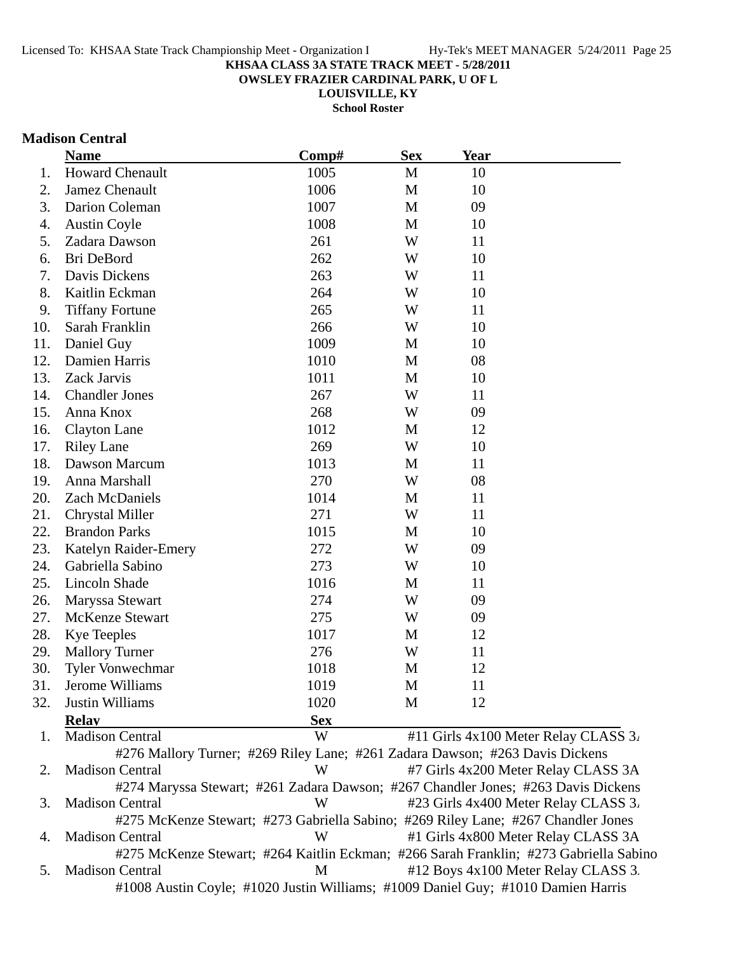**OWSLEY FRAZIER CARDINAL PARK, U OF L**

**LOUISVILLE, KY**

**School Roster**

## **Madison Central**

|     | <b>Name</b>             | Comp#      | <b>Sex</b> | <b>Year</b>                                                                       |
|-----|-------------------------|------------|------------|-----------------------------------------------------------------------------------|
| 1.  | <b>Howard Chenault</b>  | 1005       | M          | 10                                                                                |
| 2.  | Jamez Chenault          | 1006       | M          | 10                                                                                |
| 3.  | Darion Coleman          | 1007       | M          | 09                                                                                |
| 4.  | <b>Austin Coyle</b>     | 1008       | M          | 10                                                                                |
| 5.  | Zadara Dawson           | 261        | W          | 11                                                                                |
| 6.  | Bri DeBord              | 262        | W          | 10                                                                                |
| 7.  | Davis Dickens           | 263        | W          | 11                                                                                |
| 8.  | Kaitlin Eckman          | 264        | W          | 10                                                                                |
| 9.  | <b>Tiffany Fortune</b>  | 265        | W          | 11                                                                                |
| 10. | Sarah Franklin          | 266        | W          | 10                                                                                |
| 11. | Daniel Guy              | 1009       | M          | 10                                                                                |
| 12. | Damien Harris           | 1010       | M          | 08                                                                                |
| 13. | Zack Jarvis             | 1011       | M          | 10                                                                                |
| 14. | <b>Chandler Jones</b>   | 267        | W          | 11                                                                                |
| 15. | Anna Knox               | 268        | W          | 09                                                                                |
| 16. | <b>Clayton Lane</b>     | 1012       | M          | 12                                                                                |
| 17. | <b>Riley Lane</b>       | 269        | W          | 10                                                                                |
| 18. | Dawson Marcum           | 1013       | M          | 11                                                                                |
| 19. | Anna Marshall           | 270        | W          | 08                                                                                |
| 20. | Zach McDaniels          | 1014       | M          | 11                                                                                |
| 21. | <b>Chrystal Miller</b>  | 271        | W          | 11                                                                                |
| 22. | <b>Brandon Parks</b>    | 1015       | M          | 10                                                                                |
| 23. | Katelyn Raider-Emery    | 272        | W          | 09                                                                                |
| 24. | Gabriella Sabino        | 273        | W          | 10                                                                                |
| 25. | Lincoln Shade           | 1016       | M          | 11                                                                                |
| 26. | Maryssa Stewart         | 274        | W          | 09                                                                                |
| 27. | <b>McKenze Stewart</b>  | 275        | W          | 09                                                                                |
| 28. | <b>Kye Teeples</b>      | 1017       | M          | 12                                                                                |
| 29. | <b>Mallory Turner</b>   | 276        | W          | 11                                                                                |
| 30. | <b>Tyler Vonwechmar</b> | 1018       | M          | 12                                                                                |
| 31. | Jerome Williams         | 1019       | M          | 11                                                                                |
| 32. | Justin Williams         | 1020       | M          | 12                                                                                |
|     | <b>Relav</b>            | <b>Sex</b> |            |                                                                                   |
| 1.  | <b>Madison Central</b>  | W          |            | #11 Girls 4x100 Meter Relay CLASS 3.                                              |
|     |                         |            |            | #276 Mallory Turner; #269 Riley Lane; #261 Zadara Dawson; #263 Davis Dickens      |
| 2.  | <b>Madison Central</b>  | W          |            | #7 Girls 4x200 Meter Relay CLASS 3A                                               |
|     |                         |            |            | #274 Maryssa Stewart; #261 Zadara Dawson; #267 Chandler Jones; #263 Davis Dickens |
| 3.  | <b>Madison Central</b>  | W          |            | #23 Girls 4x400 Meter Relay CLASS 3.                                              |
|     |                         |            |            | #275 McKenze Stewart; #273 Gabriella Sabino; #269 Riley Lane; #267 Chandler Jones |

4. Madison Central W #1 Girls 4x800 Meter Relay CLASS 3A #275 McKenze Stewart; #264 Kaitlin Eckman; #266 Sarah Franklin; #273 Gabriella Sabino

5. Madison Central M #12 Boys 4x100 Meter Relay CLASS 3. #1008 Austin Coyle; #1020 Justin Williams; #1009 Daniel Guy; #1010 Damien Harris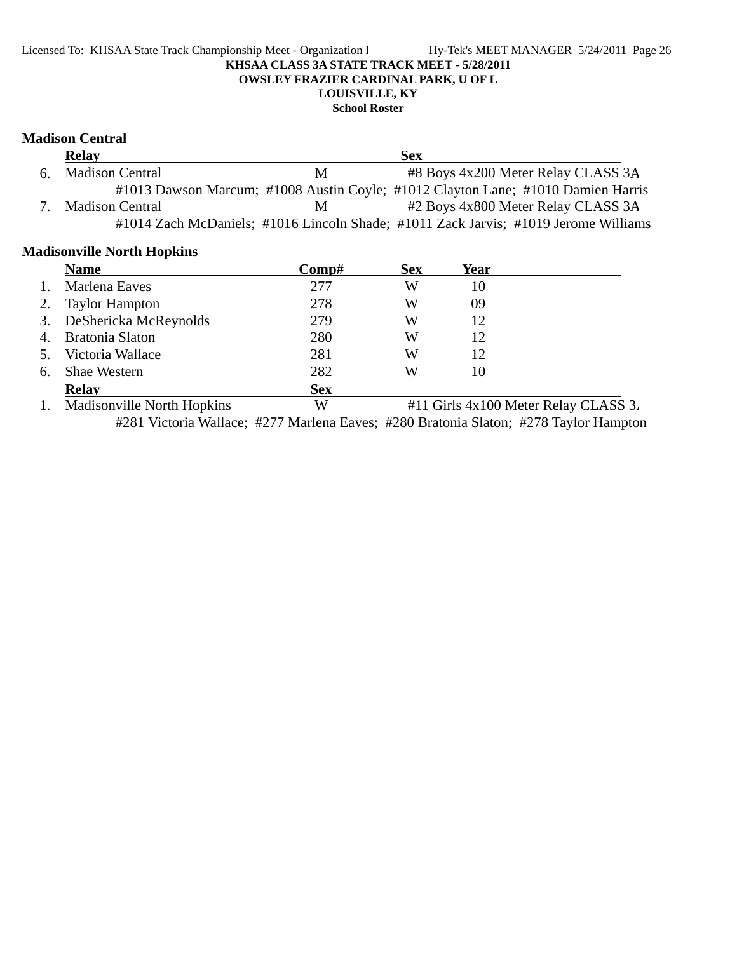## Licensed To: KHSAA State Track Championship Meet - Organization I Hy-Tek's MEET MANAGER 5/24/2011 Page 26 **KHSAA CLASS 3A STATE TRACK MEET - 5/28/2011 OWSLEY FRAZIER CARDINAL PARK, U OF L LOUISVILLE, KY**

## **School Roster**

## **Madison Central**

| <b>Relay</b>       |    | <b>Sex</b>                                                                          |
|--------------------|----|-------------------------------------------------------------------------------------|
| 6. Madison Central | M  | #8 Boys 4x200 Meter Relay CLASS 3A                                                  |
|                    |    | #1013 Dawson Marcum; #1008 Austin Coyle; #1012 Clayton Lane; #1010 Damien Harris    |
| 7. Madison Central | M. | #2 Boys 4x800 Meter Relay CLASS 3A                                                  |
|                    |    | #1014 Zach McDaniels; #1016 Lincoln Shade; #1011 Zack Jarvis; #1019 Jerome Williams |

## **Madisonville North Hopkins**

|    | <b>Name</b>                       | Comp#      | <b>Sex</b> | Year |                                          |
|----|-----------------------------------|------------|------------|------|------------------------------------------|
|    | Marlena Eaves                     | 277        | W          | 10   |                                          |
| 2. | <b>Taylor Hampton</b>             | 278        | W          | 09   |                                          |
| 3. | DeShericka McReynolds             | 279        | W          | 12   |                                          |
| 4. | Bratonia Slaton                   | 280        | W          | 12   |                                          |
| 5. | Victoria Wallace                  | 281        | W          | 12   |                                          |
| 6. | <b>Shae Western</b>               | 282        | W          | 10   |                                          |
|    | <b>Relay</b>                      | <b>Sex</b> |            |      |                                          |
|    | <b>Madisonville North Hopkins</b> | W          |            |      | #11 Girls $4x100$ Meter Relay CLASS $3x$ |

#281 Victoria Wallace; #277 Marlena Eaves; #280 Bratonia Slaton; #278 Taylor Hampton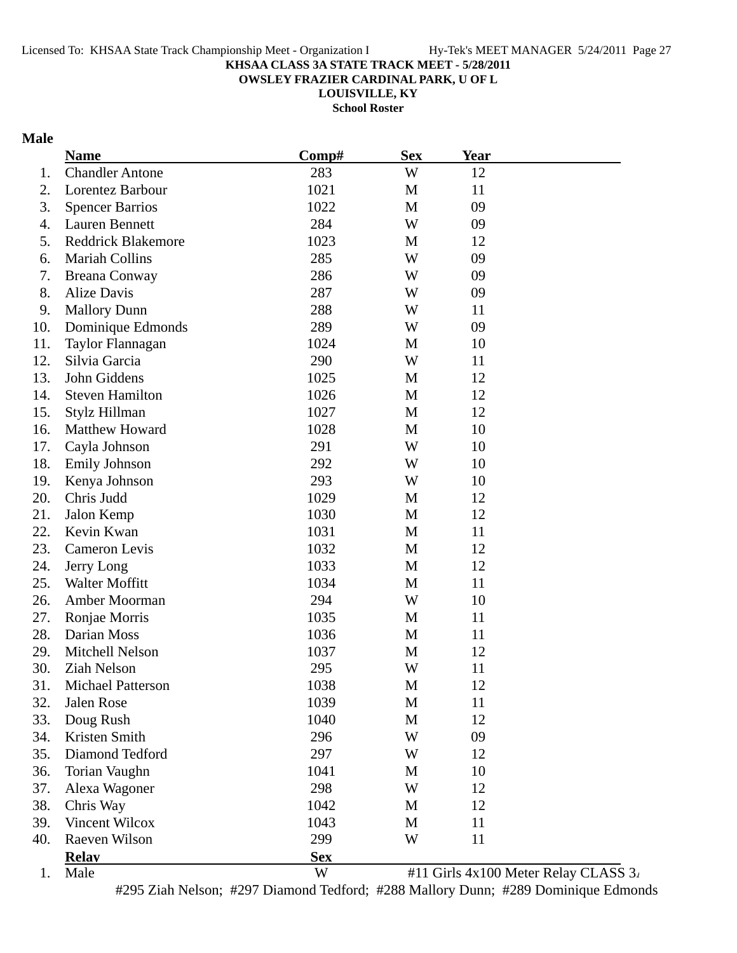**OWSLEY FRAZIER CARDINAL PARK, U OF L**

**LOUISVILLE, KY**

**School Roster**

## **Male**

|     | <b>Name</b>               | Comp#      | <b>Sex</b>  | <b>Year</b> |                                      |
|-----|---------------------------|------------|-------------|-------------|--------------------------------------|
| 1.  | <b>Chandler Antone</b>    | 283        | W           | 12          |                                      |
| 2.  | Lorentez Barbour          | 1021       | M           | 11          |                                      |
| 3.  | <b>Spencer Barrios</b>    | 1022       | M           | 09          |                                      |
| 4.  | <b>Lauren Bennett</b>     | 284        | W           | 09          |                                      |
| 5.  | <b>Reddrick Blakemore</b> | 1023       | M           | 12          |                                      |
| 6.  | <b>Mariah Collins</b>     | 285        | W           | 09          |                                      |
| 7.  | <b>Breana Conway</b>      | 286        | W           | 09          |                                      |
| 8.  | Alize Davis               | 287        | W           | 09          |                                      |
| 9.  | <b>Mallory Dunn</b>       | 288        | W           | 11          |                                      |
| 10. | Dominique Edmonds         | 289        | W           | 09          |                                      |
| 11. | Taylor Flannagan          | 1024       | M           | 10          |                                      |
| 12. | Silvia Garcia             | 290        | W           | 11          |                                      |
| 13. | John Giddens              | 1025       | M           | 12          |                                      |
| 14. | <b>Steven Hamilton</b>    | 1026       | M           | 12          |                                      |
| 15. | Stylz Hillman             | 1027       | M           | 12          |                                      |
| 16. | Matthew Howard            | 1028       | M           | 10          |                                      |
| 17. | Cayla Johnson             | 291        | W           | 10          |                                      |
| 18. | <b>Emily Johnson</b>      | 292        | W           | 10          |                                      |
| 19. | Kenya Johnson             | 293        | W           | 10          |                                      |
| 20. | Chris Judd                | 1029       | M           | 12          |                                      |
| 21. | Jalon Kemp                | 1030       | $\mathbf M$ | 12          |                                      |
| 22. | Kevin Kwan                | 1031       | M           | 11          |                                      |
| 23. | Cameron Levis             | 1032       | M           | 12          |                                      |
| 24. | Jerry Long                | 1033       | M           | 12          |                                      |
| 25. | Walter Moffitt            | 1034       | M           | 11          |                                      |
| 26. | Amber Moorman             | 294        | W           | 10          |                                      |
| 27. | Ronjae Morris             | 1035       | M           | 11          |                                      |
| 28. | Darian Moss               | 1036       | M           | 11          |                                      |
| 29. | Mitchell Nelson           | 1037       | M           | 12          |                                      |
| 30. | Ziah Nelson               | 295        | W           | 11          |                                      |
| 31. | <b>Michael Patterson</b>  | 1038       | M           | 12          |                                      |
| 32. | Jalen Rose                | 1039       | M           | 11          |                                      |
| 33. | Doug Rush                 | 1040       | M           | 12          |                                      |
| 34. | Kristen Smith             | 296        | W           | 09          |                                      |
| 35. | Diamond Tedford           | 297        | W           | 12          |                                      |
| 36. | Torian Vaughn             | 1041       | M           | 10          |                                      |
| 37. | Alexa Wagoner             | 298        | W           | 12          |                                      |
| 38. | Chris Way                 | 1042       | M           | 12          |                                      |
| 39. | Vincent Wilcox            | 1043       | M           | 11          |                                      |
| 40. | <b>Raeven Wilson</b>      | 299        | W           | 11          |                                      |
|     | <b>Relay</b>              | <b>Sex</b> |             |             |                                      |
| 1.  | Male                      | W          |             |             | #11 Girls 4x100 Meter Relay CLASS 3. |

#295 Ziah Nelson; #297 Diamond Tedford; #288 Mallory Dunn; #289 Dominique Edmonds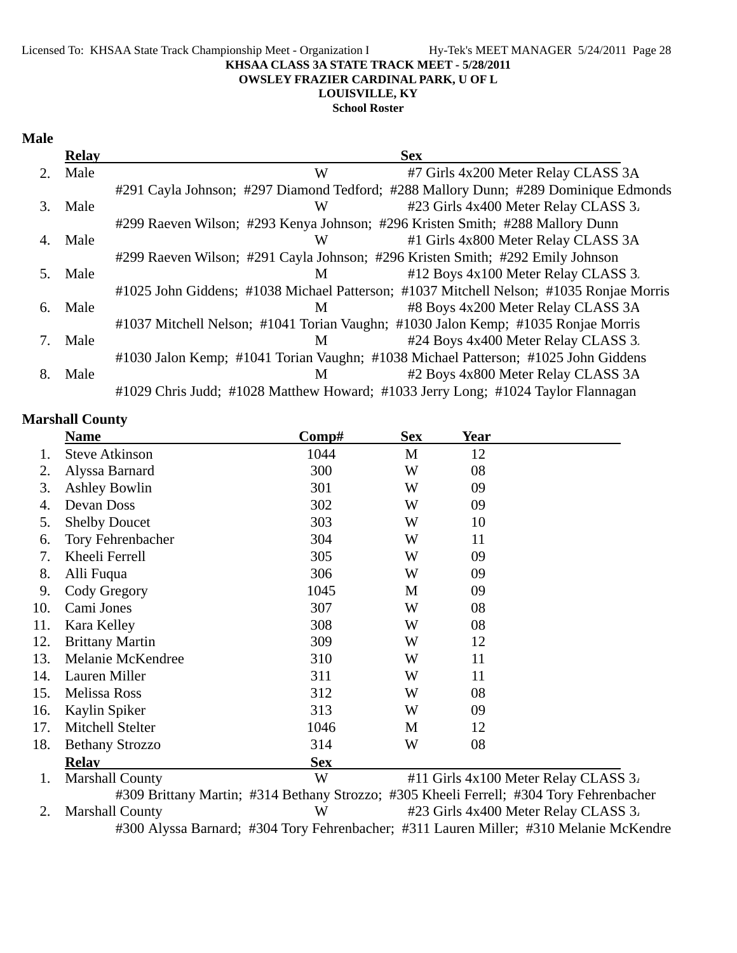#### Licensed To: KHSAA State Track Championship Meet - Organization I Hy-Tek's MEET MANAGER 5/24/2011 Page 28 **KHSAA CLASS 3A STATE TRACK MEET - 5/28/2011 OWSLEY FRAZIER CARDINAL PARK, U OF L LOUISVILLE, KY**

**School Roster**

### **Male**

|    | <b>Relay</b> | <b>Sex</b>                                                                              |
|----|--------------|-----------------------------------------------------------------------------------------|
|    | Male         | #7 Girls 4x200 Meter Relay CLASS 3A<br>W                                                |
|    |              | #291 Cayla Johnson; #297 Diamond Tedford; #288 Mallory Dunn; #289 Dominique Edmonds     |
| 3. | Male         | #23 Girls 4x400 Meter Relay CLASS 3.<br>W                                               |
|    |              | #299 Raeven Wilson; #293 Kenya Johnson; #296 Kristen Smith; #288 Mallory Dunn           |
| 4. | Male         | #1 Girls 4x800 Meter Relay CLASS 3A<br>W                                                |
|    |              | #299 Raeven Wilson; #291 Cayla Johnson; #296 Kristen Smith; #292 Emily Johnson          |
| 5. | Male         | #12 Boys 4x100 Meter Relay CLASS 3.<br>M                                                |
|    |              | #1025 John Giddens; #1038 Michael Patterson; #1037 Mitchell Nelson; #1035 Ronjae Morris |
| 6. | Male         | #8 Boys 4x200 Meter Relay CLASS 3A<br>M                                                 |
|    |              | #1037 Mitchell Nelson; #1041 Torian Vaughn; #1030 Jalon Kemp; #1035 Ronjae Morris       |
|    | Male         | #24 Boys 4x400 Meter Relay CLASS 3.<br>M                                                |
|    |              | #1030 Jalon Kemp; #1041 Torian Vaughn; #1038 Michael Patterson; #1025 John Giddens      |
| 8. | Male         | #2 Boys 4x800 Meter Relay CLASS 3A<br>M                                                 |
|    |              | #1029 Chris Judd; #1028 Matthew Howard; #1033 Jerry Long; #1024 Taylor Flannagan        |

## **Marshall County**

|     | <b>Name</b>              | $\bf Comp\#$ | <b>Sex</b> | <b>Year</b> |                                          |
|-----|--------------------------|--------------|------------|-------------|------------------------------------------|
|     | <b>Steve Atkinson</b>    | 1044         | M          | 12          |                                          |
| 2.  | Alyssa Barnard           | 300          | W          | 08          |                                          |
| 3.  | <b>Ashley Bowlin</b>     | 301          | W          | 09          |                                          |
| 4.  | Devan Doss               | 302          | W          | 09          |                                          |
| 5.  | <b>Shelby Doucet</b>     | 303          | W          | 10          |                                          |
| 6.  | <b>Tory Fehrenbacher</b> | 304          | W          | 11          |                                          |
| 7.  | Kheeli Ferrell           | 305          | W          | 09          |                                          |
| 8.  | Alli Fuqua               | 306          | W          | 09          |                                          |
| 9.  | Cody Gregory             | 1045         | M          | 09          |                                          |
| 10. | Cami Jones               | 307          | W          | 08          |                                          |
| 11. | Kara Kelley              | 308          | W          | 08          |                                          |
| 12. | <b>Brittany Martin</b>   | 309          | W          | 12          |                                          |
| 13. | Melanie McKendree        | 310          | W          | 11          |                                          |
| 14. | Lauren Miller            | 311          | W          | 11          |                                          |
| 15. | Melissa Ross             | 312          | W          | 08          |                                          |
| 16. | Kaylin Spiker            | 313          | W          | 09          |                                          |
| 17. | Mitchell Stelter         | 1046         | M          | 12          |                                          |
| 18. | <b>Bethany Strozzo</b>   | 314          | W          | 08          |                                          |
|     | <b>Relav</b>             | <b>Sex</b>   |            |             |                                          |
| 1.  | <b>Marshall County</b>   | W            |            |             | #11 Girls $4x100$ Meter Relay CLASS $3x$ |

#309 Brittany Martin; #314 Bethany Strozzo; #305 Kheeli Ferrell; #304 Tory Fehrenbacher 2. Marshall County W #23 Girls 4x400 Meter Relay CLASS 3. #300 Alyssa Barnard; #304 Tory Fehrenbacher; #311 Lauren Miller; #310 Melanie McKendre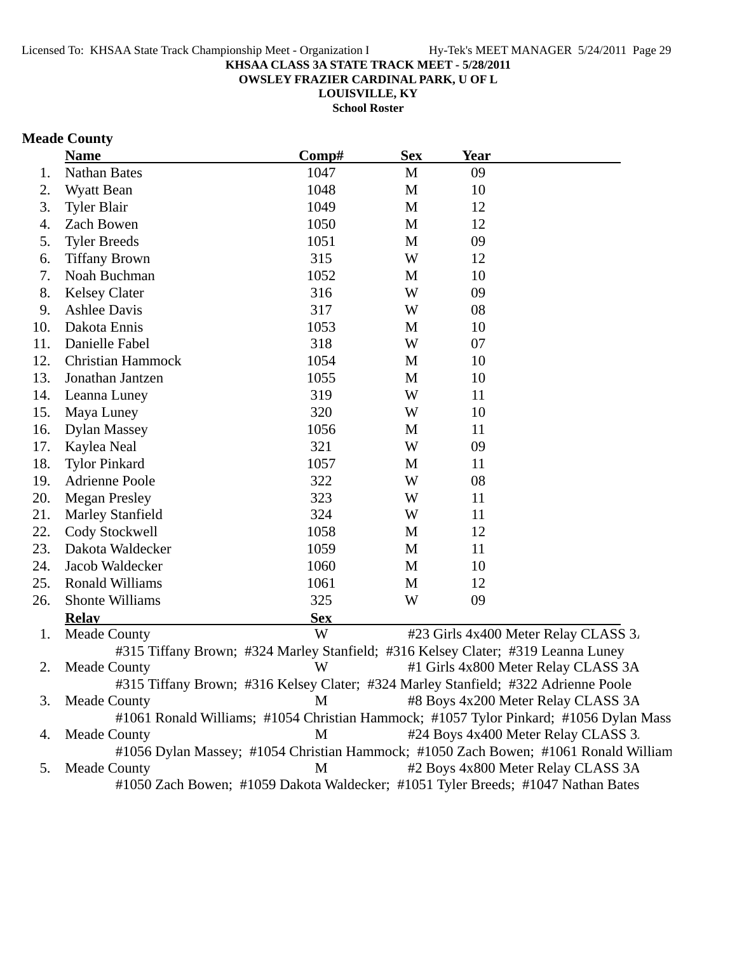**OWSLEY FRAZIER CARDINAL PARK, U OF L**

**LOUISVILLE, KY**

**School Roster**

# **Meade County**

|     | <b>Name</b>                                                                        | Comp#      | <b>Sex</b> | <b>Year</b> |                                                                                       |
|-----|------------------------------------------------------------------------------------|------------|------------|-------------|---------------------------------------------------------------------------------------|
| 1.  | <b>Nathan Bates</b>                                                                | 1047       | M          | 09          |                                                                                       |
| 2.  | Wyatt Bean                                                                         | 1048       | M          | 10          |                                                                                       |
| 3.  | <b>Tyler Blair</b>                                                                 | 1049       | M          | 12          |                                                                                       |
| 4.  | Zach Bowen                                                                         | 1050       | M          | 12          |                                                                                       |
| 5.  | <b>Tyler Breeds</b>                                                                | 1051       | M          | 09          |                                                                                       |
| 6.  | <b>Tiffany Brown</b>                                                               | 315        | W          | 12          |                                                                                       |
| 7.  | Noah Buchman                                                                       | 1052       | M          | 10          |                                                                                       |
| 8.  | <b>Kelsey Clater</b>                                                               | 316        | W          | 09          |                                                                                       |
| 9.  | <b>Ashlee Davis</b>                                                                | 317        | W          | 08          |                                                                                       |
| 10. | Dakota Ennis                                                                       | 1053       | M          | 10          |                                                                                       |
| 11. | Danielle Fabel                                                                     | 318        | W          | 07          |                                                                                       |
| 12. | <b>Christian Hammock</b>                                                           | 1054       | M          | 10          |                                                                                       |
| 13. | Jonathan Jantzen                                                                   | 1055       | M          | 10          |                                                                                       |
| 14. | Leanna Luney                                                                       | 319        | W          | 11          |                                                                                       |
| 15. | Maya Luney                                                                         | 320        | W          | 10          |                                                                                       |
| 16. | <b>Dylan Massey</b>                                                                | 1056       | M          | 11          |                                                                                       |
| 17. | Kaylea Neal                                                                        | 321        | W          | 09          |                                                                                       |
| 18. | <b>Tylor Pinkard</b>                                                               | 1057       | M          | 11          |                                                                                       |
| 19. | <b>Adrienne Poole</b>                                                              | 322        | W          | 08          |                                                                                       |
| 20. | <b>Megan Presley</b>                                                               | 323        | W          | 11          |                                                                                       |
| 21. | <b>Marley Stanfield</b>                                                            | 324        | W          | 11          |                                                                                       |
| 22. | Cody Stockwell                                                                     | 1058       | M          | 12          |                                                                                       |
| 23. | Dakota Waldecker                                                                   | 1059       | M          | 11          |                                                                                       |
| 24. | Jacob Waldecker                                                                    | 1060       | M          | 10          |                                                                                       |
| 25. | <b>Ronald Williams</b>                                                             | 1061       | M          | 12          |                                                                                       |
| 26. | Shonte Williams                                                                    | 325        | W          | 09          |                                                                                       |
|     | <b>Relay</b>                                                                       | <b>Sex</b> |            |             |                                                                                       |
| 1.  | <b>Meade County</b>                                                                | W          |            |             | #23 Girls 4x400 Meter Relay CLASS 3.                                                  |
|     | #315 Tiffany Brown; #324 Marley Stanfield; #316 Kelsey Clater; #319 Leanna Luney   |            |            |             |                                                                                       |
| 2.  | <b>Meade County</b>                                                                | W          |            |             | #1 Girls 4x800 Meter Relay CLASS 3A                                                   |
|     | #315 Tiffany Brown; #316 Kelsey Clater; #324 Marley Stanfield; #322 Adrienne Poole |            |            |             |                                                                                       |
| 3.  | <b>Meade County</b>                                                                | M          |            |             | #8 Boys 4x200 Meter Relay CLASS 3A                                                    |
|     |                                                                                    |            |            |             | #1061 Ronald Williams; #1054 Christian Hammock; #1057 Tylor Pinkard; #1056 Dylan Mass |
| 4.  | <b>Meade County</b>                                                                | M          |            |             | #24 Boys 4x400 Meter Relay CLASS 3.                                                   |
|     |                                                                                    |            |            |             | #1056 Dylan Massey; #1054 Christian Hammock; #1050 Zach Bowen; #1061 Ronald William   |
| 5.  | <b>Meade County</b>                                                                | M          |            |             | #2 Boys 4x800 Meter Relay CLASS 3A                                                    |
|     | #1050 Zach Bowen; #1059 Dakota Waldecker; #1051 Tyler Breeds; #1047 Nathan Bates   |            |            |             |                                                                                       |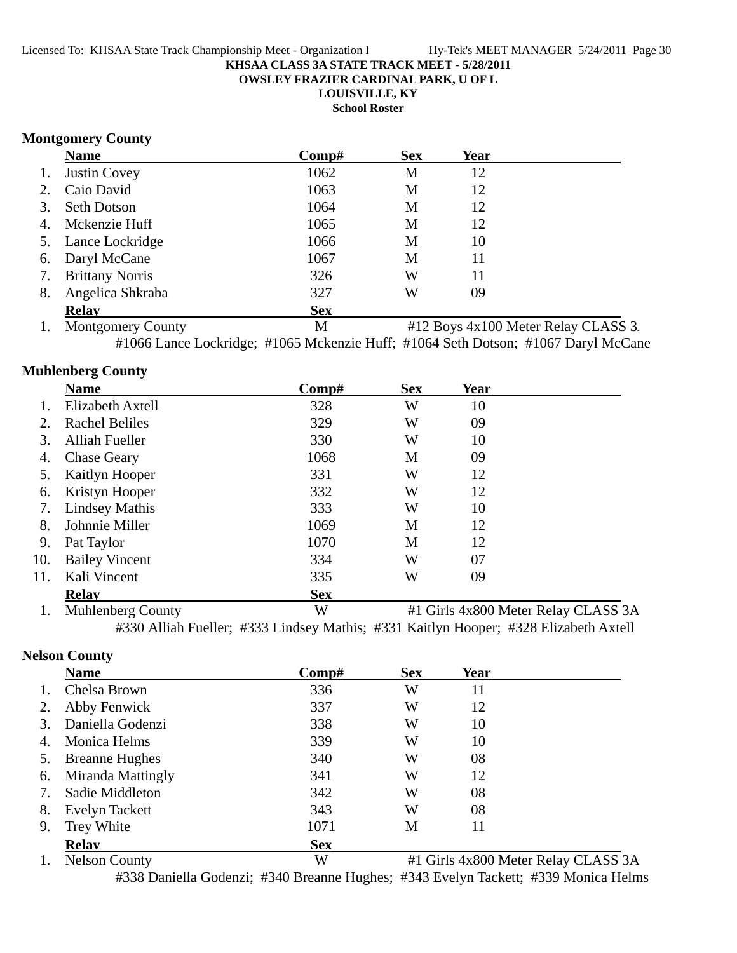**OWSLEY FRAZIER CARDINAL PARK, U OF L**

**LOUISVILLE, KY**

**School Roster**

## **Montgomery County**

|    | <b>Name</b>         | Comp#      | <b>Sex</b> | Year |  |
|----|---------------------|------------|------------|------|--|
| 1. | <b>Justin Covey</b> | 1062       | M          | 12   |  |
|    | 2. Caio David       | 1063       | M          | 12   |  |
| 3. | <b>Seth Dotson</b>  | 1064       | M          | 12   |  |
|    | 4. Mckenzie Huff    | 1065       | M          | 12   |  |
|    | 5. Lance Lockridge  | 1066       | M          | 10   |  |
|    | 6. Daryl McCane     | 1067       | M          | 11   |  |
|    | 7. Brittany Norris  | 326        | W          | 11   |  |
| 8. | Angelica Shkraba    | 327        | W          | 09   |  |
|    | <b>Relay</b>        | <b>Sex</b> |            |      |  |

1. Montgomery County 1. M  $\#12$  Boys 4x100 Meter Relay CLASS 3. #1066 Lance Lockridge; #1065 Mckenzie Huff; #1064 Seth Dotson; #1067 Daryl McCane

# **Muhlenberg County**

|     | <b>Name</b>           | Comp#      | <b>Sex</b> | Year                                      |
|-----|-----------------------|------------|------------|-------------------------------------------|
|     | Elizabeth Axtell      | 328        | W          | 10                                        |
| 2.  | <b>Rachel Beliles</b> | 329        | W          | 09                                        |
| 3.  | <b>Alliah Fueller</b> | 330        | W          | 10                                        |
| 4.  | <b>Chase Geary</b>    | 1068       | M          | 09                                        |
| 5.  | Kaitlyn Hooper        | 331        | W          | 12                                        |
| 6.  | Kristyn Hooper        | 332        | W          | 12                                        |
| 7.  | <b>Lindsey Mathis</b> | 333        | W          | 10                                        |
| 8.  | Johnnie Miller        | 1069       | M          | 12                                        |
| 9.  | Pat Taylor            | 1070       | M          | 12                                        |
| 10. | <b>Bailey Vincent</b> | 334        | W          | 07                                        |
| 11. | Kali Vincent          | 335        | W          | 09                                        |
|     | <b>Relay</b>          | <b>Sex</b> |            |                                           |
|     |                       | <b>III</b> |            | $\mu$ 1 Circle 4-000 Meter Delay CI ACC 2 |

1. Muhlenberg County W #1 Girls 4x800 Meter Relay CLASS 3A #330 Alliah Fueller; #333 Lindsey Mathis; #331 Kaitlyn Hooper; #328 Elizabeth Axtell

# **Nelson County**

|    | <b>Name</b>           | Comp#      | <b>Sex</b> | Year |                                                                                                          |
|----|-----------------------|------------|------------|------|----------------------------------------------------------------------------------------------------------|
|    | Chelsa Brown          | 336        | W          | 11   |                                                                                                          |
|    | Abby Fenwick          | 337        | W          | 12   |                                                                                                          |
| 3. | Daniella Godenzi      | 338        | W          | 10   |                                                                                                          |
| 4. | Monica Helms          | 339        | W          | 10   |                                                                                                          |
|    | <b>Breanne Hughes</b> | 340        | W          | 08   |                                                                                                          |
| 6. | Miranda Mattingly     | 341        | W          | 12   |                                                                                                          |
| 7. | Sadie Middleton       | 342        | W          | 08   |                                                                                                          |
| 8. | Evelyn Tackett        | 343        | W          | 08   |                                                                                                          |
| 9. | Trey White            | 1071       | M          | 11   |                                                                                                          |
|    | <b>Relav</b>          | <b>Sex</b> |            |      |                                                                                                          |
|    | $1 \quad M1 \quad A$  | <b>TTT</b> |            |      | $\mu$ 1 $\alpha$ <sup>1</sup> $\mu$ 000 $\mu$ , $\mathbf{D}$ 1 $\alpha$ $\mu$ $\alpha$ $\alpha$ $\alpha$ |

1. Nelson County **W** #1 Girls 4x800 Meter Relay CLASS 3A #338 Daniella Godenzi; #340 Breanne Hughes; #343 Evelyn Tackett; #339 Monica Helms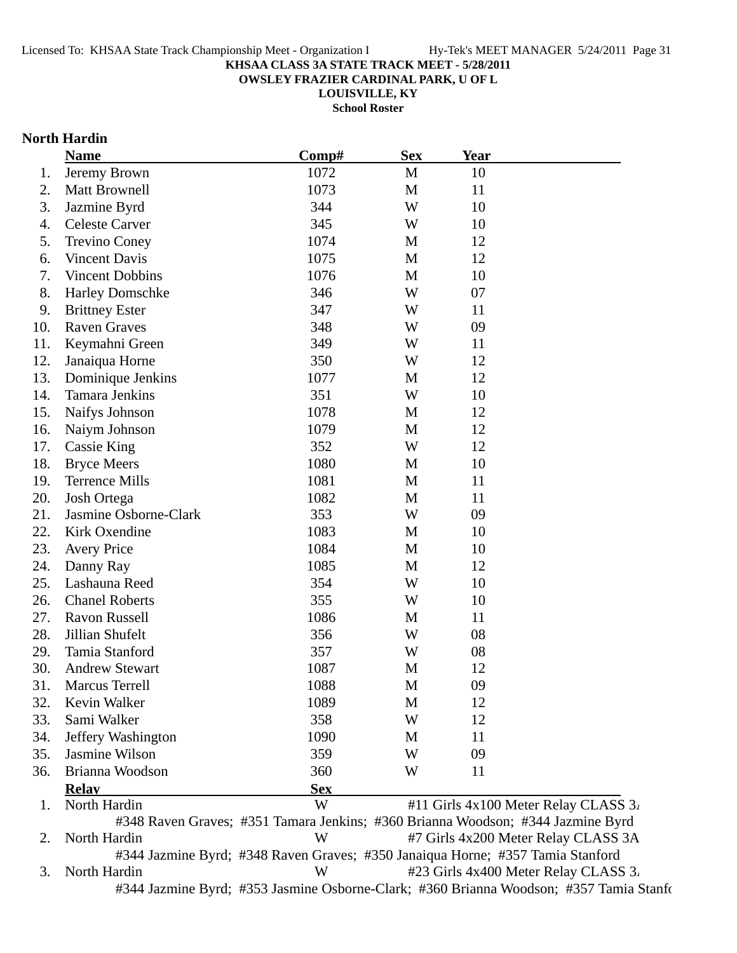**OWSLEY FRAZIER CARDINAL PARK, U OF L**

**LOUISVILLE, KY**

**School Roster**

## **North Hardin**

|     | <b>Name</b>            | Comp#                                                                           | <b>Sex</b>  | Year |                                      |
|-----|------------------------|---------------------------------------------------------------------------------|-------------|------|--------------------------------------|
| 1.  | Jeremy Brown           | 1072                                                                            | M           | 10   |                                      |
| 2.  | Matt Brownell          | 1073                                                                            | $\mathbf M$ | 11   |                                      |
| 3.  | Jazmine Byrd           | 344                                                                             | W           | 10   |                                      |
| 4.  | <b>Celeste Carver</b>  | 345                                                                             | W           | 10   |                                      |
| 5.  | <b>Trevino Coney</b>   | 1074                                                                            | M           | 12   |                                      |
| 6.  | <b>Vincent Davis</b>   | 1075                                                                            | M           | 12   |                                      |
| 7.  | Vincent Dobbins        | 1076                                                                            | M           | 10   |                                      |
| 8.  | <b>Harley Domschke</b> | 346                                                                             | W           | 07   |                                      |
| 9.  | <b>Brittney Ester</b>  | 347                                                                             | W           | 11   |                                      |
| 10. | <b>Raven Graves</b>    | 348                                                                             | W           | 09   |                                      |
| 11. | Keymahni Green         | 349                                                                             | W           | 11   |                                      |
| 12. | Janaiqua Horne         | 350                                                                             | W           | 12   |                                      |
| 13. | Dominique Jenkins      | 1077                                                                            | M           | 12   |                                      |
| 14. | <b>Tamara Jenkins</b>  | 351                                                                             | W           | 10   |                                      |
| 15. | Naifys Johnson         | 1078                                                                            | M           | 12   |                                      |
| 16. | Naiym Johnson          | 1079                                                                            | M           | 12   |                                      |
| 17. | <b>Cassie King</b>     | 352                                                                             | W           | 12   |                                      |
| 18. | <b>Bryce Meers</b>     | 1080                                                                            | M           | 10   |                                      |
| 19. | <b>Terrence Mills</b>  | 1081                                                                            | $\mathbf M$ | 11   |                                      |
| 20. | Josh Ortega            | 1082                                                                            | M           | 11   |                                      |
| 21. | Jasmine Osborne-Clark  | 353                                                                             | W           | 09   |                                      |
| 22. | Kirk Oxendine          | 1083                                                                            | M           | 10   |                                      |
| 23. | <b>Avery Price</b>     | 1084                                                                            | M           | 10   |                                      |
| 24. | Danny Ray              | 1085                                                                            | $\mathbf M$ | 12   |                                      |
| 25. | Lashauna Reed          | 354                                                                             | W           | 10   |                                      |
| 26. | <b>Chanel Roberts</b>  | 355                                                                             | W           | 10   |                                      |
| 27. | Ravon Russell          | 1086                                                                            | M           | 11   |                                      |
| 28. | Jillian Shufelt        | 356                                                                             | W           | 08   |                                      |
| 29. | Tamia Stanford         | 357                                                                             | W           | 08   |                                      |
| 30. | <b>Andrew Stewart</b>  | 1087                                                                            | M           | 12   |                                      |
| 31. | <b>Marcus Terrell</b>  | 1088                                                                            | M           | 09   |                                      |
| 32. | Kevin Walker           | 1089                                                                            | M           | 12   |                                      |
| 33. | Sami Walker            | 358                                                                             | W           | 12   |                                      |
| 34. | Jeffery Washington     | 1090                                                                            | M           | 11   |                                      |
| 35. | Jasmine Wilson         | 359                                                                             | W           | 09   |                                      |
| 36. | Brianna Woodson        | 360                                                                             | W           | 11   |                                      |
|     | <b>Relav</b>           | <b>Sex</b>                                                                      |             |      |                                      |
| 1.  | North Hardin           | W                                                                               |             |      | #11 Girls 4x100 Meter Relay CLASS 3. |
|     |                        | #348 Raven Graves; #351 Tamara Jenkins; #360 Brianna Woodson; #344 Jazmine Byrd |             |      |                                      |
| 2.  | North Hardin           | W                                                                               |             |      | #7 Girls 4x200 Meter Relay CLASS 3A  |
|     |                        | #344 Jazmine Byrd; #348 Raven Graves; #350 Janaiqua Horne; #357 Tamia Stanford  |             |      |                                      |
| 3.  | North Hardin           | W                                                                               |             |      | #23 Girls 4x400 Meter Relay CLASS 3. |

#344 Jazmine Byrd; #353 Jasmine Osborne-Clark; #360 Brianna Woodson; #357 Tamia Stanfo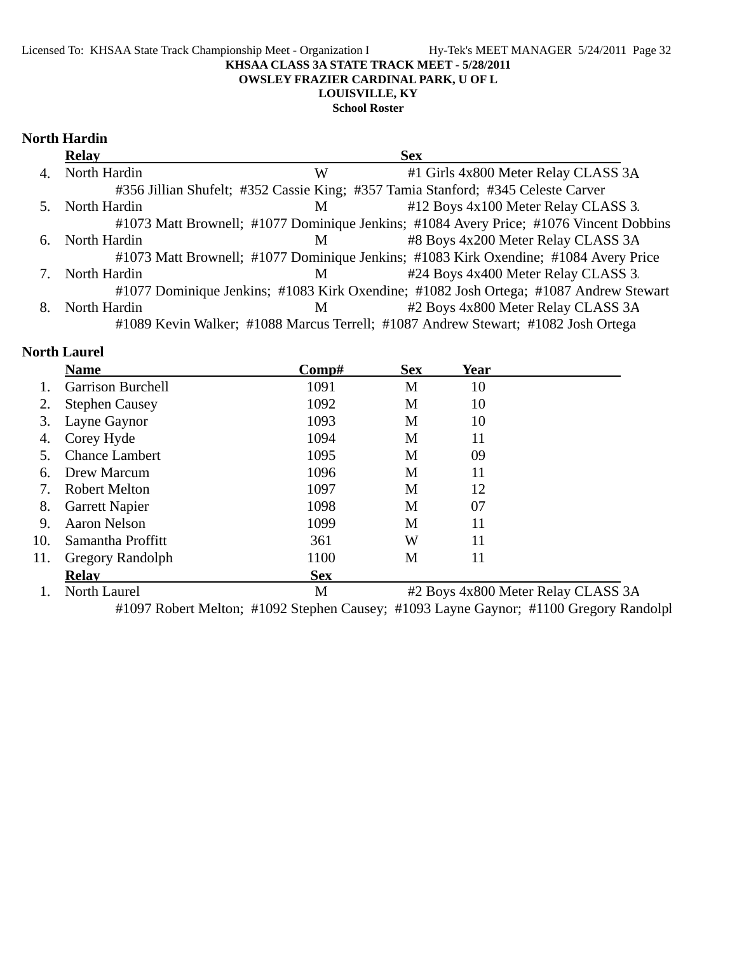### Licensed To: KHSAA State Track Championship Meet - Organization I Hy-Tek's MEET MANAGER 5/24/2011 Page 32 **KHSAA CLASS 3A STATE TRACK MEET - 5/28/2011 OWSLEY FRAZIER CARDINAL PARK, U OF L LOUISVILLE, KY**

### **School Roster**

## **North Hardin**

|    | <b>Relay</b> |   | <b>Sex</b>                                                                             |
|----|--------------|---|----------------------------------------------------------------------------------------|
| 4. | North Hardin | W | #1 Girls 4x800 Meter Relay CLASS 3A                                                    |
|    |              |   | #356 Jillian Shufelt; #352 Cassie King; #357 Tamia Stanford; #345 Celeste Carver       |
|    | North Hardin | M | #12 Boys 4x100 Meter Relay CLASS 3.                                                    |
|    |              |   | #1073 Matt Brownell; #1077 Dominique Jenkins; #1084 Avery Price; #1076 Vincent Dobbins |
| 6. | North Hardin | M | #8 Boys 4x200 Meter Relay CLASS 3A                                                     |
|    |              |   | #1073 Matt Brownell; #1077 Dominique Jenkins; #1083 Kirk Oxendine; #1084 Avery Price   |
|    | North Hardin | М | #24 Boys 4x400 Meter Relay CLASS 3.                                                    |
|    |              |   | #1077 Dominique Jenkins; #1083 Kirk Oxendine; #1082 Josh Ortega; #1087 Andrew Stewart  |
|    | North Hardin | M | #2 Boys 4x800 Meter Relay CLASS 3A                                                     |
|    |              |   | #1089 Kevin Walker; #1088 Marcus Terrell; #1087 Andrew Stewart; #1082 Josh Ortega      |

## **North Laurel**

|     | <b>Name</b>              | Comp#      | <b>Sex</b> | <b>Year</b> |                                    |
|-----|--------------------------|------------|------------|-------------|------------------------------------|
|     | <b>Garrison Burchell</b> | 1091       | M          | 10          |                                    |
| 2.  | <b>Stephen Causey</b>    | 1092       | M          | 10          |                                    |
| 3.  | Layne Gaynor             | 1093       | M          | 10          |                                    |
| 4.  | Corey Hyde               | 1094       | M          | 11          |                                    |
|     | <b>Chance Lambert</b>    | 1095       | M          | 09          |                                    |
| 6.  | Drew Marcum              | 1096       | M          | 11          |                                    |
| 7.  | <b>Robert Melton</b>     | 1097       | M          | 12          |                                    |
| 8.  | <b>Garrett Napier</b>    | 1098       | M          | 07          |                                    |
| 9.  | <b>Aaron Nelson</b>      | 1099       | M          | 11          |                                    |
| 10. | Samantha Proffitt        | 361        | W          | 11          |                                    |
| 11. | <b>Gregory Randolph</b>  | 1100       | M          | 11          |                                    |
|     | <b>Relay</b>             | <b>Sex</b> |            |             |                                    |
|     | North Laurel             | M          |            |             | #2 Boys 4x800 Meter Relay CLASS 3A |

#1097 Robert Melton; #1092 Stephen Causey; #1093 Layne Gaynor; #1100 Gregory Randolph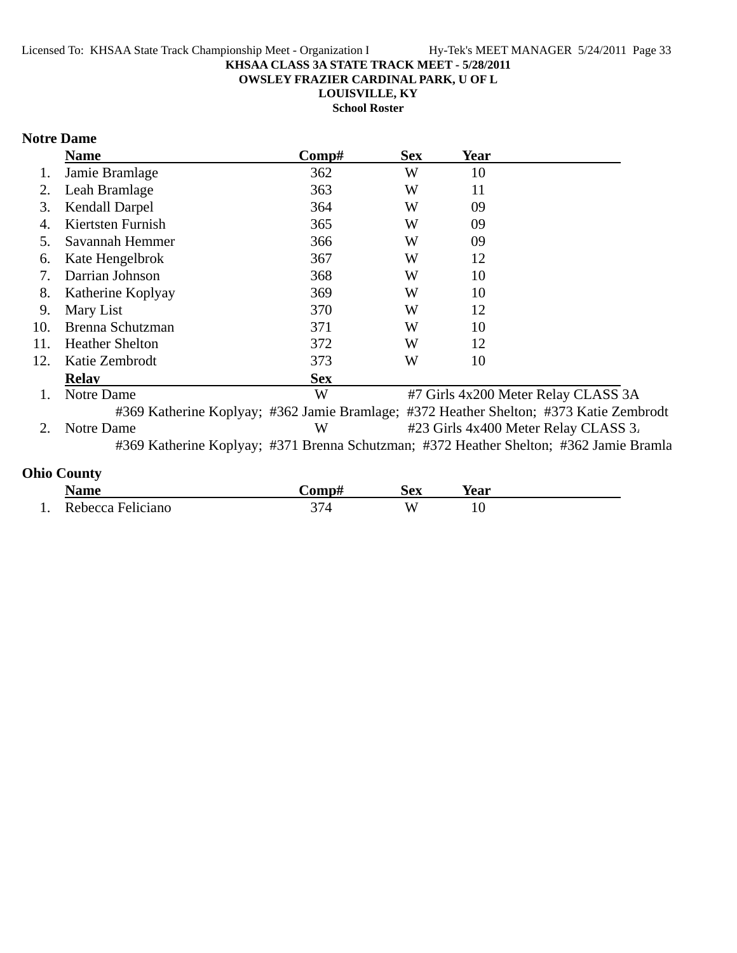**OWSLEY FRAZIER CARDINAL PARK, U OF L**

**LOUISVILLE, KY**

**School Roster**

# **Notre Dame**

|     | <b>Name</b>            | Comp#      | <b>Sex</b> | Year |                                                                                        |
|-----|------------------------|------------|------------|------|----------------------------------------------------------------------------------------|
|     | Jamie Bramlage         | 362        | W          | 10   |                                                                                        |
| 2.  | Leah Bramlage          | 363        | W          | 11   |                                                                                        |
| 3.  | <b>Kendall Darpel</b>  | 364        | W          | 09   |                                                                                        |
|     | Kiertsten Furnish      | 365        | W          | 09   |                                                                                        |
| 5.  | Savannah Hemmer        | 366        | W          | 09   |                                                                                        |
| 6.  | Kate Hengelbrok        | 367        | W          | 12   |                                                                                        |
| 7.  | Darrian Johnson        | 368        | W          | 10   |                                                                                        |
| 8.  | Katherine Koplyay      | 369        | W          | 10   |                                                                                        |
| 9.  | Mary List              | 370        | W          | 12   |                                                                                        |
| 10. | Brenna Schutzman       | 371        | W          | 10   |                                                                                        |
| 11. | <b>Heather Shelton</b> | 372        | W          | 12   |                                                                                        |
| 12. | Katie Zembrodt         | 373        | W          | 10   |                                                                                        |
|     | <b>Relay</b>           | <b>Sex</b> |            |      |                                                                                        |
| 1.  | Notre Dame             | W          |            |      | #7 Girls 4x200 Meter Relay CLASS 3A                                                    |
|     |                        |            |            |      | #369 Katherine Koplyay; #362 Jamie Bramlage; #372 Heather Shelton; #373 Katie Zembrodt |
|     | Notre Dame             | W          |            |      | #23 Girls 4x400 Meter Relay CLASS 3.                                                   |
|     |                        |            |            |      | #369 Katherine Koplyay; #371 Brenna Schutzman; #372 Heather Shelton; #362 Jamie Bramla |
|     |                        |            |            |      |                                                                                        |

# **Ohio County**

|     | Name              | <b>∴omp#</b> | <b>Sex</b> | Year |
|-----|-------------------|--------------|------------|------|
| . . | Rebecca Feliciano | ົ            | W          |      |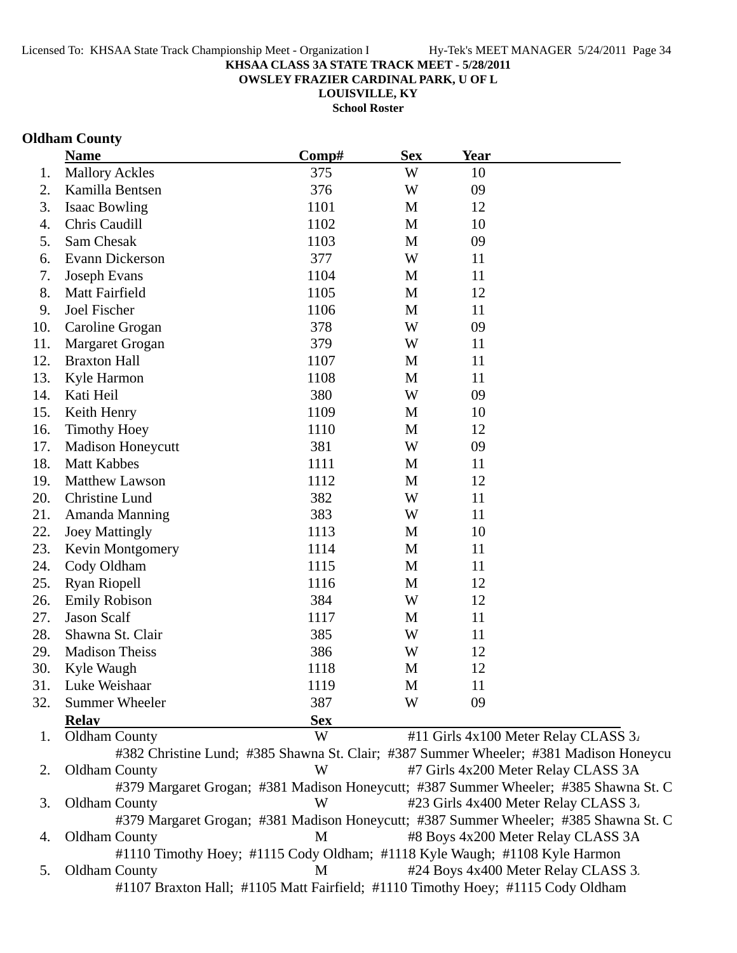**OWSLEY FRAZIER CARDINAL PARK, U OF L**

**LOUISVILLE, KY**

**School Roster**

## **Oldham County**

|     | <b>Name</b>              | Comp#      | <b>Sex</b> | Year |                                                                                       |
|-----|--------------------------|------------|------------|------|---------------------------------------------------------------------------------------|
| 1.  | <b>Mallory Ackles</b>    | 375        | W          | 10   |                                                                                       |
| 2.  | Kamilla Bentsen          | 376        | W          | 09   |                                                                                       |
| 3.  | <b>Isaac Bowling</b>     | 1101       | M          | 12   |                                                                                       |
| 4.  | Chris Caudill            | 1102       | M          | 10   |                                                                                       |
| 5.  | Sam Chesak               | 1103       | M          | 09   |                                                                                       |
| 6.  | Evann Dickerson          | 377        | W          | 11   |                                                                                       |
| 7.  | <b>Joseph Evans</b>      | 1104       | M          | 11   |                                                                                       |
| 8.  | Matt Fairfield           | 1105       | M          | 12   |                                                                                       |
| 9.  | Joel Fischer             | 1106       | M          | 11   |                                                                                       |
| 10. | Caroline Grogan          | 378        | W          | 09   |                                                                                       |
| 11. | Margaret Grogan          | 379        | W          | 11   |                                                                                       |
| 12. | <b>Braxton Hall</b>      | 1107       | M          | 11   |                                                                                       |
| 13. | Kyle Harmon              | 1108       | M          | 11   |                                                                                       |
| 14. | Kati Heil                | 380        | W          | 09   |                                                                                       |
| 15. | Keith Henry              | 1109       | M          | 10   |                                                                                       |
| 16. | <b>Timothy Hoey</b>      | 1110       | M          | 12   |                                                                                       |
| 17. | <b>Madison Honeycutt</b> | 381        | W          | 09   |                                                                                       |
| 18. | <b>Matt Kabbes</b>       | 1111       | M          | 11   |                                                                                       |
| 19. | Matthew Lawson           | 1112       | M          | 12   |                                                                                       |
| 20. | Christine Lund           | 382        | W          | 11   |                                                                                       |
| 21. | Amanda Manning           | 383        | W          | 11   |                                                                                       |
| 22. | <b>Joey Mattingly</b>    | 1113       | M          | 10   |                                                                                       |
| 23. | Kevin Montgomery         | 1114       | M          | 11   |                                                                                       |
| 24. | Cody Oldham              | 1115       | M          | 11   |                                                                                       |
| 25. | <b>Ryan Riopell</b>      | 1116       | M          | 12   |                                                                                       |
| 26. | <b>Emily Robison</b>     | 384        | W          | 12   |                                                                                       |
| 27. | <b>Jason Scalf</b>       | 1117       | M          | 11   |                                                                                       |
| 28. | Shawna St. Clair         | 385        | W          | 11   |                                                                                       |
| 29. | <b>Madison Theiss</b>    | 386        | W          | 12   |                                                                                       |
| 30. | Kyle Waugh               | 1118       | M          | 12   |                                                                                       |
| 31. | Luke Weishaar            | 1119       | M          | 11   |                                                                                       |
| 32. | <b>Summer Wheeler</b>    | 387        | W          | 09   |                                                                                       |
|     | <b>Relay</b>             | <b>Sex</b> |            |      |                                                                                       |
| 1.  | <b>Oldham County</b>     | W          |            |      | #11 Girls 4x100 Meter Relay CLASS 3.                                                  |
|     |                          |            |            |      | #382 Christine Lund; #385 Shawna St. Clair; #387 Summer Wheeler; #381 Madison Honeycu |
| 2.  | <b>Oldham County</b>     | W          |            |      | #7 Girls 4x200 Meter Relay CLASS 3A                                                   |

#379 Margaret Grogan; #381 Madison Honeycutt; #387 Summer Wheeler; #385 Shawna St. C 3. Oldham County W #23 Girls 4x400 Meter Relay CLASS 3. #379 Margaret Grogan; #381 Madison Honeycutt; #387 Summer Wheeler; #385 Shawna St. C 4. Oldham County M #8 Boys 4x200 Meter Relay CLASS 3A

#1110 Timothy Hoey; #1115 Cody Oldham; #1118 Kyle Waugh; #1108 Kyle Harmon 5. Oldham County M #24 Boys 4x400 Meter Relay CLASS 3. #1107 Braxton Hall; #1105 Matt Fairfield; #1110 Timothy Hoey; #1115 Cody Oldham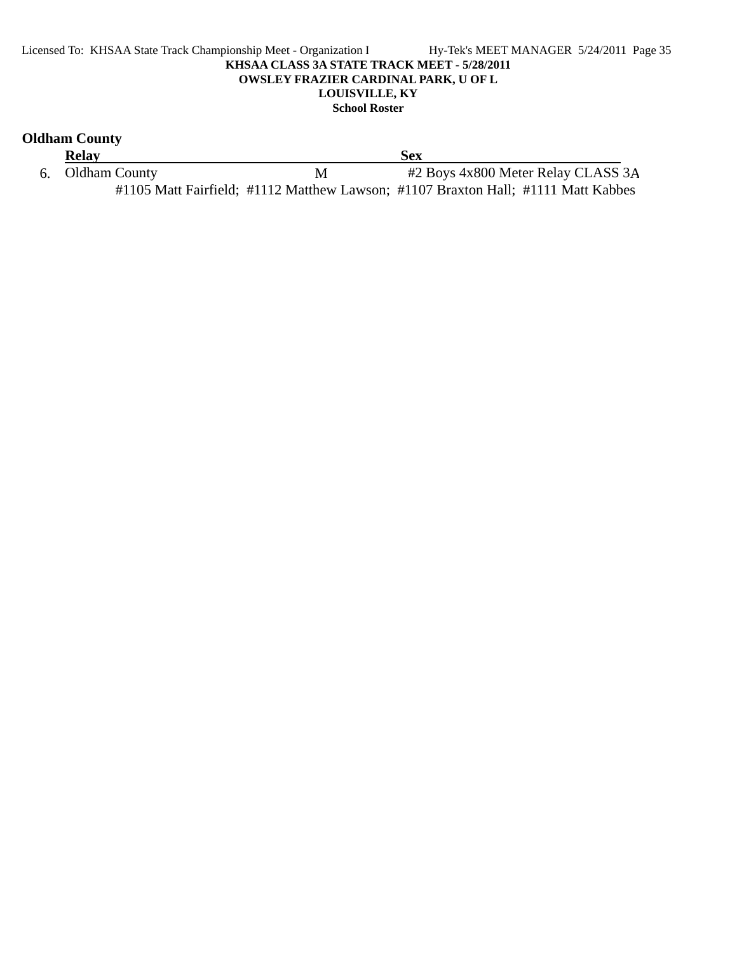#### Licensed To: KHSAA State Track Championship Meet - Organization I Hy-Tek's MEET MANAGER 5/24/2011 Page 35 **KHSAA CLASS 3A STATE TRACK MEET - 5/28/2011 OWSLEY FRAZIER CARDINAL PARK, U OF L LOUISVILLE, KY School Roster**

# **Oldham County**

| <b>Relay</b>     | Sex |                                                                                   |  |
|------------------|-----|-----------------------------------------------------------------------------------|--|
| 6. Oldham County | M   | #2 Boys 4x800 Meter Relay CLASS 3A                                                |  |
|                  |     | #1105 Matt Fairfield; #1112 Matthew Lawson; #1107 Braxton Hall; #1111 Matt Kabbes |  |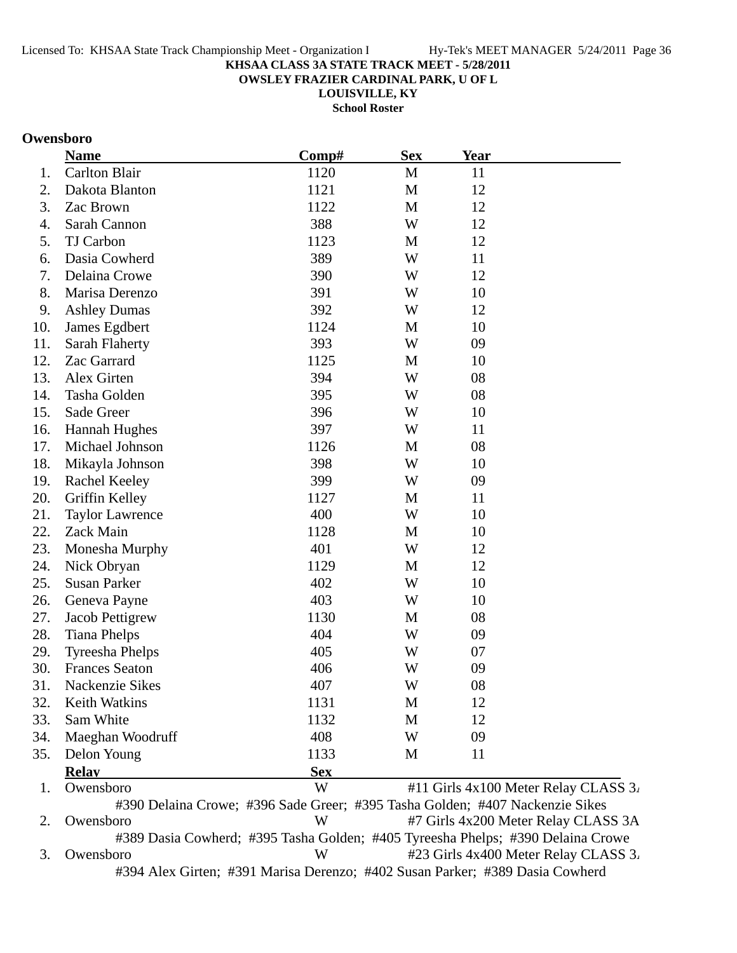**OWSLEY FRAZIER CARDINAL PARK, U OF L**

**LOUISVILLE, KY**

**School Roster**

## **Owensboro**

|     | <b>Name</b>            | Comp#                                                                        | <b>Sex</b>   | <u>Year</u> |                                      |
|-----|------------------------|------------------------------------------------------------------------------|--------------|-------------|--------------------------------------|
| 1.  | Carlton Blair          | 1120                                                                         | M            | 11          |                                      |
| 2.  | Dakota Blanton         | 1121                                                                         | $\mathbf M$  | 12          |                                      |
| 3.  | Zac Brown              | 1122                                                                         | M            | 12          |                                      |
| 4.  | Sarah Cannon           | 388                                                                          | W            | 12          |                                      |
| 5.  | TJ Carbon              | 1123                                                                         | M            | 12          |                                      |
| 6.  | Dasia Cowherd          | 389                                                                          | W            | 11          |                                      |
| 7.  | Delaina Crowe          | 390                                                                          | W            | 12          |                                      |
| 8.  | Marisa Derenzo         | 391                                                                          | W            | 10          |                                      |
| 9.  | <b>Ashley Dumas</b>    | 392                                                                          | W            | 12          |                                      |
| 10. | James Egdbert          | 1124                                                                         | $\mathbf{M}$ | 10          |                                      |
| 11. | Sarah Flaherty         | 393                                                                          | W            | 09          |                                      |
| 12. | Zac Garrard            | 1125                                                                         | M            | 10          |                                      |
| 13. | Alex Girten            | 394                                                                          | W            | 08          |                                      |
| 14. | Tasha Golden           | 395                                                                          | W            | 08          |                                      |
| 15. | Sade Greer             | 396                                                                          | W            | 10          |                                      |
| 16. | <b>Hannah Hughes</b>   | 397                                                                          | W            | 11          |                                      |
| 17. | Michael Johnson        | 1126                                                                         | M            | 08          |                                      |
| 18. | Mikayla Johnson        | 398                                                                          | W            | 10          |                                      |
| 19. | Rachel Keeley          | 399                                                                          | W            | 09          |                                      |
| 20. | Griffin Kelley         | 1127                                                                         | $\mathbf{M}$ | 11          |                                      |
| 21. | <b>Taylor Lawrence</b> | 400                                                                          | W            | 10          |                                      |
| 22. | Zack Main              | 1128                                                                         | M            | 10          |                                      |
| 23. | Monesha Murphy         | 401                                                                          | W            | 12          |                                      |
| 24. | Nick Obryan            | 1129                                                                         | $\mathbf{M}$ | 12          |                                      |
| 25. | <b>Susan Parker</b>    | 402                                                                          | W            | 10          |                                      |
| 26. | Geneva Payne           | 403                                                                          | W            | 10          |                                      |
| 27. | Jacob Pettigrew        | 1130                                                                         | M            | 08          |                                      |
| 28. | <b>Tiana Phelps</b>    | 404                                                                          | W            | 09          |                                      |
| 29. | <b>Tyreesha Phelps</b> | 405                                                                          | W            | 07          |                                      |
| 30. | <b>Frances Seaton</b>  | 406                                                                          | W            | 09          |                                      |
| 31. | Nackenzie Sikes        | 407                                                                          | W            | 08          |                                      |
| 32. | <b>Keith Watkins</b>   | 1131                                                                         | M            | 12          |                                      |
| 33. | Sam White              | 1132                                                                         | M            | 12          |                                      |
| 34. | Maeghan Woodruff       | 408                                                                          | W            | 09          |                                      |
| 35. | Delon Young            | 1133                                                                         | M            | 11          |                                      |
|     | <b>Relay</b>           | <b>Sex</b>                                                                   |              |             |                                      |
| 1.  | Owensboro              | W                                                                            |              |             | #11 Girls 4x100 Meter Relay CLASS 3. |
|     |                        | #390 Delaina Crowe; #396 Sade Greer; #395 Tasha Golden; #407 Nackenzie Sikes |              |             |                                      |
| 2.  | Owensboro              | W                                                                            |              |             | #7 Girls 4x200 Meter Relay CLASS 3A  |

#389 Dasia Cowherd; #395 Tasha Golden; #405 Tyreesha Phelps; #390 Delaina Crowe 3. Owensboro  $W$   $\#23$  Girls  $4x400$  Meter Relay CLASS 3. #394 Alex Girten; #391 Marisa Derenzo; #402 Susan Parker; #389 Dasia Cowherd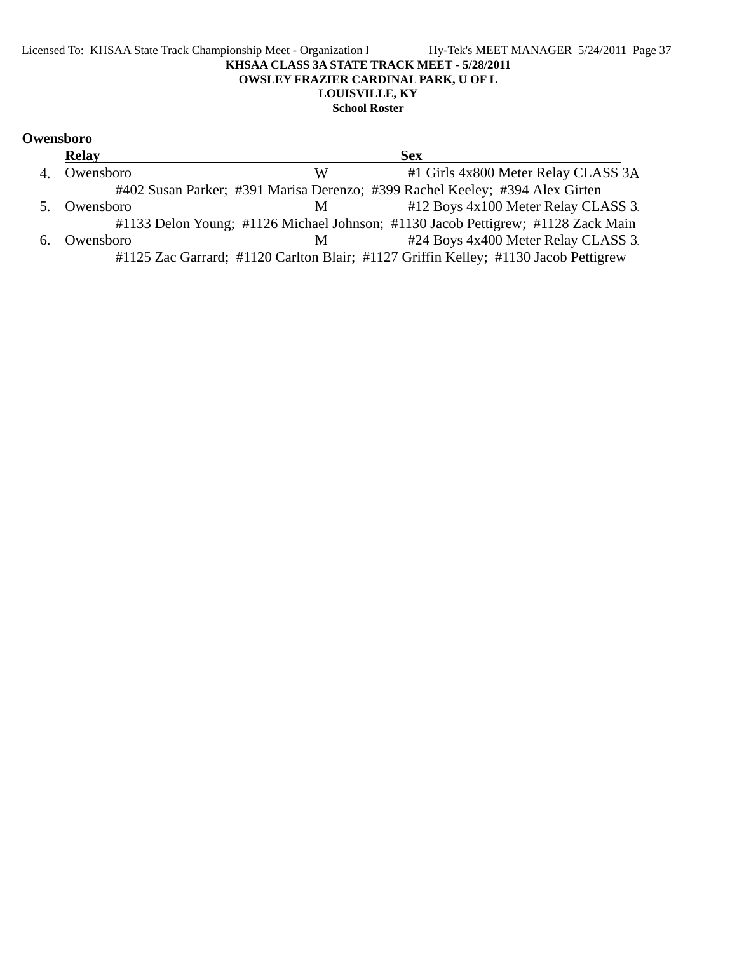### Licensed To: KHSAA State Track Championship Meet - Organization I Hy-Tek's MEET MANAGER 5/24/2011 Page 37 **KHSAA CLASS 3A STATE TRACK MEET - 5/28/2011 OWSLEY FRAZIER CARDINAL PARK, U OF L LOUISVILLE, KY School Roster**

# **Owensboro**

|    | <b>Relay</b> |   | <b>Sex</b>                                                                          |  |
|----|--------------|---|-------------------------------------------------------------------------------------|--|
| 4. | Owensboro    | W | #1 Girls 4x800 Meter Relay CLASS 3A                                                 |  |
|    |              |   | #402 Susan Parker; #391 Marisa Derenzo; #399 Rachel Keeley; #394 Alex Girten        |  |
| 5. | Owensboro    | M | #12 Boys 4x100 Meter Relay CLASS 3.                                                 |  |
|    |              |   | #1133 Delon Young; #1126 Michael Johnson; #1130 Jacob Pettigrew; #1128 Zack Main    |  |
| 6. | Owensboro    | M | #24 Boys 4x400 Meter Relay CLASS 3.                                                 |  |
|    |              |   | #1125 Zac Garrard; #1120 Carlton Blair; #1127 Griffin Kelley; #1130 Jacob Pettigrew |  |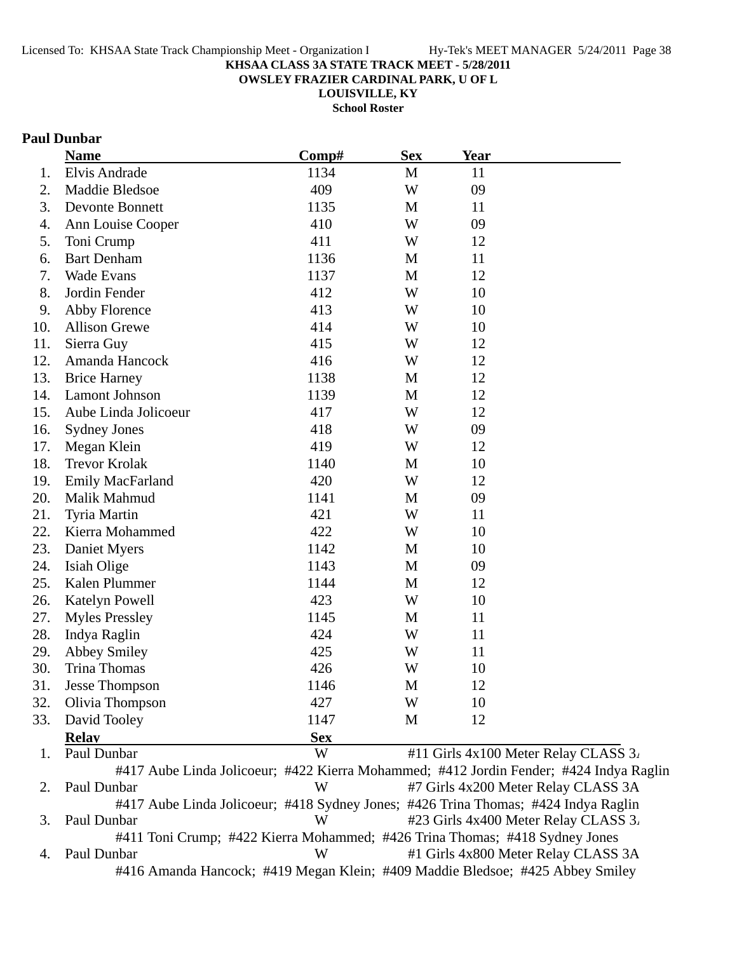**OWSLEY FRAZIER CARDINAL PARK, U OF L**

**LOUISVILLE, KY**

**School Roster**

## **Paul Dunbar**

|     | <b>Name</b>           | Comp#      | <b>Sex</b>   | <b>Year</b> |                                                                                        |
|-----|-----------------------|------------|--------------|-------------|----------------------------------------------------------------------------------------|
| 1.  | Elvis Andrade         | 1134       | $\mathbf{M}$ | 11          |                                                                                        |
| 2.  | Maddie Bledsoe        | 409        | W            | 09          |                                                                                        |
| 3.  | Devonte Bonnett       | 1135       | M            | 11          |                                                                                        |
| 4.  | Ann Louise Cooper     | 410        | W            | 09          |                                                                                        |
| 5.  | Toni Crump            | 411        | W            | 12          |                                                                                        |
| 6.  | <b>Bart Denham</b>    | 1136       | M            | 11          |                                                                                        |
| 7.  | <b>Wade Evans</b>     | 1137       | $\mathbf{M}$ | 12          |                                                                                        |
| 8.  | Jordin Fender         | 412        | W            | 10          |                                                                                        |
| 9.  | Abby Florence         | 413        | W            | 10          |                                                                                        |
| 10. | <b>Allison Grewe</b>  | 414        | W            | 10          |                                                                                        |
| 11. | Sierra Guy            | 415        | W            | 12          |                                                                                        |
| 12. | Amanda Hancock        | 416        | W            | 12          |                                                                                        |
| 13. | <b>Brice Harney</b>   | 1138       | M            | 12          |                                                                                        |
| 14. | Lamont Johnson        | 1139       | M            | 12          |                                                                                        |
| 15. | Aube Linda Jolicoeur  | 417        | W            | 12          |                                                                                        |
| 16. | <b>Sydney Jones</b>   | 418        | W            | 09          |                                                                                        |
| 17. | Megan Klein           | 419        | W            | 12          |                                                                                        |
| 18. | <b>Trevor Krolak</b>  | 1140       | M            | 10          |                                                                                        |
| 19. | Emily MacFarland      | 420        | W            | 12          |                                                                                        |
| 20. | Malik Mahmud          | 1141       | M            | 09          |                                                                                        |
| 21. | Tyria Martin          | 421        | W            | 11          |                                                                                        |
| 22. | Kierra Mohammed       | 422        | W            | 10          |                                                                                        |
| 23. | Daniet Myers          | 1142       | $\mathbf{M}$ | 10          |                                                                                        |
| 24. | Isiah Olige           | 1143       | M            | 09          |                                                                                        |
| 25. | Kalen Plummer         | 1144       | M            | 12          |                                                                                        |
| 26. | Katelyn Powell        | 423        | W            | 10          |                                                                                        |
| 27. | <b>Myles Pressley</b> | 1145       | $\mathbf M$  | 11          |                                                                                        |
| 28. | Indya Raglin          | 424        | W            | 11          |                                                                                        |
| 29. | <b>Abbey Smiley</b>   | 425        | W            | 11          |                                                                                        |
| 30. | <b>Trina Thomas</b>   | 426        | W            | 10          |                                                                                        |
| 31. | Jesse Thompson        | 1146       | M            | 12          |                                                                                        |
| 32. | Olivia Thompson       | 427        | W            | 10          |                                                                                        |
| 33. | David Tooley          | 1147       | M            | 12          |                                                                                        |
|     | <b>Relay</b>          | <b>Sex</b> |              |             |                                                                                        |
| 1.  | Paul Dunbar           | W          |              |             | #11 Girls 4x100 Meter Relay CLASS 3.                                                   |
|     |                       |            |              |             | #417 Aube Linda Jolicoeur; #422 Kierra Mohammed; #412 Jordin Fender; #424 Indya Raglin |

2. Paul Dunbar W #7 Girls 4x200 Meter Relay CLASS 3A #417 Aube Linda Jolicoeur; #418 Sydney Jones; #426 Trina Thomas; #424 Indya Raglin 3. Paul Dunbar W #23 Girls 4x400 Meter Relay CLASS 3. #411 Toni Crump; #422 Kierra Mohammed; #426 Trina Thomas; #418 Sydney Jones 4. Paul Dunbar W #1 Girls 4x800 Meter Relay CLASS 3A #416 Amanda Hancock; #419 Megan Klein; #409 Maddie Bledsoe; #425 Abbey Smiley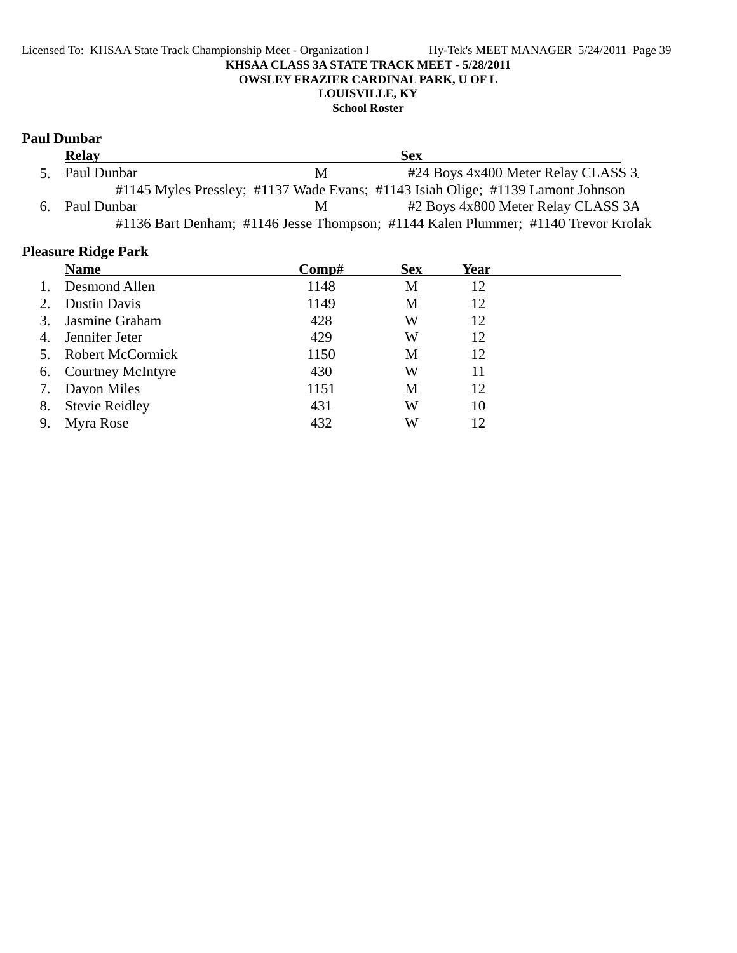## Licensed To: KHSAA State Track Championship Meet - Organization I Hy-Tek's MEET MANAGER 5/24/2011 Page 39 **KHSAA CLASS 3A STATE TRACK MEET - 5/28/2011 OWSLEY FRAZIER CARDINAL PARK, U OF L LOUISVILLE, KY**

## **School Roster**

## **Paul Dunbar**

| <b>Relay</b>   |    | <b>Sex</b>                                                                        |
|----------------|----|-----------------------------------------------------------------------------------|
| 5. Paul Dunbar | M  | #24 Boys 4x400 Meter Relay CLASS 3.                                               |
|                |    | #1145 Myles Pressley; #1137 Wade Evans; #1143 Isiah Olige; #1139 Lamont Johnson   |
| 6. Paul Dunbar | M. | #2 Boys 4x800 Meter Relay CLASS 3A                                                |
|                |    | #1136 Bart Denham; #1146 Jesse Thompson; #1144 Kalen Plummer; #1140 Trevor Krolak |

# **Pleasure Ridge Park**

|    | <b>Name</b>              | Comp# | <b>Sex</b> | Year |
|----|--------------------------|-------|------------|------|
|    | Desmond Allen            | 1148  | M          | 12   |
| 2. | Dustin Davis             | 1149  | M          | 12   |
| 3. | Jasmine Graham           | 428   | W          | 12   |
| 4. | Jennifer Jeter           | 429   | W          | 12   |
| 5. | <b>Robert McCormick</b>  | 1150  | M          | 12   |
| 6. | <b>Courtney McIntyre</b> | 430   | W          | 11   |
| 7. | Davon Miles              | 1151  | М          | 12   |
| 8. | <b>Stevie Reidley</b>    | 431   | W          | 10   |
| 9. | Myra Rose                | 432   | W          | 12   |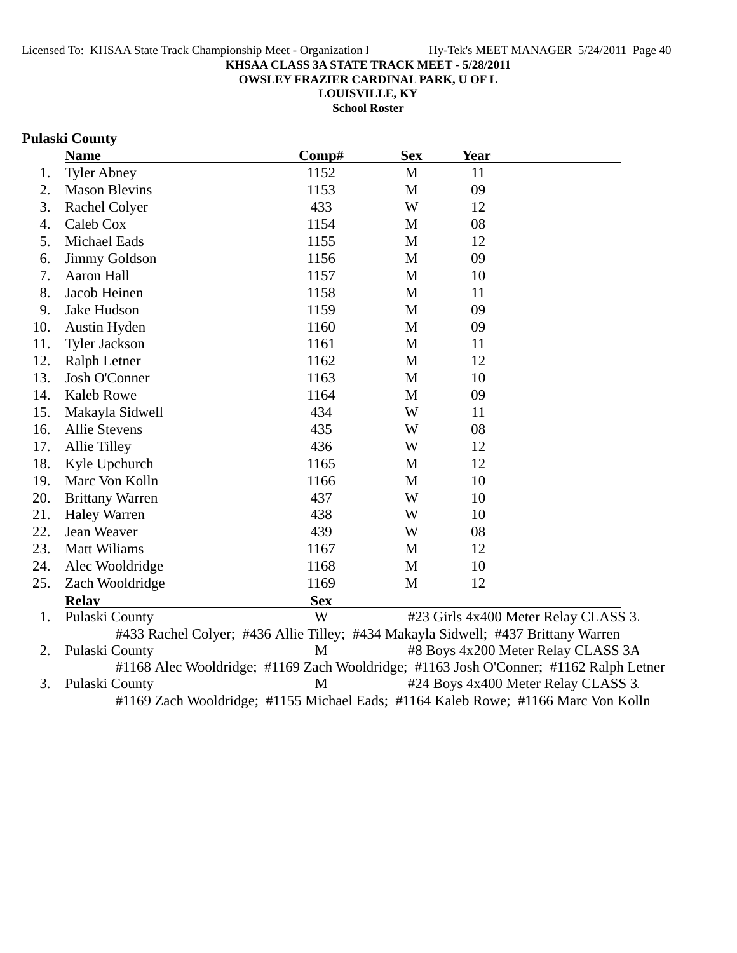**OWSLEY FRAZIER CARDINAL PARK, U OF L**

**LOUISVILLE, KY School Roster**

# **Pulaski County**

|     | <b>Name</b>            | Comp#                                                                              | <b>Sex</b> | <b>Year</b> |                                      |
|-----|------------------------|------------------------------------------------------------------------------------|------------|-------------|--------------------------------------|
| 1.  | <b>Tyler Abney</b>     | 1152                                                                               | M          | 11          |                                      |
| 2.  | <b>Mason Blevins</b>   | 1153                                                                               | M          | 09          |                                      |
| 3.  | Rachel Colyer          | 433                                                                                | W          | 12          |                                      |
| 4.  | Caleb Cox              | 1154                                                                               | M          | 08          |                                      |
| 5.  | Michael Eads           | 1155                                                                               | M          | 12          |                                      |
| 6.  | <b>Jimmy Goldson</b>   | 1156                                                                               | M          | 09          |                                      |
| 7.  | Aaron Hall             | 1157                                                                               | M          | 10          |                                      |
| 8.  | Jacob Heinen           | 1158                                                                               | M          | 11          |                                      |
| 9.  | Jake Hudson            | 1159                                                                               | M          | 09          |                                      |
| 10. | Austin Hyden           | 1160                                                                               | M          | 09          |                                      |
| 11. | <b>Tyler Jackson</b>   | 1161                                                                               | M          | 11          |                                      |
| 12. | Ralph Letner           | 1162                                                                               | M          | 12          |                                      |
| 13. | Josh O'Conner          | 1163                                                                               | M          | 10          |                                      |
| 14. | <b>Kaleb Rowe</b>      | 1164                                                                               | M          | 09          |                                      |
| 15. | Makayla Sidwell        | 434                                                                                | W          | 11          |                                      |
| 16. | Allie Stevens          | 435                                                                                | W          | 08          |                                      |
| 17. | <b>Allie Tilley</b>    | 436                                                                                | W          | 12          |                                      |
| 18. | Kyle Upchurch          | 1165                                                                               | M          | 12          |                                      |
| 19. | Marc Von Kolln         | 1166                                                                               | M          | 10          |                                      |
| 20. | <b>Brittany Warren</b> | 437                                                                                | W          | 10          |                                      |
| 21. | <b>Haley Warren</b>    | 438                                                                                | W          | 10          |                                      |
| 22. | Jean Weaver            | 439                                                                                | W          | 08          |                                      |
| 23. | <b>Matt Wiliams</b>    | 1167                                                                               | M          | 12          |                                      |
| 24. | Alec Wooldridge        | 1168                                                                               | M          | 10          |                                      |
| 25. | Zach Wooldridge        | 1169                                                                               | M          | 12          |                                      |
|     | <b>Relav</b>           | <b>Sex</b>                                                                         |            |             |                                      |
| 1.  | Pulaski County         | W                                                                                  |            |             | #23 Girls 4x400 Meter Relay CLASS 3. |
|     |                        | #433 Rachel Colyer; #436 Allie Tilley; #434 Makayla Sidwell; #437 Brittany Warren  |            |             |                                      |
| 2.  | Pulaski County         | M                                                                                  |            |             | #8 Boys 4x200 Meter Relay CLASS 3A   |
|     |                        | #1168 Alge Wooldridge: #1160 Zach Wooldridge: #1163 Josh O'Conner: #1162 Ralph Let |            |             |                                      |

#1168 Alec Wooldridge; #1169 Zach Wooldridge; #1163 Josh O'Conner; #1162 Ralph Letner 3. Pulaski County M #24 Boys 4x400 Meter Relay CLASS 3. #1169 Zach Wooldridge; #1155 Michael Eads; #1164 Kaleb Rowe; #1166 Marc Von Kolln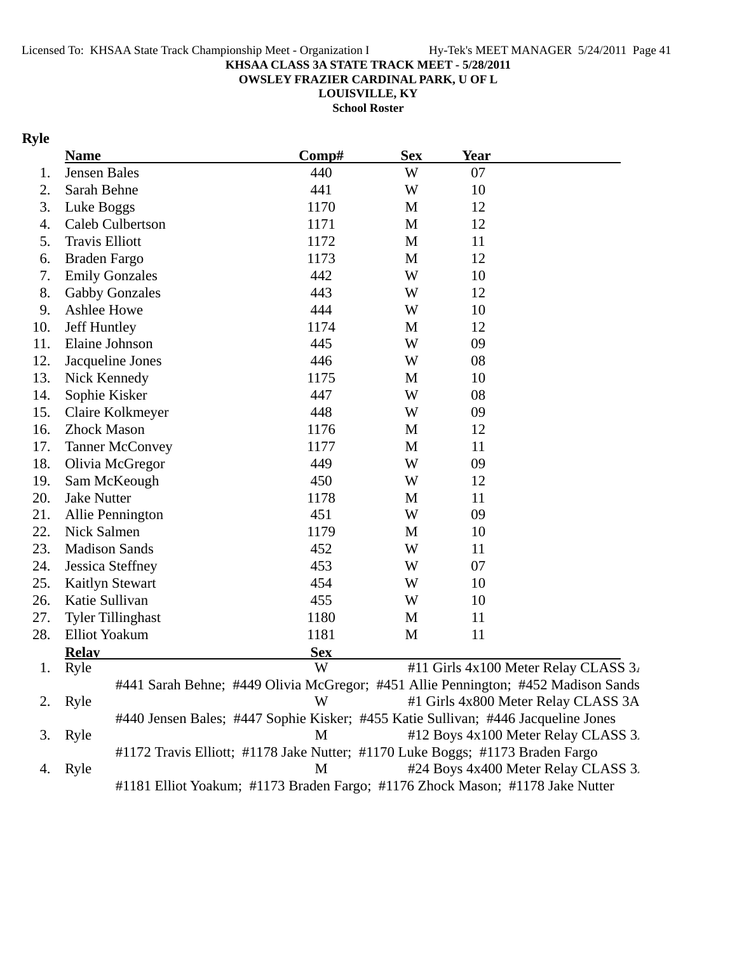**OWSLEY FRAZIER CARDINAL PARK, U OF L**

**LOUISVILLE, KY School Roster**

# **Ryle**

|     | <b>Name</b>              |                                                                                   | Comp#      | <b>Sex</b> | <b>Year</b> |                                      |
|-----|--------------------------|-----------------------------------------------------------------------------------|------------|------------|-------------|--------------------------------------|
| 1.  | Jensen Bales             |                                                                                   | 440        | W          | 07          |                                      |
| 2.  | Sarah Behne              |                                                                                   | 441        | W          | 10          |                                      |
| 3.  | Luke Boggs               |                                                                                   | 1170       | M          | 12          |                                      |
| 4.  | Caleb Culbertson         |                                                                                   | 1171       | M          | 12          |                                      |
| 5.  | <b>Travis Elliott</b>    |                                                                                   | 1172       | M          | 11          |                                      |
| 6.  | <b>Braden Fargo</b>      |                                                                                   | 1173       | M          | 12          |                                      |
| 7.  | <b>Emily Gonzales</b>    |                                                                                   | 442        | W          | 10          |                                      |
| 8.  | <b>Gabby Gonzales</b>    |                                                                                   | 443        | W          | 12          |                                      |
| 9.  | Ashlee Howe              |                                                                                   | 444        | W          | 10          |                                      |
| 10. | Jeff Huntley             |                                                                                   | 1174       | M          | 12          |                                      |
| 11. | Elaine Johnson           |                                                                                   | 445        | W          | 09          |                                      |
| 12. | Jacqueline Jones         |                                                                                   | 446        | W          | 08          |                                      |
| 13. | Nick Kennedy             |                                                                                   | 1175       | M          | 10          |                                      |
| 14. | Sophie Kisker            |                                                                                   | 447        | W          | 08          |                                      |
| 15. | Claire Kolkmeyer         |                                                                                   | 448        | W          | 09          |                                      |
| 16. | <b>Zhock Mason</b>       |                                                                                   | 1176       | M          | 12          |                                      |
| 17. | <b>Tanner McConvey</b>   |                                                                                   | 1177       | M          | 11          |                                      |
| 18. | Olivia McGregor          |                                                                                   | 449        | W          | 09          |                                      |
| 19. | Sam McKeough             |                                                                                   | 450        | W          | 12          |                                      |
| 20. | <b>Jake Nutter</b>       |                                                                                   | 1178       | M          | 11          |                                      |
| 21. | Allie Pennington         |                                                                                   | 451        | W          | 09          |                                      |
| 22. | Nick Salmen              |                                                                                   | 1179       | M          | 10          |                                      |
| 23. | <b>Madison Sands</b>     |                                                                                   | 452        | W          | 11          |                                      |
| 24. | Jessica Steffney         |                                                                                   | 453        | W          | 07          |                                      |
| 25. | <b>Kaitlyn Stewart</b>   |                                                                                   | 454        | W          | 10          |                                      |
| 26. | Katie Sullivan           |                                                                                   | 455        | W          | 10          |                                      |
| 27. | <b>Tyler Tillinghast</b> |                                                                                   | 1180       | M          | 11          |                                      |
| 28. | <b>Elliot Yoakum</b>     |                                                                                   | 1181       | M          | 11          |                                      |
|     | <b>Relav</b>             |                                                                                   | <b>Sex</b> |            |             |                                      |
| 1.  | Ryle                     |                                                                                   | W          |            |             | #11 Girls 4x100 Meter Relay CLASS 3. |
|     |                          | #441 Sarah Behne; #449 Olivia McGregor; #451 Allie Pennington; #452 Madison Sands |            |            |             |                                      |
| 2.  | Ryle                     |                                                                                   | W          |            |             | #1 Girls 4x800 Meter Relay CLASS 3A  |
|     |                          | #440 Jensen Bales; #447 Sophie Kisker; #455 Katie Sullivan; #446 Jacqueline Jones |            |            |             |                                      |
| 3.  | Ryle                     |                                                                                   | M          |            |             | #12 Boys 4x100 Meter Relay CLASS 3.  |
|     |                          | #1172 Travis Elliott; #1178 Jake Nutter; #1170 Luke Boggs; #1173 Braden Fargo     |            |            |             |                                      |
| 4.  | Ryle                     |                                                                                   | M          |            |             | #24 Boys 4x400 Meter Relay CLASS 3.  |
|     |                          | #1181 Elliot Yoakum; #1173 Braden Fargo; #1176 Zhock Mason; #1178 Jake Nutter     |            |            |             |                                      |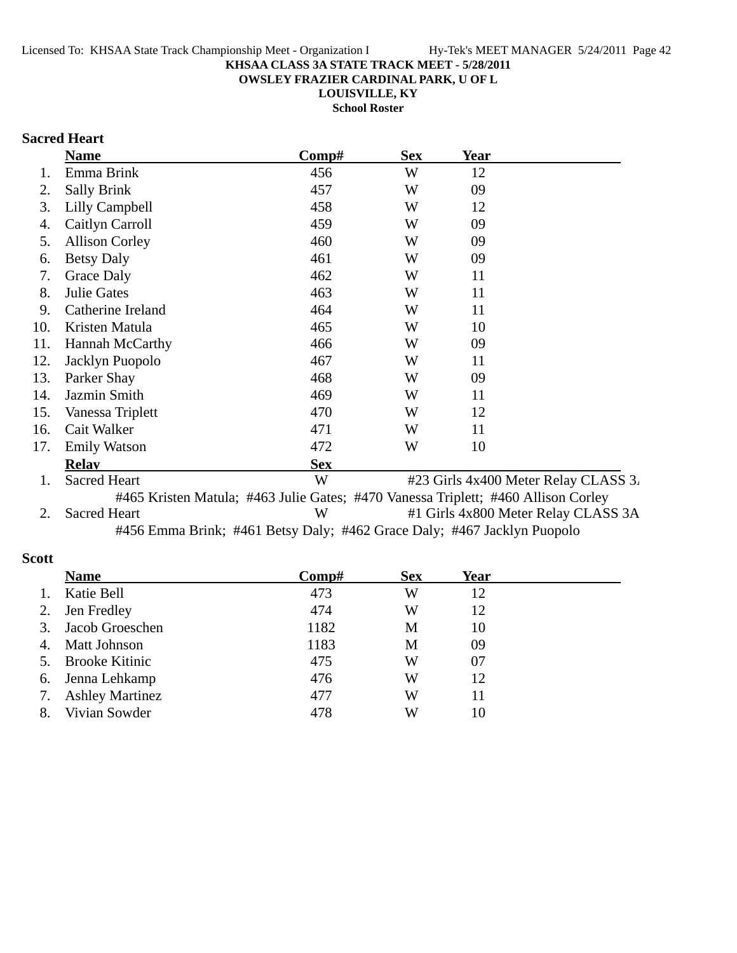**OWSLEY FRAZIER CARDINAL PARK, U OF L**

**LOUISVILLE, KY**

**School Roster**

# **Sacred Heart**

|     | <b>Name</b>            | $\bf Comp\#$ | <b>Sex</b> | <b>Year</b>                          |  |
|-----|------------------------|--------------|------------|--------------------------------------|--|
|     | Emma Brink             | 456          | W          | 12                                   |  |
| 2.  | <b>Sally Brink</b>     | 457          | W          | 09                                   |  |
| 3.  | Lilly Campbell         | 458          | W          | 12                                   |  |
| 4.  | Caitlyn Carroll        | 459          | W          | 09                                   |  |
| 5.  | <b>Allison Corley</b>  | 460          | W          | 09                                   |  |
| 6.  | <b>Betsy Daly</b>      | 461          | W          | 09                                   |  |
| 7.  | Grace Daly             | 462          | W          | 11                                   |  |
| 8.  | <b>Julie Gates</b>     | 463          | W          | 11                                   |  |
| 9.  | Catherine Ireland      | 464          | W          | 11                                   |  |
| 10. | Kristen Matula         | 465          | W          | 10                                   |  |
| 11. | <b>Hannah McCarthy</b> | 466          | W          | 09                                   |  |
| 12. | Jacklyn Puopolo        | 467          | W          | 11                                   |  |
| 13. | Parker Shay            | 468          | W          | 09                                   |  |
| 14. | Jazmin Smith           | 469          | W          | 11                                   |  |
| 15. | Vanessa Triplett       | 470          | W          | 12                                   |  |
| 16. | Cait Walker            | 471          | W          | 11                                   |  |
| 17. | <b>Emily Watson</b>    | 472          | W          | 10                                   |  |
|     | <b>Relav</b>           | <b>Sex</b>   |            |                                      |  |
| 1.  | <b>Sacred Heart</b>    | W            |            | #23 Girls 4x400 Meter Relay CLASS 3. |  |

#465 Kristen Matula; #463 Julie Gates; #470 Vanessa Triplett; #460 Allison Corley 2. Sacred Heart W #1 Girls 4x800 Meter Relay CLASS 3A #456 Emma Brink; #461 Betsy Daly; #462 Grace Daly; #467 Jacklyn Puopolo

### **Scott**

|    | <b>Name</b>            | Comp# | <b>Sex</b> | Year |  |
|----|------------------------|-------|------------|------|--|
| 1. | Katie Bell             | 473   | W          | 12   |  |
| 2. | Jen Fredley            | 474   | W          | 12   |  |
|    | 3. Jacob Groeschen     | 1182  | M          | 10   |  |
| 4. | Matt Johnson           | 1183  | М          | 09   |  |
|    | 5. Brooke Kitinic      | 475   | W          | 07   |  |
|    | 6. Jenna Lehkamp       | 476   | W          | 12   |  |
| 7. | <b>Ashley Martinez</b> | 477   | W          | 11   |  |
| 8. | Vivian Sowder          | 478   | W          | 10   |  |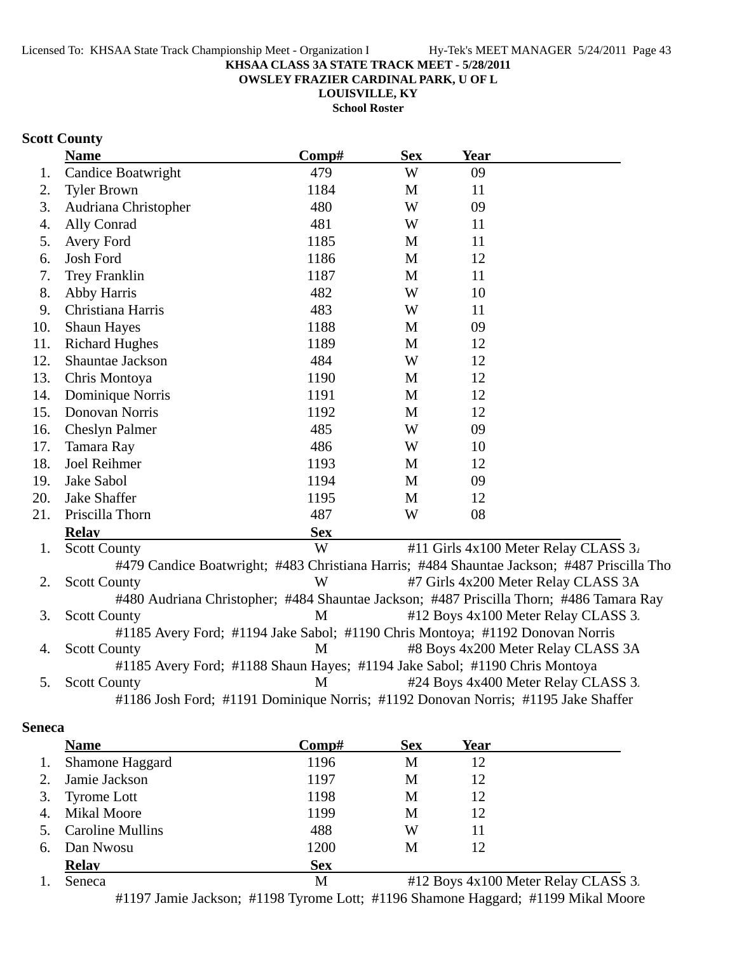**OWSLEY FRAZIER CARDINAL PARK, U OF L**

**LOUISVILLE, KY**

**School Roster**

# **Scott County**

|     | <b>Name</b>                                                                       | Comp#      | <b>Sex</b> | <b>Year</b> |                                                                                            |
|-----|-----------------------------------------------------------------------------------|------------|------------|-------------|--------------------------------------------------------------------------------------------|
| 1.  | Candice Boatwright                                                                | 479        | W          | 09          |                                                                                            |
| 2.  | <b>Tyler Brown</b>                                                                | 1184       | M          | 11          |                                                                                            |
| 3.  | Audriana Christopher                                                              | 480        | W          | 09          |                                                                                            |
| 4.  | Ally Conrad                                                                       | 481        | W          | 11          |                                                                                            |
| 5.  | Avery Ford                                                                        | 1185       | M          | 11          |                                                                                            |
| 6.  | Josh Ford                                                                         | 1186       | M          | 12          |                                                                                            |
| 7.  | Trey Franklin                                                                     | 1187       | M          | 11          |                                                                                            |
| 8.  | Abby Harris                                                                       | 482        | W          | 10          |                                                                                            |
| 9.  | Christiana Harris                                                                 | 483        | W          | 11          |                                                                                            |
| 10. | <b>Shaun Hayes</b>                                                                | 1188       | M          | 09          |                                                                                            |
| 11. | <b>Richard Hughes</b>                                                             | 1189       | M          | 12          |                                                                                            |
| 12. | Shauntae Jackson                                                                  | 484        | W          | 12          |                                                                                            |
| 13. | Chris Montoya                                                                     | 1190       | M          | 12          |                                                                                            |
| 14. | Dominique Norris                                                                  | 1191       | M          | 12          |                                                                                            |
| 15. | Donovan Norris                                                                    | 1192       | M          | 12          |                                                                                            |
| 16. | <b>Cheslyn Palmer</b>                                                             | 485        | W          | 09          |                                                                                            |
| 17. | Tamara Ray                                                                        | 486        | W          | 10          |                                                                                            |
| 18. | Joel Reihmer                                                                      | 1193       | M          | 12          |                                                                                            |
| 19. | Jake Sabol                                                                        | 1194       | M          | 09          |                                                                                            |
| 20. | <b>Jake Shaffer</b>                                                               | 1195       | M          | 12          |                                                                                            |
| 21. | Priscilla Thorn                                                                   | 487        | W          | 08          |                                                                                            |
|     | <b>Relav</b>                                                                      | <b>Sex</b> |            |             |                                                                                            |
| 1.  | <b>Scott County</b>                                                               | W          |            |             | #11 Girls 4x100 Meter Relay CLASS 3.                                                       |
|     |                                                                                   |            |            |             | #479 Candice Boatwright; #483 Christiana Harris; #484 Shauntae Jackson; #487 Priscilla Tho |
| 2.  | <b>Scott County</b>                                                               | W          |            |             | #7 Girls 4x200 Meter Relay CLASS 3A                                                        |
|     |                                                                                   |            |            |             | #480 Audriana Christopher; #484 Shauntae Jackson; #487 Priscilla Thorn; #486 Tamara Ray    |
| 3.  | <b>Scott County</b>                                                               | M          |            |             | #12 Boys 4x100 Meter Relay CLASS 3.                                                        |
|     | #1185 Avery Ford; #1194 Jake Sabol; #1190 Chris Montoya; #1192 Donovan Norris     |            |            |             |                                                                                            |
| 4.  | <b>Scott County</b>                                                               | M          |            |             | #8 Boys 4x200 Meter Relay CLASS 3A                                                         |
|     | #1185 Avery Ford; #1188 Shaun Hayes; #1194 Jake Sabol; #1190 Chris Montoya        |            |            |             |                                                                                            |
| 5.  | <b>Scott County</b>                                                               | M          |            |             | #24 Boys 4x400 Meter Relay CLASS 3.                                                        |
|     | #1186 Josh Ford; #1191 Dominique Norris; #1192 Donovan Norris; #1195 Jake Shaffer |            |            |             |                                                                                            |

## **Seneca**

|    | <b>Name</b>             | Comp#      | <b>Sex</b> | Year |                                     |
|----|-------------------------|------------|------------|------|-------------------------------------|
| 1. | <b>Shamone Haggard</b>  | 1196       | M          | 12   |                                     |
| 2. | Jamie Jackson           | 1197       | M          | 12   |                                     |
| 3. | <b>Tyrome Lott</b>      | 1198       | M          | 12   |                                     |
| 4. | <b>Mikal Moore</b>      | 1199       | M          | 12   |                                     |
| 5. | <b>Caroline Mullins</b> | 488        | W          | 11   |                                     |
| 6. | Dan Nwosu               | 1200       | M          | 12   |                                     |
|    | <b>Relay</b>            | <b>Sex</b> |            |      |                                     |
|    | Seneca                  | M          |            |      | #12 Boys 4x100 Meter Relay CLASS 3. |

#1197 Jamie Jackson; #1198 Tyrome Lott; #1196 Shamone Haggard; #1199 Mikal Moore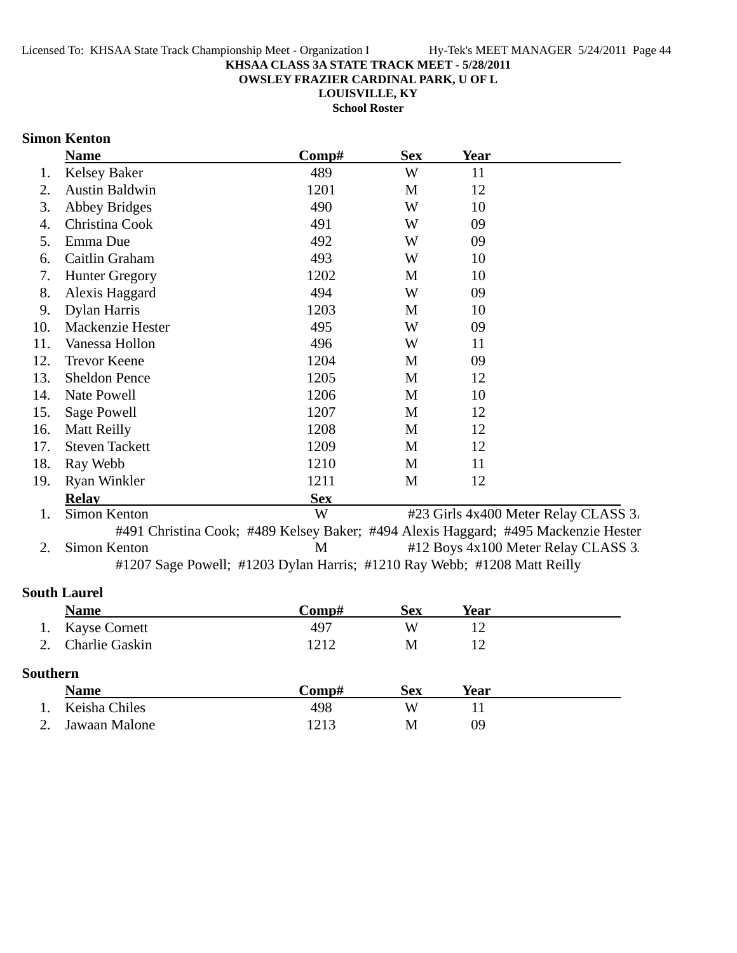### **OWSLEY FRAZIER CARDINAL PARK, U OF L**

**LOUISVILLE, KY**

**School Roster**

## **Simon Kenton**

|     | <b>Name</b>           | Comp#      | <b>Sex</b> | <b>Year</b>                                                                        |
|-----|-----------------------|------------|------------|------------------------------------------------------------------------------------|
| 1.  | <b>Kelsey Baker</b>   | 489        | W          | 11                                                                                 |
| 2.  | <b>Austin Baldwin</b> | 1201       | M          | 12                                                                                 |
| 3.  | <b>Abbey Bridges</b>  | 490        | W          | 10                                                                                 |
| 4.  | Christina Cook        | 491        | W          | 09                                                                                 |
| 5.  | Emma Due              | 492        | W          | 09                                                                                 |
| 6.  | Caitlin Graham        | 493        | W          | 10                                                                                 |
| 7.  | <b>Hunter Gregory</b> | 1202       | M          | 10                                                                                 |
| 8.  | Alexis Haggard        | 494        | W          | 09                                                                                 |
| 9.  | Dylan Harris          | 1203       | M          | 10                                                                                 |
| 10. | Mackenzie Hester      | 495        | W          | 09                                                                                 |
| 11. | Vanessa Hollon        | 496        | W          | 11                                                                                 |
| 12. | <b>Trevor Keene</b>   | 1204       | M          | 09                                                                                 |
| 13. | <b>Sheldon Pence</b>  | 1205       | M          | 12                                                                                 |
| 14. | Nate Powell           | 1206       | M          | 10                                                                                 |
| 15. | Sage Powell           | 1207       | M          | 12                                                                                 |
| 16. | <b>Matt Reilly</b>    | 1208       | M          | 12                                                                                 |
| 17. | <b>Steven Tackett</b> | 1209       | M          | 12                                                                                 |
| 18. | Ray Webb              | 1210       | M          | 11                                                                                 |
| 19. | <b>Ryan Winkler</b>   | 1211       | M          | 12                                                                                 |
|     | <b>Relay</b>          | <b>Sex</b> |            |                                                                                    |
| 1.  | Simon Kenton          | W          |            | #23 Girls 4x400 Meter Relay CLASS 3.                                               |
|     |                       |            |            | #491 Christina Cook; #489 Kelsey Baker; #494 Alexis Haggard; #495 Mackenzie Hester |
| 2.  | Simon Kenton          | M          |            | #12 Boys 4x100 Meter Relay CLASS 3.                                                |
|     |                       |            |            | #1207 Sage Powell; #1203 Dylan Harris; #1210 Ray Webb; #1208 Matt Reilly           |

## **South Laurel**

|                 | <b>Name</b>           | Comp# | <b>Sex</b> | <b>Year</b> |  |
|-----------------|-----------------------|-------|------------|-------------|--|
| 1.              | <b>Kayse Cornett</b>  | 497   | W          | 12          |  |
| $2^{\circ}$     | <b>Charlie Gaskin</b> | 1212  | М          | 12          |  |
| <b>Southern</b> |                       |       |            |             |  |
|                 | <b>Name</b>           | Comp# | <b>Sex</b> | Year        |  |
|                 | Keisha Chiles         | 498   | W          | 11          |  |
|                 | Jawaan Malone         | 1213  | М          | 09          |  |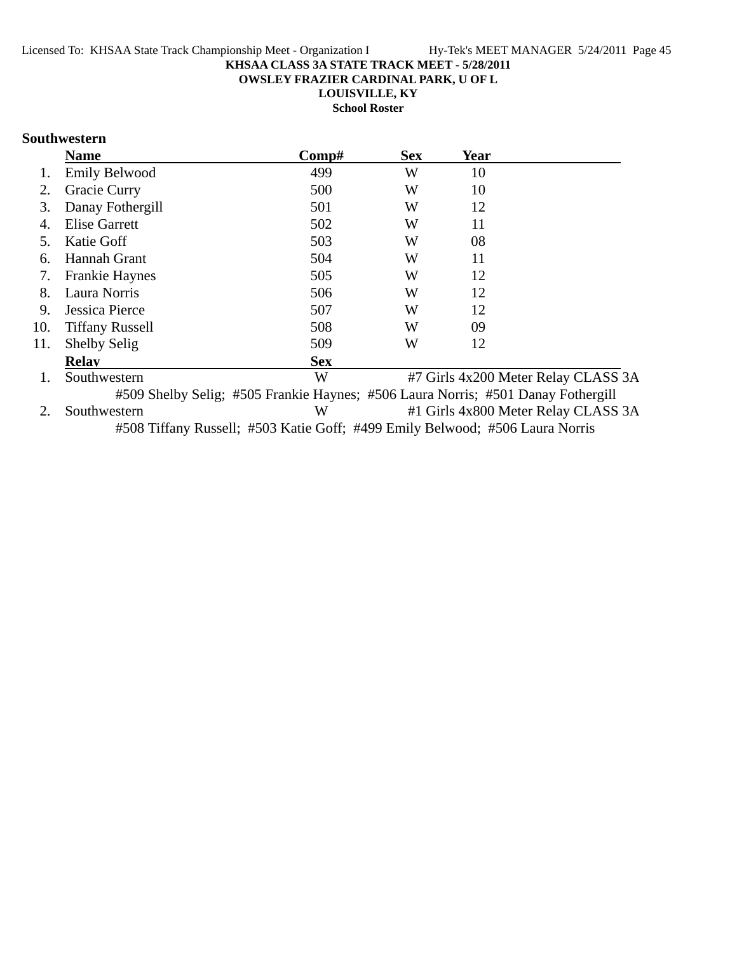**OWSLEY FRAZIER CARDINAL PARK, U OF L**

**LOUISVILLE, KY**

**School Roster**

## **Southwestern**

|     | <b>Name</b>            | Comp#                                                                            | <b>Sex</b> | Year |                                     |
|-----|------------------------|----------------------------------------------------------------------------------|------------|------|-------------------------------------|
|     | <b>Emily Belwood</b>   | 499                                                                              | W          | 10   |                                     |
| 2.  | Gracie Curry           | 500                                                                              | W          | 10   |                                     |
| 3.  | Danay Fothergill       | 501                                                                              | W          | 12   |                                     |
| 4.  | <b>Elise Garrett</b>   | 502                                                                              | W          | 11   |                                     |
| 5.  | Katie Goff             | 503                                                                              | W          | 08   |                                     |
| 6.  | Hannah Grant           | 504                                                                              | W          | 11   |                                     |
| 7.  | <b>Frankie Haynes</b>  | 505                                                                              | W          | 12   |                                     |
| 8.  | Laura Norris           | 506                                                                              | W          | 12   |                                     |
| 9.  | Jessica Pierce         | 507                                                                              | W          | 12   |                                     |
| 10. | <b>Tiffany Russell</b> | 508                                                                              | W          | 09   |                                     |
| 11. | <b>Shelby Selig</b>    | 509                                                                              | W          | 12   |                                     |
|     | <b>Relay</b>           | <b>Sex</b>                                                                       |            |      |                                     |
|     | Southwestern           | W                                                                                |            |      | #7 Girls 4x200 Meter Relay CLASS 3A |
|     |                        | #509 Shelby Selig; #505 Frankie Haynes; #506 Laura Norris; #501 Danay Fothergill |            |      |                                     |
|     | Southwestern           | W                                                                                |            |      | #1 Girls 4x800 Meter Relay CLASS 3A |

#508 Tiffany Russell; #503 Katie Goff; #499 Emily Belwood; #506 Laura Norris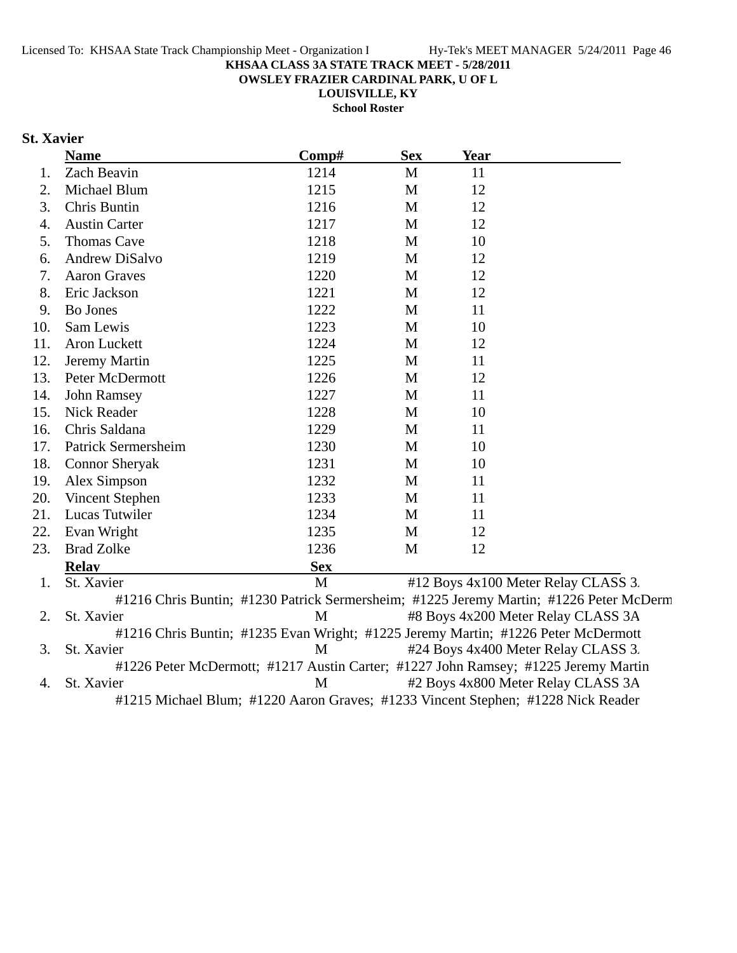**OWSLEY FRAZIER CARDINAL PARK, U OF L**

**LOUISVILLE, KY**

**School Roster**

# **St. Xavier**

|     | <b>Name</b>                                                                       | Comp#      | <b>Sex</b> | Year |                                                                                        |
|-----|-----------------------------------------------------------------------------------|------------|------------|------|----------------------------------------------------------------------------------------|
| 1.  | Zach Beavin                                                                       | 1214       | M          | 11   |                                                                                        |
| 2.  | Michael Blum                                                                      | 1215       | M          | 12   |                                                                                        |
| 3.  | Chris Buntin                                                                      | 1216       | M          | 12   |                                                                                        |
| 4.  | <b>Austin Carter</b>                                                              | 1217       | M          | 12   |                                                                                        |
| 5.  | <b>Thomas Cave</b>                                                                | 1218       | M          | 10   |                                                                                        |
| 6.  | Andrew DiSalvo                                                                    | 1219       | M          | 12   |                                                                                        |
| 7.  | <b>Aaron Graves</b>                                                               | 1220       | M          | 12   |                                                                                        |
| 8.  | Eric Jackson                                                                      | 1221       | M          | 12   |                                                                                        |
| 9.  | <b>Bo Jones</b>                                                                   | 1222       | M          | 11   |                                                                                        |
| 10. | Sam Lewis                                                                         | 1223       | M          | 10   |                                                                                        |
| 11. | Aron Luckett                                                                      | 1224       | M          | 12   |                                                                                        |
| 12. | Jeremy Martin                                                                     | 1225       | M          | 11   |                                                                                        |
| 13. | Peter McDermott                                                                   | 1226       | M          | 12   |                                                                                        |
| 14. | John Ramsey                                                                       | 1227       | M          | 11   |                                                                                        |
| 15. | Nick Reader                                                                       | 1228       | M          | 10   |                                                                                        |
| 16. | Chris Saldana                                                                     | 1229       | M          | 11   |                                                                                        |
| 17. | Patrick Sermersheim                                                               | 1230       | M          | 10   |                                                                                        |
| 18. | <b>Connor Sheryak</b>                                                             | 1231       | M          | 10   |                                                                                        |
| 19. | Alex Simpson                                                                      | 1232       | M          | 11   |                                                                                        |
| 20. | Vincent Stephen                                                                   | 1233       | M          | 11   |                                                                                        |
| 21. | Lucas Tutwiler                                                                    | 1234       | M          | 11   |                                                                                        |
| 22. | Evan Wright                                                                       | 1235       | M          | 12   |                                                                                        |
| 23. | <b>Brad Zolke</b>                                                                 | 1236       | M          | 12   |                                                                                        |
|     | <b>Relay</b>                                                                      | <b>Sex</b> |            |      |                                                                                        |
| 1.  | St. Xavier                                                                        | M          |            |      | #12 Boys 4x100 Meter Relay CLASS 3.                                                    |
|     |                                                                                   |            |            |      | #1216 Chris Buntin; #1230 Patrick Sermersheim; #1225 Jeremy Martin; #1226 Peter McDerm |
| 2.  | St. Xavier                                                                        | M          |            |      | #8 Boys 4x200 Meter Relay CLASS 3A                                                     |
|     | #1216 Chris Buntin; #1235 Evan Wright; #1225 Jeremy Martin; #1226 Peter McDermott |            |            |      |                                                                                        |
| 3.  | St. Xavier                                                                        | M          |            |      | #24 Boys 4x400 Meter Relay CLASS 3.                                                    |
|     |                                                                                   |            |            |      | #1226 Peter McDermott; #1217 Austin Carter; #1227 John Ramsey; #1225 Jeremy Martin     |
| 4.  | St. Xavier                                                                        | M          |            |      | #2 Boys 4x800 Meter Relay CLASS 3A                                                     |
|     | #1215 Michael Blum; #1220 Aaron Graves; #1233 Vincent Stephen; #1228 Nick Reader  |            |            |      |                                                                                        |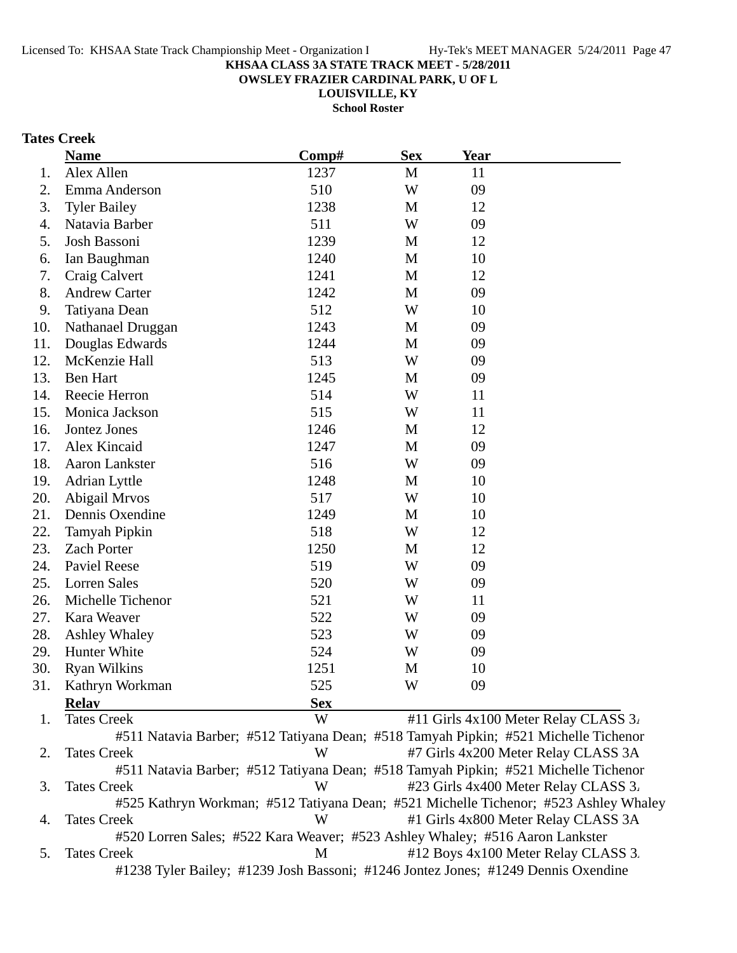**OWSLEY FRAZIER CARDINAL PARK, U OF L**

**LOUISVILLE, KY**

**School Roster**

# **Tates Creek**

|     | <b>Name</b>          | Comp#      | <b>Sex</b>   | <b>Year</b> |                                                                                     |
|-----|----------------------|------------|--------------|-------------|-------------------------------------------------------------------------------------|
| 1.  | Alex Allen           | 1237       | $\mathbf M$  | 11          |                                                                                     |
| 2.  | Emma Anderson        | 510        | W            | 09          |                                                                                     |
| 3.  | <b>Tyler Bailey</b>  | 1238       | M            | 12          |                                                                                     |
| 4.  | Natavia Barber       | 511        | W            | 09          |                                                                                     |
| 5.  | Josh Bassoni         | 1239       | $\mathbf{M}$ | 12          |                                                                                     |
| 6.  | Ian Baughman         | 1240       | M            | 10          |                                                                                     |
| 7.  | Craig Calvert        | 1241       | $\mathbf{M}$ | 12          |                                                                                     |
| 8.  | <b>Andrew Carter</b> | 1242       | $\mathbf M$  | 09          |                                                                                     |
| 9.  | Tatiyana Dean        | 512        | W            | 10          |                                                                                     |
| 10. | Nathanael Druggan    | 1243       | M            | 09          |                                                                                     |
| 11. | Douglas Edwards      | 1244       | M            | 09          |                                                                                     |
| 12. | McKenzie Hall        | 513        | W            | 09          |                                                                                     |
| 13. | <b>Ben Hart</b>      | 1245       | M            | 09          |                                                                                     |
| 14. | Reecie Herron        | 514        | W            | 11          |                                                                                     |
| 15. | Monica Jackson       | 515        | W            | 11          |                                                                                     |
| 16. | Jontez Jones         | 1246       | M            | 12          |                                                                                     |
| 17. | Alex Kincaid         | 1247       | M            | 09          |                                                                                     |
| 18. | Aaron Lankster       | 516        | W            | 09          |                                                                                     |
| 19. | Adrian Lyttle        | 1248       | M            | 10          |                                                                                     |
| 20. | Abigail Mrvos        | 517        | W            | 10          |                                                                                     |
| 21. | Dennis Oxendine      | 1249       | M            | 10          |                                                                                     |
| 22. | Tamyah Pipkin        | 518        | W            | 12          |                                                                                     |
| 23. | <b>Zach Porter</b>   | 1250       | M            | 12          |                                                                                     |
| 24. | <b>Paviel Reese</b>  | 519        | W            | 09          |                                                                                     |
| 25. | <b>Lorren Sales</b>  | 520        | W            | 09          |                                                                                     |
| 26. | Michelle Tichenor    | 521        | W            | 11          |                                                                                     |
| 27. | Kara Weaver          | 522        | W            | 09          |                                                                                     |
| 28. | <b>Ashley Whaley</b> | 523        | W            | 09          |                                                                                     |
| 29. | Hunter White         | 524        | W            | 09          |                                                                                     |
| 30. | <b>Ryan Wilkins</b>  | 1251       | M            | 10          |                                                                                     |
| 31. | Kathryn Workman      | 525        | W            | 09          |                                                                                     |
|     | <b>Relay</b>         | <b>Sex</b> |              |             |                                                                                     |
| 1.  | <b>Tates Creek</b>   | W          |              |             | #11 Girls 4x100 Meter Relay CLASS 3.                                                |
|     |                      |            |              |             | #511 Natavia Barber; #512 Tatiyana Dean; #518 Tamyah Pipkin; #521 Michelle Tichenor |
| 2.  | <b>Tates Creek</b>   | W          |              |             | #7 Girls 4x200 Meter Relay CLASS 3A                                                 |
|     |                      |            |              |             | #511 Natavia Barber; #512 Tatiyana Dean; #518 Tamyah Pipkin; #521 Michelle Tichenor |

3. Tates Creek W #23 Girls 4x400 Meter Relay CLASS 3. #525 Kathryn Workman; #512 Tatiyana Dean; #521 Michelle Tichenor; #523 Ashley Whaley 4. Tates Creek W #1 Girls 4x800 Meter Relay CLASS 3A #520 Lorren Sales; #522 Kara Weaver; #523 Ashley Whaley; #516 Aaron Lankster

5. Tates Creek M #12 Boys 4x100 Meter Relay CLASS 3. #1238 Tyler Bailey; #1239 Josh Bassoni; #1246 Jontez Jones; #1249 Dennis Oxendine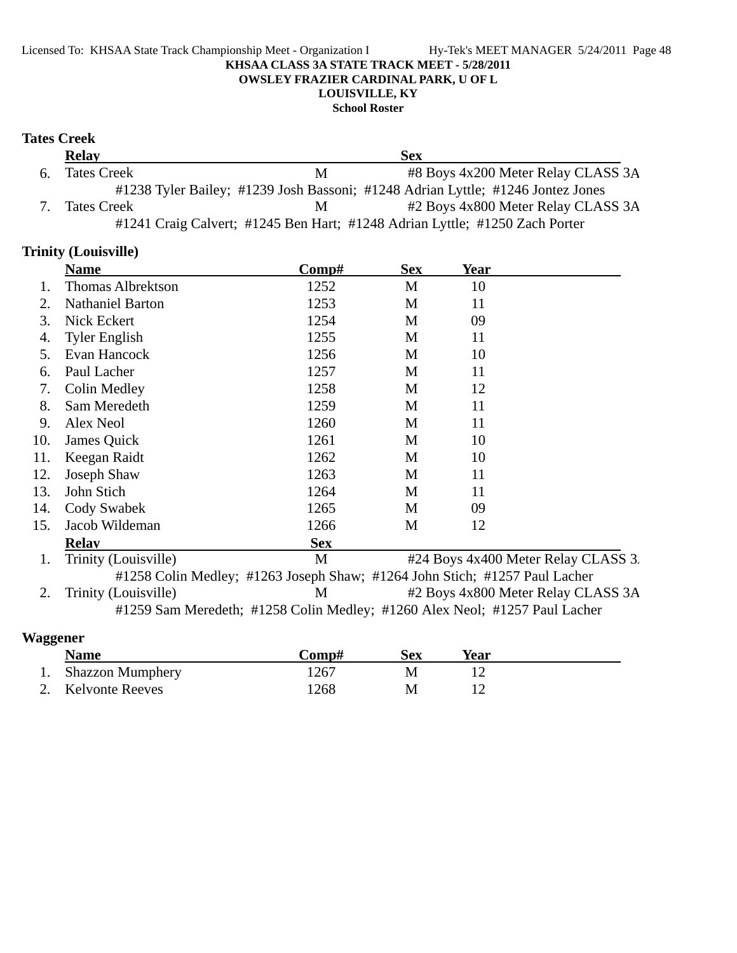## Licensed To: KHSAA State Track Championship Meet - Organization I Hy-Tek's MEET MANAGER 5/24/2011 Page 48 **KHSAA CLASS 3A STATE TRACK MEET - 5/28/2011 OWSLEY FRAZIER CARDINAL PARK, U OF L LOUISVILLE, KY**

#### **School Roster**

## **Tates Creek**

|    | <b>Relay</b>       |   | Sex                                                                             |
|----|--------------------|---|---------------------------------------------------------------------------------|
| 6. | <b>Tates Creek</b> | M | #8 Boys 4x200 Meter Relay CLASS 3A                                              |
|    |                    |   | #1238 Tyler Bailey; #1239 Josh Bassoni; #1248 Adrian Lyttle; #1246 Jontez Jones |
|    | <b>Tates Creek</b> | M | #2 Boys 4x800 Meter Relay CLASS 3A                                              |
|    |                    |   | #1241 Craig Calvert; #1245 Ben Hart; #1248 Adrian Lyttle; #1250 Zach Porter     |

## **Trinity (Louisville)**

|               | <b>Name</b>              | Comp#                                                                      | <b>Sex</b> | Year |                                                                                 |
|---------------|--------------------------|----------------------------------------------------------------------------|------------|------|---------------------------------------------------------------------------------|
|               | <b>Thomas Albrektson</b> | 1252                                                                       | M          | 10   |                                                                                 |
| 2.            | <b>Nathaniel Barton</b>  | 1253                                                                       | M          | 11   |                                                                                 |
| 3.            | Nick Eckert              | 1254                                                                       | M          | 09   |                                                                                 |
| 4.            | <b>Tyler English</b>     | 1255                                                                       | M          | 11   |                                                                                 |
| 5.            | Evan Hancock             | 1256                                                                       | M          | 10   |                                                                                 |
| 6.            | Paul Lacher              | 1257                                                                       | M          | 11   |                                                                                 |
| 7.            | Colin Medley             | 1258                                                                       | M          | 12   |                                                                                 |
| 8.            | Sam Meredeth             | 1259                                                                       | M          | 11   |                                                                                 |
| 9.            | Alex Neol                | 1260                                                                       | M          | 11   |                                                                                 |
| 10.           | James Quick              | 1261                                                                       | M          | 10   |                                                                                 |
| 11.           | Keegan Raidt             | 1262                                                                       | M          | 10   |                                                                                 |
| 12.           | Joseph Shaw              | 1263                                                                       | M          | 11   |                                                                                 |
| 13.           | John Stich               | 1264                                                                       | M          | 11   |                                                                                 |
| 14.           | Cody Swabek              | 1265                                                                       | M          | 09   |                                                                                 |
| 15.           | Jacob Wildeman           | 1266                                                                       | M          | 12   |                                                                                 |
|               | <b>Relav</b>             | <b>Sex</b>                                                                 |            |      |                                                                                 |
| 1.            | Trinity (Louisville)     | M                                                                          |            |      | #24 Boys 4x400 Meter Relay CLASS 3.                                             |
|               |                          | #1258 Colin Medley; #1263 Joseph Shaw; #1264 John Stich; #1257 Paul Lacher |            |      |                                                                                 |
| $\mathcal{D}$ | Trainity (Iouivilla)     | M                                                                          |            |      | $\#$ Roys $\Lambda$ v $\Omega$ $\Omega$ Meter Relay CI $\Lambda$ SS 3 $\Lambda$ |

2. Trinity (Louisville) M #2 Boys 4x800 Meter Relay CLASS 3A #1259 Sam Meredeth; #1258 Colin Medley; #1260 Alex Neol; #1257 Paul Lacher

# **Waggener**

| <b>Name</b>             | √omp# | Sex | Year |
|-------------------------|-------|-----|------|
| <b>Shazzon Mumphery</b> | 1267  |     |      |
| 2. Kelvonte Reeves      | 1268  | М   |      |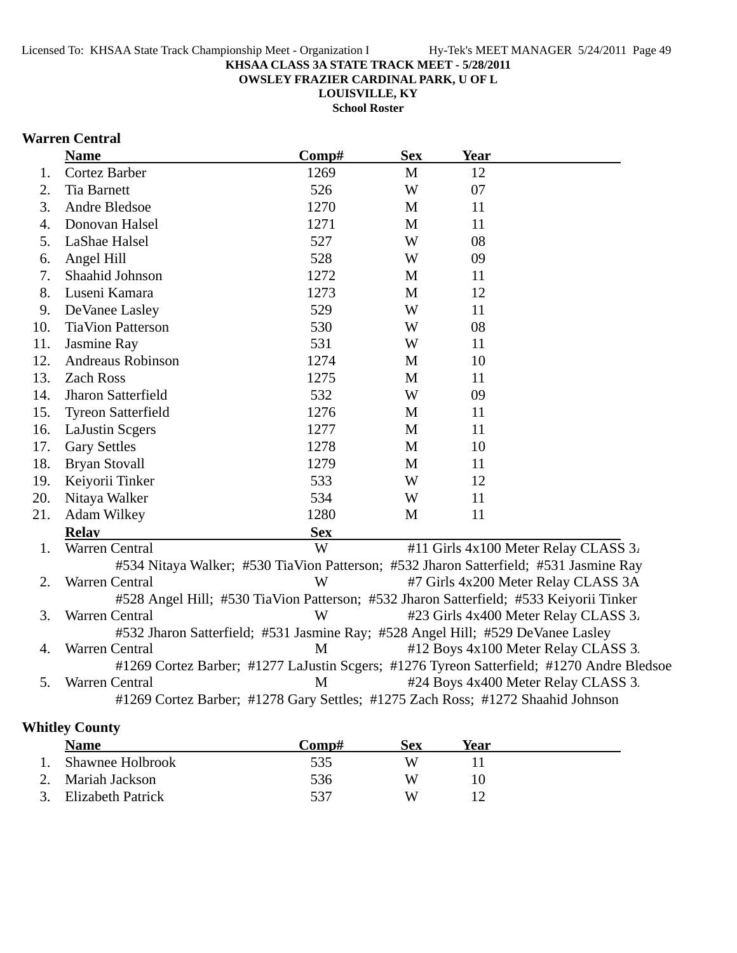**OWSLEY FRAZIER CARDINAL PARK, U OF L**

**LOUISVILLE, KY School Roster**

## **Warren Central**

|     | <b>Name</b>                                                                            | Comp#      | <b>Sex</b> | <b>Year</b> |                                                                                           |  |
|-----|----------------------------------------------------------------------------------------|------------|------------|-------------|-------------------------------------------------------------------------------------------|--|
| 1.  | Cortez Barber                                                                          | 1269       | M          | 12          |                                                                                           |  |
| 2.  | <b>Tia Barnett</b>                                                                     | 526        | W          | 07          |                                                                                           |  |
| 3.  | Andre Bledsoe                                                                          | 1270       | M          | 11          |                                                                                           |  |
| 4.  | Donovan Halsel                                                                         | 1271       | M          | 11          |                                                                                           |  |
| 5.  | LaShae Halsel                                                                          | 527        | W          | 08          |                                                                                           |  |
| 6.  | Angel Hill                                                                             | 528        | W          | 09          |                                                                                           |  |
| 7.  | Shaahid Johnson                                                                        | 1272       | M          | 11          |                                                                                           |  |
| 8.  | Luseni Kamara                                                                          | 1273       | M          | 12          |                                                                                           |  |
| 9.  | DeVanee Lasley                                                                         | 529        | W          | 11          |                                                                                           |  |
| 10. | <b>TiaVion Patterson</b>                                                               | 530        | W          | 08          |                                                                                           |  |
| 11. | Jasmine Ray                                                                            | 531        | W          | 11          |                                                                                           |  |
| 12. | <b>Andreaus Robinson</b>                                                               | 1274       | M          | 10          |                                                                                           |  |
| 13. | <b>Zach Ross</b>                                                                       | 1275       | M          | 11          |                                                                                           |  |
| 14. | Jharon Satterfield                                                                     | 532        | W          | 09          |                                                                                           |  |
| 15. | <b>Tyreon Satterfield</b>                                                              | 1276       | M          | 11          |                                                                                           |  |
| 16. | LaJustin Scgers                                                                        | 1277       | M          | 11          |                                                                                           |  |
| 17. | <b>Gary Settles</b>                                                                    | 1278       | M          | 10          |                                                                                           |  |
| 18. | <b>Bryan Stovall</b>                                                                   | 1279       | M          | 11          |                                                                                           |  |
| 19. | Keiyorii Tinker                                                                        | 533        | W          | 12          |                                                                                           |  |
| 20. | Nitaya Walker                                                                          | 534        | W          | 11          |                                                                                           |  |
| 21. | Adam Wilkey                                                                            | 1280       | M          | 11          |                                                                                           |  |
|     | <b>Relav</b>                                                                           | <b>Sex</b> |            |             |                                                                                           |  |
| 1.  | Warren Central                                                                         | W          |            |             | #11 Girls 4x100 Meter Relay CLASS 3.                                                      |  |
|     | #534 Nitaya Walker; #530 TiaVion Patterson; #532 Jharon Satterfield; #531 Jasmine Ray  |            |            |             |                                                                                           |  |
| 2.  | Warren Central                                                                         | W          |            |             | #7 Girls 4x200 Meter Relay CLASS 3A                                                       |  |
|     | #528 Angel Hill; #530 TiaVion Patterson; #532 Jharon Satterfield; #533 Keiyorii Tinker |            |            |             |                                                                                           |  |
| 3.  | Warren Central                                                                         | W          |            |             | #23 Girls 4x400 Meter Relay CLASS 3.                                                      |  |
|     | #532 Jharon Satterfield; #531 Jasmine Ray; #528 Angel Hill; #529 DeVanee Lasley        |            |            |             |                                                                                           |  |
| 4.  | Warren Central                                                                         | M          |            |             | #12 Boys 4x100 Meter Relay CLASS 3.                                                       |  |
|     |                                                                                        |            |            |             | #1269 Cortez Barber; #1277 LaJustin Scgers; #1276 Tyreon Satterfield; #1270 Andre Bledsoe |  |
| 5.  | Warren Central                                                                         | M          |            |             | #24 Boys 4x400 Meter Relay CLASS 3.                                                       |  |
|     | #1269 Cortez Barber; #1278 Gary Settles; #1275 Zach Ross; #1272 Shaahid Johnson        |            |            |             |                                                                                           |  |

# **Whitley County**

| <b>Name</b>          | Comp# | Sex | Year |  |
|----------------------|-------|-----|------|--|
| 1. Shawnee Holbrook  | 535   |     |      |  |
| 2. Mariah Jackson    | 536   |     |      |  |
| 3. Elizabeth Patrick | 537   | W   |      |  |